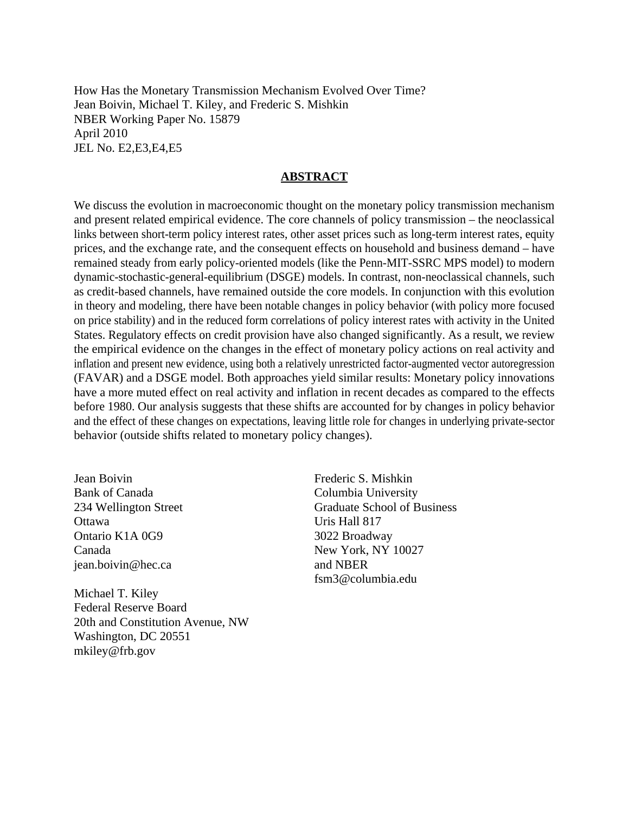How Has the Monetary Transmission Mechanism Evolved Over Time? Jean Boivin, Michael T. Kiley, and Frederic S. Mishkin NBER Working Paper No. 15879 April 2010 JEL No. E2,E3,E4,E5

## **ABSTRACT**

We discuss the evolution in macroeconomic thought on the monetary policy transmission mechanism and present related empirical evidence. The core channels of policy transmission – the neoclassical links between short-term policy interest rates, other asset prices such as long-term interest rates, equity prices, and the exchange rate, and the consequent effects on household and business demand – have remained steady from early policy-oriented models (like the Penn-MIT-SSRC MPS model) to modern dynamic-stochastic-general-equilibrium (DSGE) models. In contrast, non-neoclassical channels, such as credit-based channels, have remained outside the core models. In conjunction with this evolution in theory and modeling, there have been notable changes in policy behavior (with policy more focused on price stability) and in the reduced form correlations of policy interest rates with activity in the United States. Regulatory effects on credit provision have also changed significantly. As a result, we review the empirical evidence on the changes in the effect of monetary policy actions on real activity and inflation and present new evidence, using both a relatively unrestricted factor-augmented vector autoregression (FAVAR) and a DSGE model. Both approaches yield similar results: Monetary policy innovations have a more muted effect on real activity and inflation in recent decades as compared to the effects before 1980. Our analysis suggests that these shifts are accounted for by changes in policy behavior and the effect of these changes on expectations, leaving little role for changes in underlying private-sector behavior (outside shifts related to monetary policy changes).

Jean Boivin Bank of Canada 234 Wellington Street **Ottawa** Ontario K1A 0G9 Canada jean.boivin@hec.ca

Michael T. Kiley Federal Reserve Board 20th and Constitution Avenue, NW Washington, DC 20551 mkiley@frb.gov

Frederic S. Mishkin Columbia University Graduate School of Business Uris Hall 817 3022 Broadway New York, NY 10027 and NBER fsm3@columbia.edu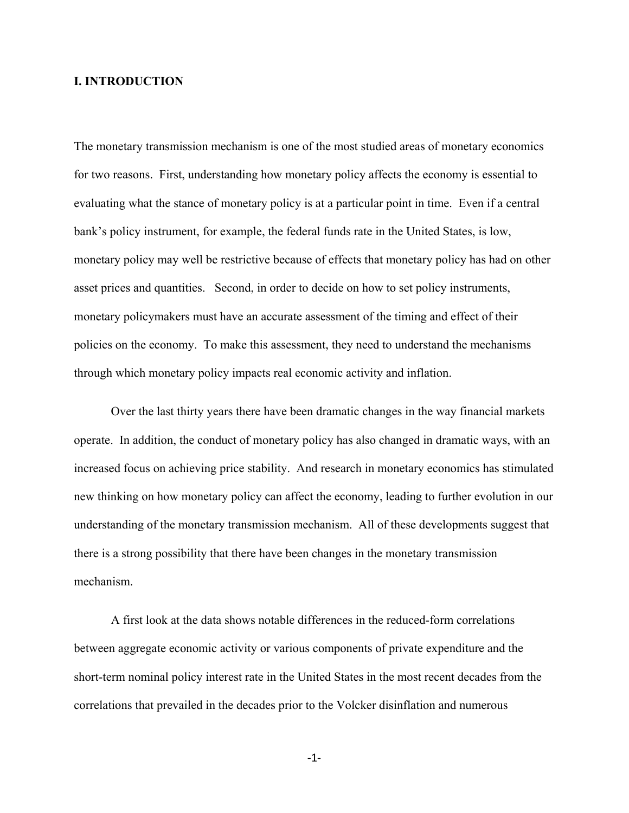## **I. INTRODUCTION**

The monetary transmission mechanism is one of the most studied areas of monetary economics for two reasons. First, understanding how monetary policy affects the economy is essential to evaluating what the stance of monetary policy is at a particular point in time. Even if a central bank's policy instrument, for example, the federal funds rate in the United States, is low, monetary policy may well be restrictive because of effects that monetary policy has had on other asset prices and quantities. Second, in order to decide on how to set policy instruments, monetary policymakers must have an accurate assessment of the timing and effect of their policies on the economy. To make this assessment, they need to understand the mechanisms through which monetary policy impacts real economic activity and inflation.

 Over the last thirty years there have been dramatic changes in the way financial markets operate. In addition, the conduct of monetary policy has also changed in dramatic ways, with an increased focus on achieving price stability. And research in monetary economics has stimulated new thinking on how monetary policy can affect the economy, leading to further evolution in our understanding of the monetary transmission mechanism. All of these developments suggest that there is a strong possibility that there have been changes in the monetary transmission mechanism.

 A first look at the data shows notable differences in the reduced-form correlations between aggregate economic activity or various components of private expenditure and the short-term nominal policy interest rate in the United States in the most recent decades from the correlations that prevailed in the decades prior to the Volcker disinflation and numerous

‐1‐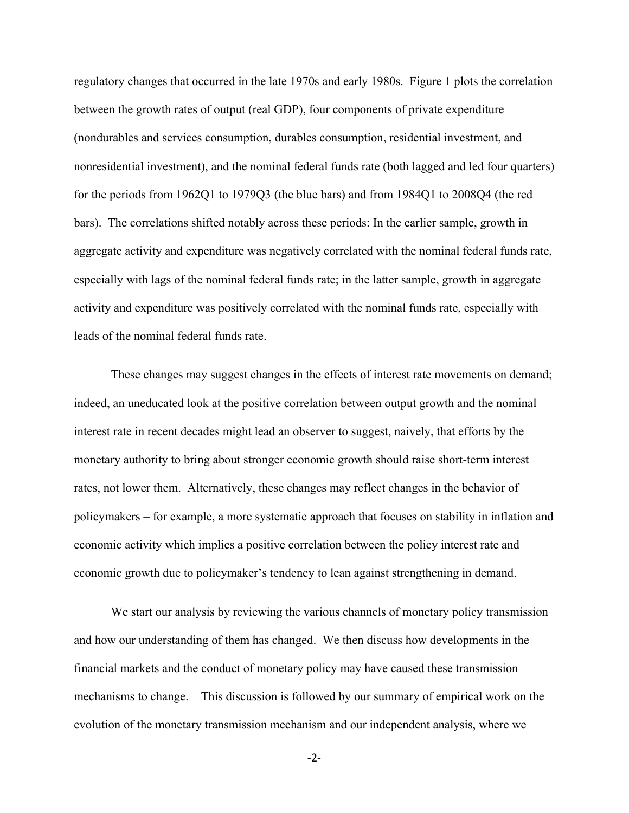regulatory changes that occurred in the late 1970s and early 1980s. Figure 1 plots the correlation between the growth rates of output (real GDP), four components of private expenditure (nondurables and services consumption, durables consumption, residential investment, and nonresidential investment), and the nominal federal funds rate (both lagged and led four quarters) for the periods from 1962Q1 to 1979Q3 (the blue bars) and from 1984Q1 to 2008Q4 (the red bars). The correlations shifted notably across these periods: In the earlier sample, growth in aggregate activity and expenditure was negatively correlated with the nominal federal funds rate, especially with lags of the nominal federal funds rate; in the latter sample, growth in aggregate activity and expenditure was positively correlated with the nominal funds rate, especially with leads of the nominal federal funds rate.

 These changes may suggest changes in the effects of interest rate movements on demand; indeed, an uneducated look at the positive correlation between output growth and the nominal interest rate in recent decades might lead an observer to suggest, naively, that efforts by the monetary authority to bring about stronger economic growth should raise short-term interest rates, not lower them. Alternatively, these changes may reflect changes in the behavior of policymakers – for example, a more systematic approach that focuses on stability in inflation and economic activity which implies a positive correlation between the policy interest rate and economic growth due to policymaker's tendency to lean against strengthening in demand.

We start our analysis by reviewing the various channels of monetary policy transmission and how our understanding of them has changed. We then discuss how developments in the financial markets and the conduct of monetary policy may have caused these transmission mechanisms to change. This discussion is followed by our summary of empirical work on the evolution of the monetary transmission mechanism and our independent analysis, where we

‐2‐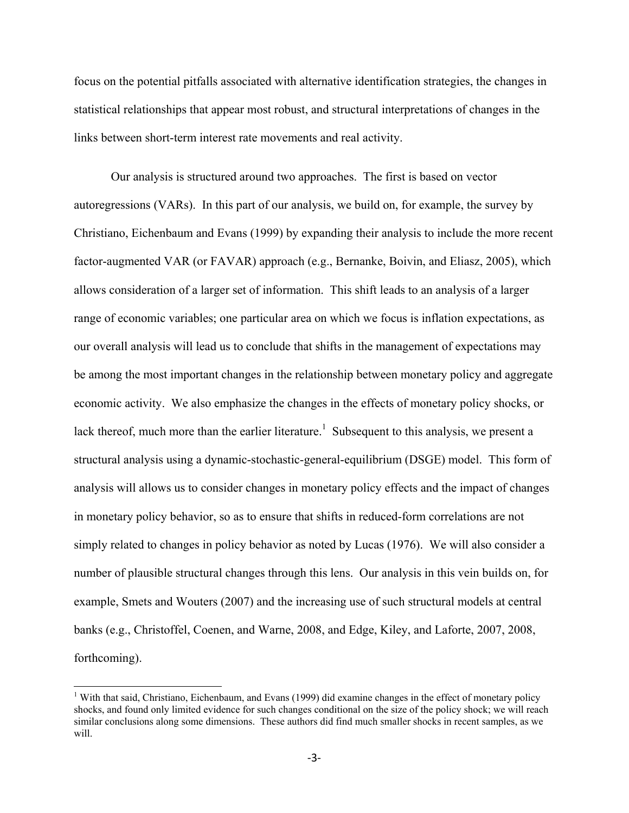focus on the potential pitfalls associated with alternative identification strategies, the changes in statistical relationships that appear most robust, and structural interpretations of changes in the links between short-term interest rate movements and real activity.

 Our analysis is structured around two approaches. The first is based on vector autoregressions (VARs). In this part of our analysis, we build on, for example, the survey by Christiano, Eichenbaum and Evans (1999) by expanding their analysis to include the more recent factor-augmented VAR (or FAVAR) approach (e.g., Bernanke, Boivin, and Eliasz, 2005), which allows consideration of a larger set of information. This shift leads to an analysis of a larger range of economic variables; one particular area on which we focus is inflation expectations, as our overall analysis will lead us to conclude that shifts in the management of expectations may be among the most important changes in the relationship between monetary policy and aggregate economic activity. We also emphasize the changes in the effects of monetary policy shocks, or lack thereof, much more than the earlier literature.<sup>1</sup> Subsequent to this analysis, we present a structural analysis using a dynamic-stochastic-general-equilibrium (DSGE) model. This form of analysis will allows us to consider changes in monetary policy effects and the impact of changes in monetary policy behavior, so as to ensure that shifts in reduced-form correlations are not simply related to changes in policy behavior as noted by Lucas (1976). We will also consider a number of plausible structural changes through this lens. Our analysis in this vein builds on, for example, Smets and Wouters (2007) and the increasing use of such structural models at central banks (e.g., Christoffel, Coenen, and Warne, 2008, and Edge, Kiley, and Laforte, 2007, 2008, forthcoming).

<sup>&</sup>lt;sup>1</sup> With that said, Christiano, Eichenbaum, and Evans (1999) did examine changes in the effect of monetary policy shocks, and found only limited evidence for such changes conditional on the size of the policy shock; we will reach similar conclusions along some dimensions. These authors did find much smaller shocks in recent samples, as we will.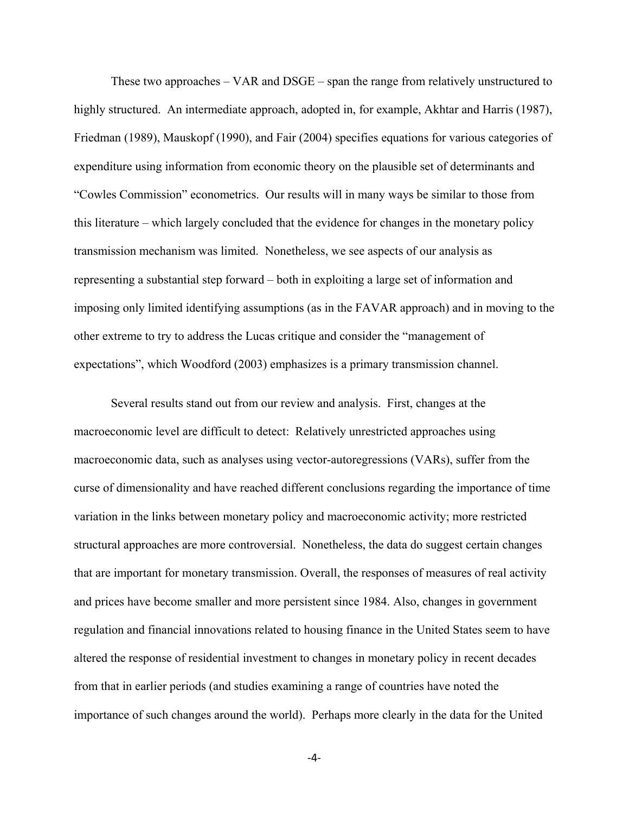These two approaches – VAR and DSGE – span the range from relatively unstructured to highly structured. An intermediate approach, adopted in, for example, Akhtar and Harris (1987), Friedman (1989), Mauskopf (1990), and Fair (2004) specifies equations for various categories of expenditure using information from economic theory on the plausible set of determinants and "Cowles Commission" econometrics. Our results will in many ways be similar to those from this literature – which largely concluded that the evidence for changes in the monetary policy transmission mechanism was limited. Nonetheless, we see aspects of our analysis as representing a substantial step forward – both in exploiting a large set of information and imposing only limited identifying assumptions (as in the FAVAR approach) and in moving to the other extreme to try to address the Lucas critique and consider the "management of expectations", which Woodford (2003) emphasizes is a primary transmission channel.

Several results stand out from our review and analysis. First, changes at the macroeconomic level are difficult to detect: Relatively unrestricted approaches using macroeconomic data, such as analyses using vector-autoregressions (VARs), suffer from the curse of dimensionality and have reached different conclusions regarding the importance of time variation in the links between monetary policy and macroeconomic activity; more restricted structural approaches are more controversial. Nonetheless, the data do suggest certain changes that are important for monetary transmission. Overall, the responses of measures of real activity and prices have become smaller and more persistent since 1984. Also, changes in government regulation and financial innovations related to housing finance in the United States seem to have altered the response of residential investment to changes in monetary policy in recent decades from that in earlier periods (and studies examining a range of countries have noted the importance of such changes around the world). Perhaps more clearly in the data for the United

‐4‐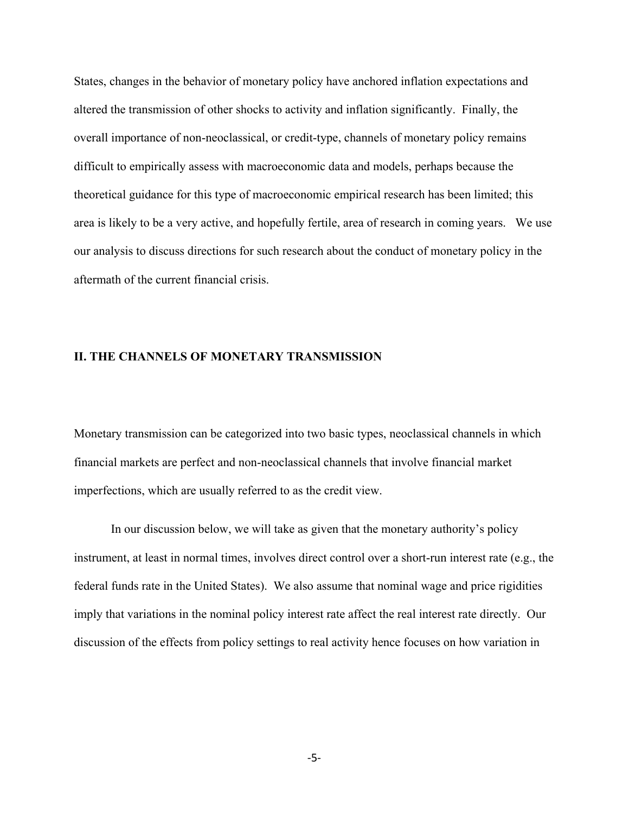States, changes in the behavior of monetary policy have anchored inflation expectations and altered the transmission of other shocks to activity and inflation significantly. Finally, the overall importance of non-neoclassical, or credit-type, channels of monetary policy remains difficult to empirically assess with macroeconomic data and models, perhaps because the theoretical guidance for this type of macroeconomic empirical research has been limited; this area is likely to be a very active, and hopefully fertile, area of research in coming years. We use our analysis to discuss directions for such research about the conduct of monetary policy in the aftermath of the current financial crisis.

# **II. THE CHANNELS OF MONETARY TRANSMISSION**

Monetary transmission can be categorized into two basic types, neoclassical channels in which financial markets are perfect and non-neoclassical channels that involve financial market imperfections, which are usually referred to as the credit view.

 In our discussion below, we will take as given that the monetary authority's policy instrument, at least in normal times, involves direct control over a short-run interest rate (e.g., the federal funds rate in the United States). We also assume that nominal wage and price rigidities imply that variations in the nominal policy interest rate affect the real interest rate directly. Our discussion of the effects from policy settings to real activity hence focuses on how variation in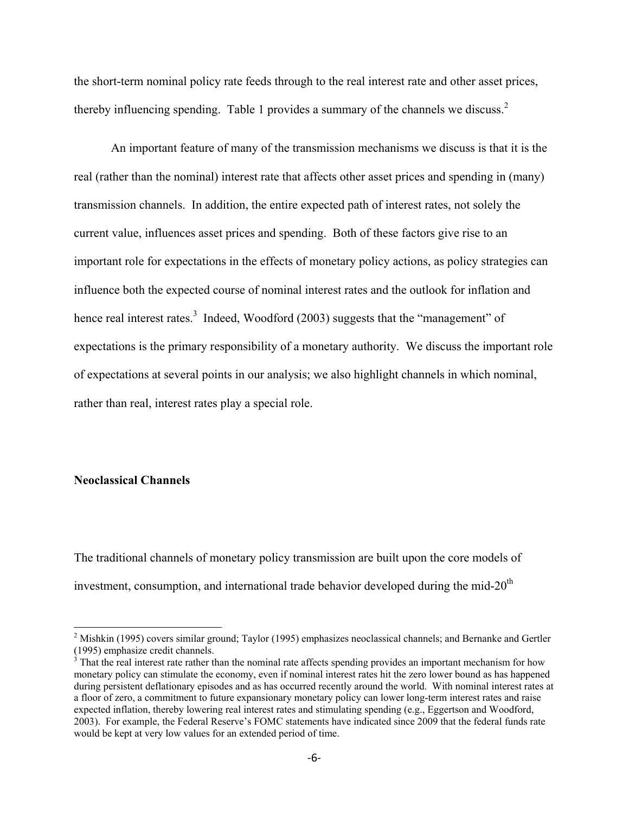the short-term nominal policy rate feeds through to the real interest rate and other asset prices, thereby influencing spending. Table 1 provides a summary of the channels we discuss.<sup>2</sup>

 An important feature of many of the transmission mechanisms we discuss is that it is the real (rather than the nominal) interest rate that affects other asset prices and spending in (many) transmission channels. In addition, the entire expected path of interest rates, not solely the current value, influences asset prices and spending. Both of these factors give rise to an important role for expectations in the effects of monetary policy actions, as policy strategies can influence both the expected course of nominal interest rates and the outlook for inflation and hence real interest rates.<sup>3</sup> Indeed, Woodford (2003) suggests that the "management" of expectations is the primary responsibility of a monetary authority. We discuss the important role of expectations at several points in our analysis; we also highlight channels in which nominal, rather than real, interest rates play a special role.

# **Neoclassical Channels**

The traditional channels of monetary policy transmission are built upon the core models of investment, consumption, and international trade behavior developed during the mid- $20<sup>th</sup>$ 

<sup>&</sup>lt;sup>2</sup> Mishkin (1995) covers similar ground; Taylor (1995) emphasizes neoclassical channels; and Bernanke and Gertler (1995) emphasize credit channels.

 $3$  That the real interest rate rather than the nominal rate affects spending provides an important mechanism for how monetary policy can stimulate the economy, even if nominal interest rates hit the zero lower bound as has happened during persistent deflationary episodes and as has occurred recently around the world. With nominal interest rates at a floor of zero, a commitment to future expansionary monetary policy can lower long-term interest rates and raise expected inflation, thereby lowering real interest rates and stimulating spending (e.g., Eggertson and Woodford, 2003). For example, the Federal Reserve's FOMC statements have indicated since 2009 that the federal funds rate would be kept at very low values for an extended period of time.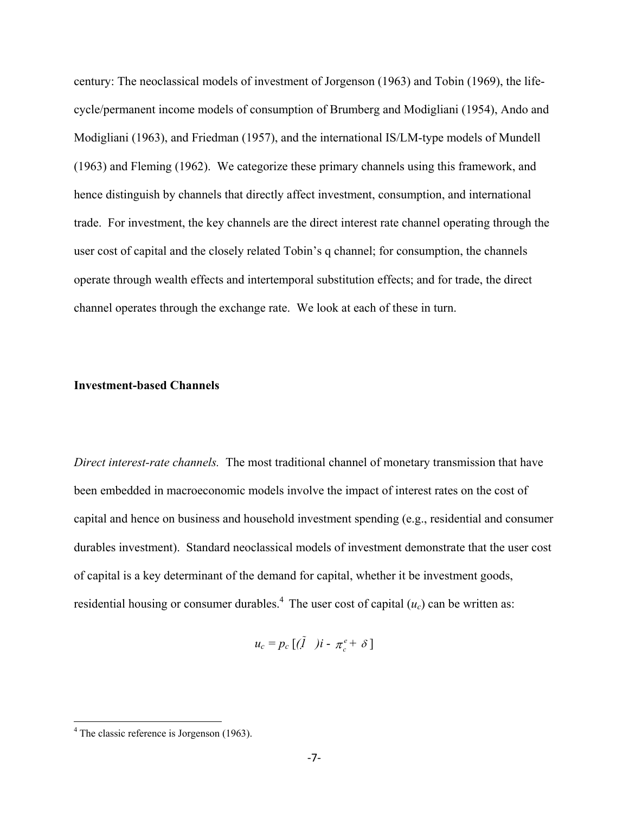century: The neoclassical models of investment of Jorgenson (1963) and Tobin (1969), the lifecycle/permanent income models of consumption of Brumberg and Modigliani (1954), Ando and Modigliani (1963), and Friedman (1957), and the international IS/LM-type models of Mundell (1963) and Fleming (1962). We categorize these primary channels using this framework, and hence distinguish by channels that directly affect investment, consumption, and international trade. For investment, the key channels are the direct interest rate channel operating through the user cost of capital and the closely related Tobin's q channel; for consumption, the channels operate through wealth effects and intertemporal substitution effects; and for trade, the direct channel operates through the exchange rate. We look at each of these in turn.

#### **Investment-based Channels**

*Direct interest-rate channels.* The most traditional channel of monetary transmission that have been embedded in macroeconomic models involve the impact of interest rates on the cost of capital and hence on business and household investment spending (e.g., residential and consumer durables investment). Standard neoclassical models of investment demonstrate that the user cost of capital is a key determinant of the demand for capital, whether it be investment goods, residential housing or consumer durables.<sup>4</sup> The user cost of capital  $(u_c)$  can be written as:

$$
u_c = p_c \left[ (\tilde{I} \quad )i - \pi_c^e + \delta \right]
$$

 $4$  The classic reference is Jorgenson (1963).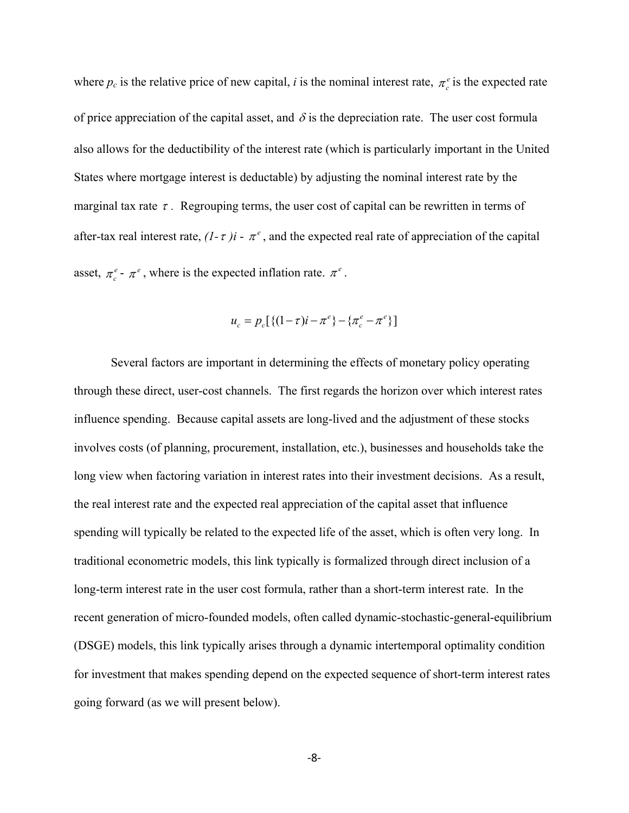where  $p_c$  is the relative price of new capital, *i* is the nominal interest rate,  $\pi_c^e$  is the expected rate of price appreciation of the capital asset, and  $\delta$  is the depreciation rate. The user cost formula also allows for the deductibility of the interest rate (which is particularly important in the United States where mortgage interest is deductable) by adjusting the nominal interest rate by the marginal tax rate  $\tau$ . Regrouping terms, the user cost of capital can be rewritten in terms of after-tax real interest rate,  $(l-\tau)i - \pi^e$ , and the expected real rate of appreciation of the capital asset,  $\pi_c^e$  -  $\pi^e$ , where is the expected inflation rate.  $\pi^e$ .

$$
u_c = p_c [\{(1-\tau)i - \pi^e\} - {\{\pi^e\} - \pi^e\}]
$$

 Several factors are important in determining the effects of monetary policy operating through these direct, user-cost channels. The first regards the horizon over which interest rates influence spending. Because capital assets are long-lived and the adjustment of these stocks involves costs (of planning, procurement, installation, etc.), businesses and households take the long view when factoring variation in interest rates into their investment decisions. As a result, the real interest rate and the expected real appreciation of the capital asset that influence spending will typically be related to the expected life of the asset, which is often very long. In traditional econometric models, this link typically is formalized through direct inclusion of a long-term interest rate in the user cost formula, rather than a short-term interest rate. In the recent generation of micro-founded models, often called dynamic-stochastic-general-equilibrium (DSGE) models, this link typically arises through a dynamic intertemporal optimality condition for investment that makes spending depend on the expected sequence of short-term interest rates going forward (as we will present below).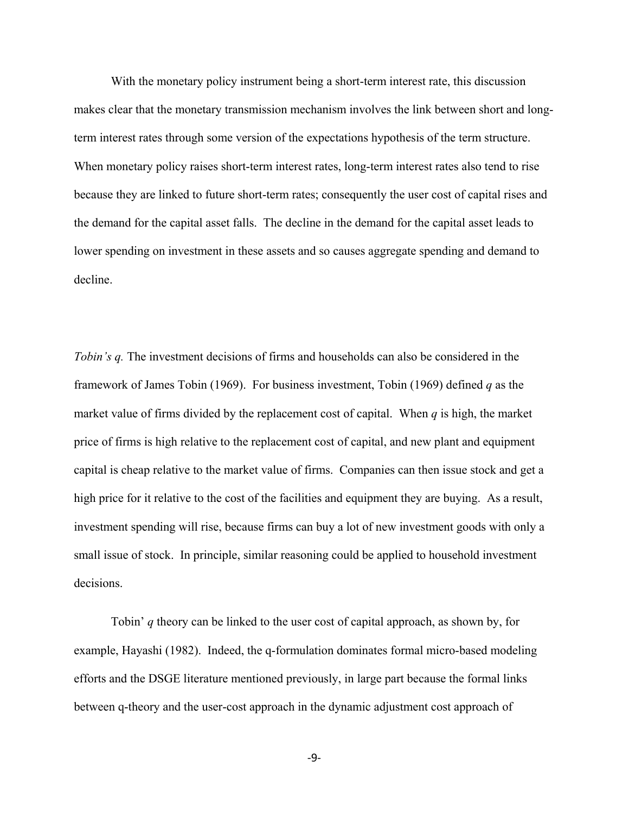With the monetary policy instrument being a short-term interest rate, this discussion makes clear that the monetary transmission mechanism involves the link between short and longterm interest rates through some version of the expectations hypothesis of the term structure. When monetary policy raises short-term interest rates, long-term interest rates also tend to rise because they are linked to future short-term rates; consequently the user cost of capital rises and the demand for the capital asset falls. The decline in the demand for the capital asset leads to lower spending on investment in these assets and so causes aggregate spending and demand to decline.

*Tobin's q.* The investment decisions of firms and households can also be considered in the framework of James Tobin (1969). For business investment, Tobin (1969) defined *q* as the market value of firms divided by the replacement cost of capital. When *q* is high, the market price of firms is high relative to the replacement cost of capital, and new plant and equipment capital is cheap relative to the market value of firms. Companies can then issue stock and get a high price for it relative to the cost of the facilities and equipment they are buying. As a result, investment spending will rise, because firms can buy a lot of new investment goods with only a small issue of stock. In principle, similar reasoning could be applied to household investment decisions.

 Tobin' *q* theory can be linked to the user cost of capital approach, as shown by, for example, Hayashi (1982). Indeed, the q-formulation dominates formal micro-based modeling efforts and the DSGE literature mentioned previously, in large part because the formal links between q-theory and the user-cost approach in the dynamic adjustment cost approach of

‐9‐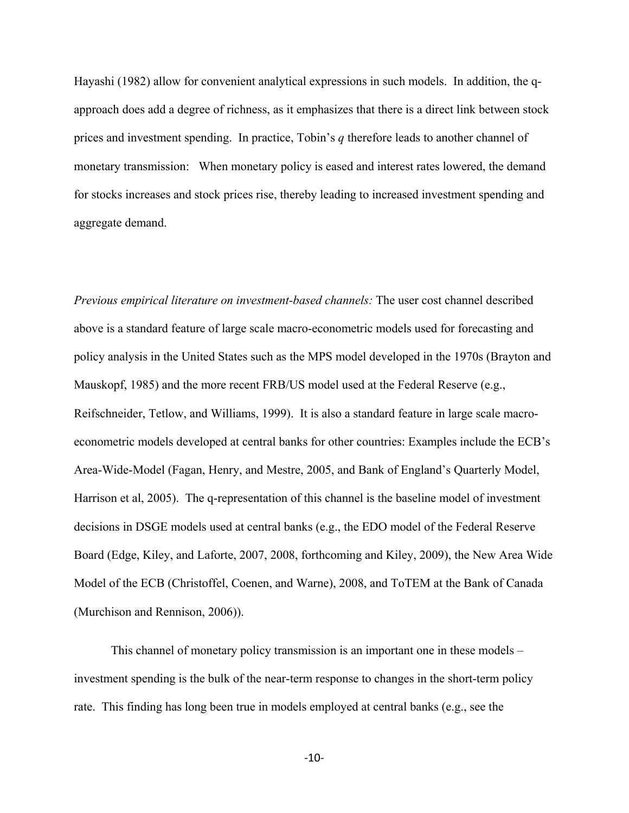Hayashi (1982) allow for convenient analytical expressions in such models. In addition, the qapproach does add a degree of richness, as it emphasizes that there is a direct link between stock prices and investment spending. In practice, Tobin's *q* therefore leads to another channel of monetary transmission: When monetary policy is eased and interest rates lowered, the demand for stocks increases and stock prices rise, thereby leading to increased investment spending and aggregate demand.

*Previous empirical literature on investment-based channels:* The user cost channel described above is a standard feature of large scale macro-econometric models used for forecasting and policy analysis in the United States such as the MPS model developed in the 1970s (Brayton and Mauskopf, 1985) and the more recent FRB/US model used at the Federal Reserve (e.g., Reifschneider, Tetlow, and Williams, 1999). It is also a standard feature in large scale macroeconometric models developed at central banks for other countries: Examples include the ECB's Area-Wide-Model (Fagan, Henry, and Mestre, 2005, and Bank of England's Quarterly Model, Harrison et al, 2005). The q-representation of this channel is the baseline model of investment decisions in DSGE models used at central banks (e.g., the EDO model of the Federal Reserve Board (Edge, Kiley, and Laforte, 2007, 2008, forthcoming and Kiley, 2009), the New Area Wide Model of the ECB (Christoffel, Coenen, and Warne), 2008, and ToTEM at the Bank of Canada (Murchison and Rennison, 2006)).

 This channel of monetary policy transmission is an important one in these models – investment spending is the bulk of the near-term response to changes in the short-term policy rate. This finding has long been true in models employed at central banks (e.g., see the

‐10‐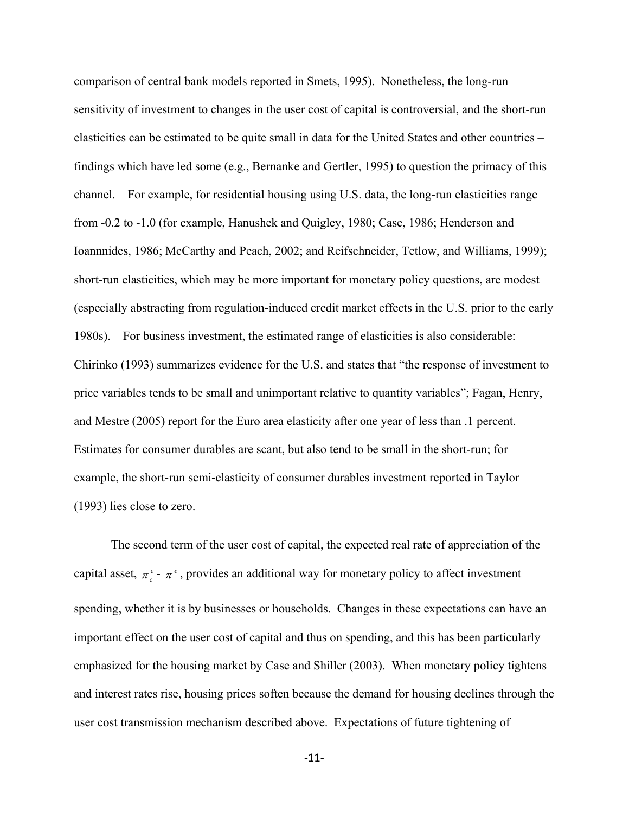comparison of central bank models reported in Smets, 1995). Nonetheless, the long-run sensitivity of investment to changes in the user cost of capital is controversial, and the short-run elasticities can be estimated to be quite small in data for the United States and other countries – findings which have led some (e.g., Bernanke and Gertler, 1995) to question the primacy of this channel. For example, for residential housing using U.S. data, the long-run elasticities range from -0.2 to -1.0 (for example, Hanushek and Quigley, 1980; Case, 1986; Henderson and Ioannnides, 1986; McCarthy and Peach, 2002; and Reifschneider, Tetlow, and Williams, 1999); short-run elasticities, which may be more important for monetary policy questions, are modest (especially abstracting from regulation-induced credit market effects in the U.S. prior to the early 1980s). For business investment, the estimated range of elasticities is also considerable: Chirinko (1993) summarizes evidence for the U.S. and states that "the response of investment to price variables tends to be small and unimportant relative to quantity variables"; Fagan, Henry, and Mestre (2005) report for the Euro area elasticity after one year of less than .1 percent. Estimates for consumer durables are scant, but also tend to be small in the short-run; for example, the short-run semi-elasticity of consumer durables investment reported in Taylor (1993) lies close to zero.

 The second term of the user cost of capital, the expected real rate of appreciation of the capital asset,  $\pi_c^e$  -  $\pi_e^e$ , provides an additional way for monetary policy to affect investment spending, whether it is by businesses or households. Changes in these expectations can have an important effect on the user cost of capital and thus on spending, and this has been particularly emphasized for the housing market by Case and Shiller (2003). When monetary policy tightens and interest rates rise, housing prices soften because the demand for housing declines through the user cost transmission mechanism described above. Expectations of future tightening of

‐11‐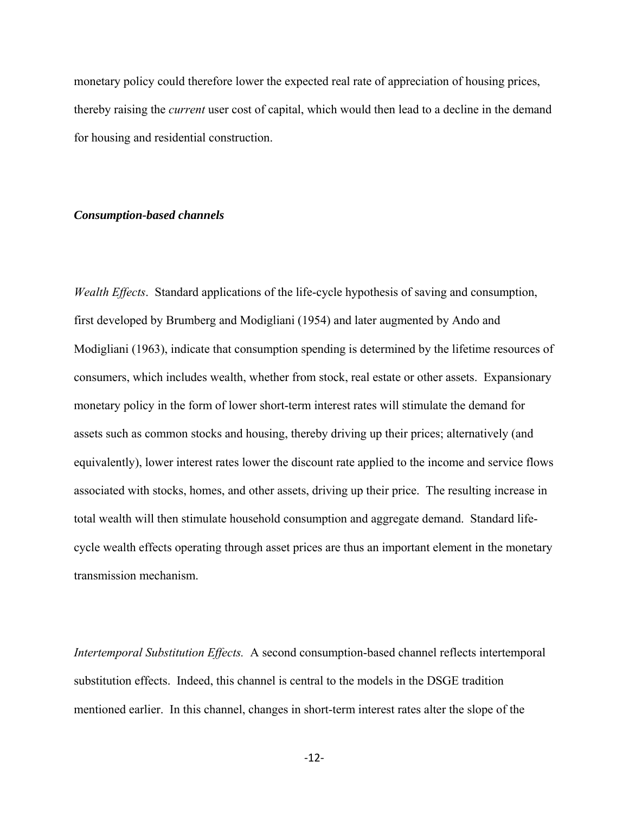monetary policy could therefore lower the expected real rate of appreciation of housing prices, thereby raising the *current* user cost of capital, which would then lead to a decline in the demand for housing and residential construction.

## *Consumption-based channels*

*Wealth Effects*. Standard applications of the life-cycle hypothesis of saving and consumption, first developed by Brumberg and Modigliani (1954) and later augmented by Ando and Modigliani (1963), indicate that consumption spending is determined by the lifetime resources of consumers, which includes wealth, whether from stock, real estate or other assets. Expansionary monetary policy in the form of lower short-term interest rates will stimulate the demand for assets such as common stocks and housing, thereby driving up their prices; alternatively (and equivalently), lower interest rates lower the discount rate applied to the income and service flows associated with stocks, homes, and other assets, driving up their price. The resulting increase in total wealth will then stimulate household consumption and aggregate demand. Standard lifecycle wealth effects operating through asset prices are thus an important element in the monetary transmission mechanism.

*Intertemporal Substitution Effects.* A second consumption-based channel reflects intertemporal substitution effects. Indeed, this channel is central to the models in the DSGE tradition mentioned earlier. In this channel, changes in short-term interest rates alter the slope of the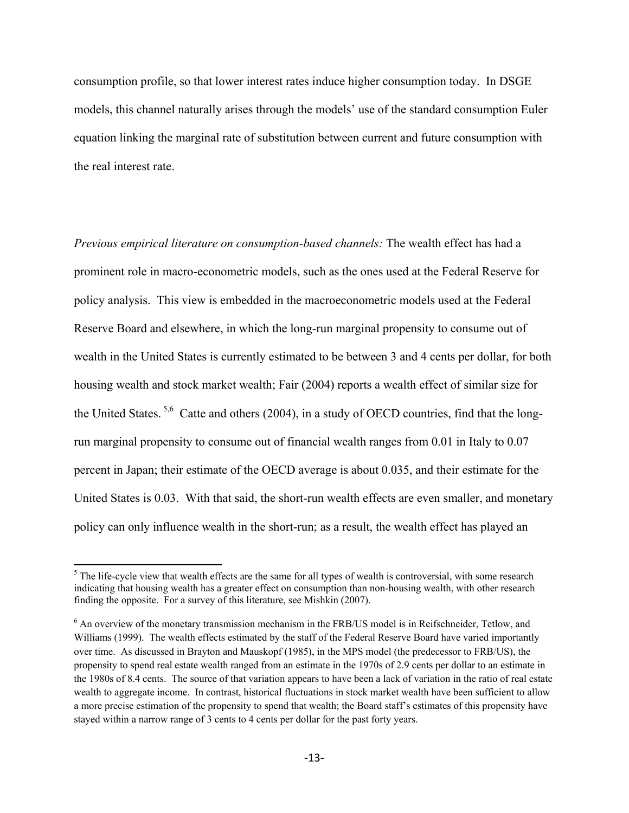consumption profile, so that lower interest rates induce higher consumption today. In DSGE models, this channel naturally arises through the models' use of the standard consumption Euler equation linking the marginal rate of substitution between current and future consumption with the real interest rate.

*Previous empirical literature on consumption-based channels:* The wealth effect has had a prominent role in macro-econometric models, such as the ones used at the Federal Reserve for policy analysis. This view is embedded in the macroeconometric models used at the Federal Reserve Board and elsewhere, in which the long-run marginal propensity to consume out of wealth in the United States is currently estimated to be between 3 and 4 cents per dollar, for both housing wealth and stock market wealth; Fair (2004) reports a wealth effect of similar size for the United States.  $5,6$  Catte and others (2004), in a study of OECD countries, find that the longrun marginal propensity to consume out of financial wealth ranges from 0.01 in Italy to 0.07 percent in Japan; their estimate of the OECD average is about 0.035, and their estimate for the United States is 0.03. With that said, the short-run wealth effects are even smaller, and monetary policy can only influence wealth in the short-run; as a result, the wealth effect has played an

 $<sup>5</sup>$  The life-cycle view that wealth effects are the same for all types of wealth is controversial, with some research</sup> indicating that housing wealth has a greater effect on consumption than non-housing wealth, with other research finding the opposite. For a survey of this literature, see Mishkin (2007).

<sup>&</sup>lt;sup>6</sup> An overview of the monetary transmission mechanism in the FRB/US model is in Reifschneider, Tetlow, and Williams (1999). The wealth effects estimated by the staff of the Federal Reserve Board have varied importantly over time. As discussed in Brayton and Mauskopf (1985), in the MPS model (the predecessor to FRB/US), the propensity to spend real estate wealth ranged from an estimate in the 1970s of 2.9 cents per dollar to an estimate in the 1980s of 8.4 cents. The source of that variation appears to have been a lack of variation in the ratio of real estate wealth to aggregate income. In contrast, historical fluctuations in stock market wealth have been sufficient to allow a more precise estimation of the propensity to spend that wealth; the Board staff's estimates of this propensity have stayed within a narrow range of 3 cents to 4 cents per dollar for the past forty years.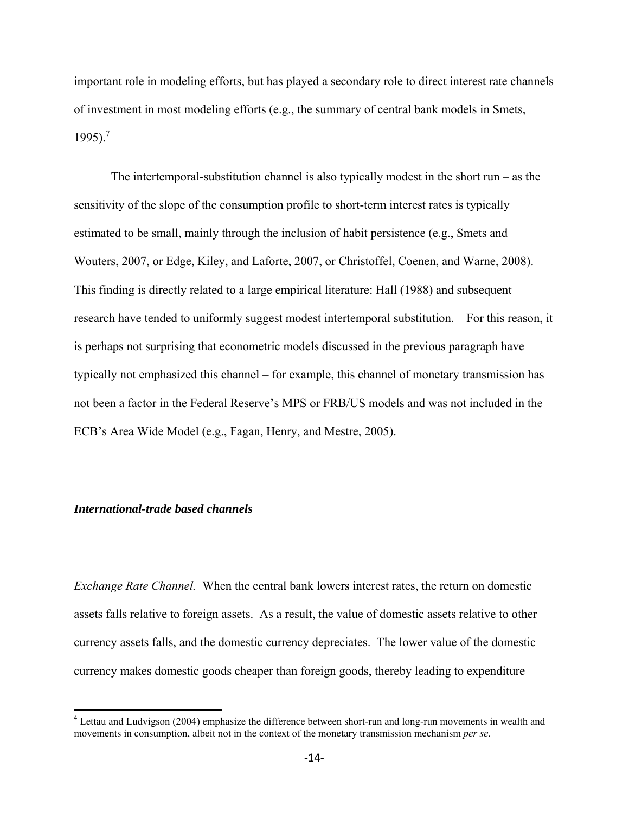important role in modeling efforts, but has played a secondary role to direct interest rate channels of investment in most modeling efforts (e.g., the summary of central bank models in Smets,  $1995$ )<sup>7</sup>

The intertemporal-substitution channel is also typically modest in the short run – as the sensitivity of the slope of the consumption profile to short-term interest rates is typically estimated to be small, mainly through the inclusion of habit persistence (e.g., Smets and Wouters, 2007, or Edge, Kiley, and Laforte, 2007, or Christoffel, Coenen, and Warne, 2008). This finding is directly related to a large empirical literature: Hall (1988) and subsequent research have tended to uniformly suggest modest intertemporal substitution. For this reason, it is perhaps not surprising that econometric models discussed in the previous paragraph have typically not emphasized this channel – for example, this channel of monetary transmission has not been a factor in the Federal Reserve's MPS or FRB/US models and was not included in the ECB's Area Wide Model (e.g., Fagan, Henry, and Mestre, 2005).

# *International-trade based channels*

*Exchange Rate Channel.* When the central bank lowers interest rates, the return on domestic assets falls relative to foreign assets. As a result, the value of domestic assets relative to other currency assets falls, and the domestic currency depreciates. The lower value of the domestic currency makes domestic goods cheaper than foreign goods, thereby leading to expenditure

<sup>&</sup>lt;sup>4</sup> Lettau and Ludvigson (2004) emphasize the difference between short-run and long-run movements in wealth and movements in consumption, albeit not in the context of the monetary transmission mechanism *per se*.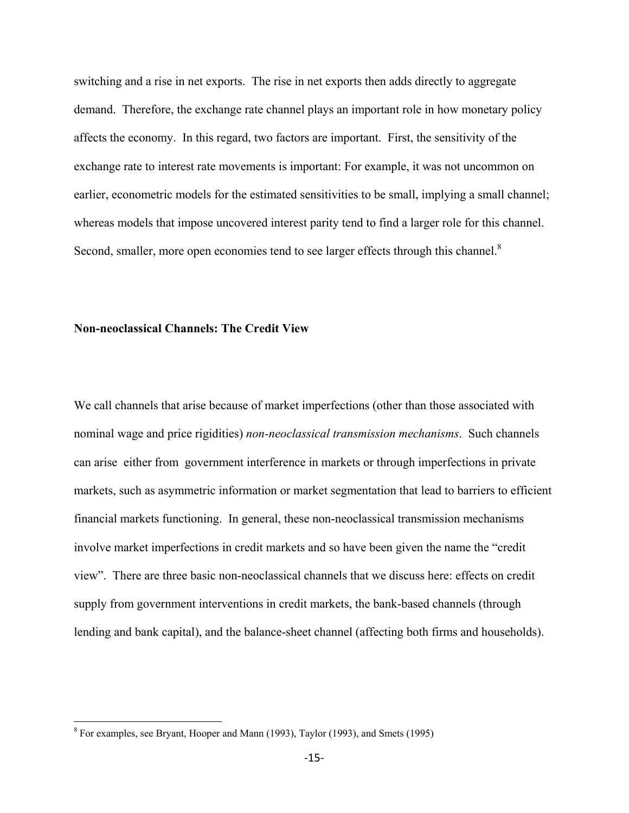switching and a rise in net exports. The rise in net exports then adds directly to aggregate demand. Therefore, the exchange rate channel plays an important role in how monetary policy affects the economy. In this regard, two factors are important. First, the sensitivity of the exchange rate to interest rate movements is important: For example, it was not uncommon on earlier, econometric models for the estimated sensitivities to be small, implying a small channel; whereas models that impose uncovered interest parity tend to find a larger role for this channel. Second, smaller, more open economies tend to see larger effects through this channel.<sup>8</sup>

# **Non-neoclassical Channels: The Credit View**

We call channels that arise because of market imperfections (other than those associated with nominal wage and price rigidities) *non-neoclassical transmission mechanisms*. Such channels can arise either from government interference in markets or through imperfections in private markets, such as asymmetric information or market segmentation that lead to barriers to efficient financial markets functioning. In general, these non-neoclassical transmission mechanisms involve market imperfections in credit markets and so have been given the name the "credit view". There are three basic non-neoclassical channels that we discuss here: effects on credit supply from government interventions in credit markets, the bank-based channels (through lending and bank capital), and the balance-sheet channel (affecting both firms and households).

<sup>8</sup> For examples, see Bryant, Hooper and Mann (1993), Taylor (1993), and Smets (1995)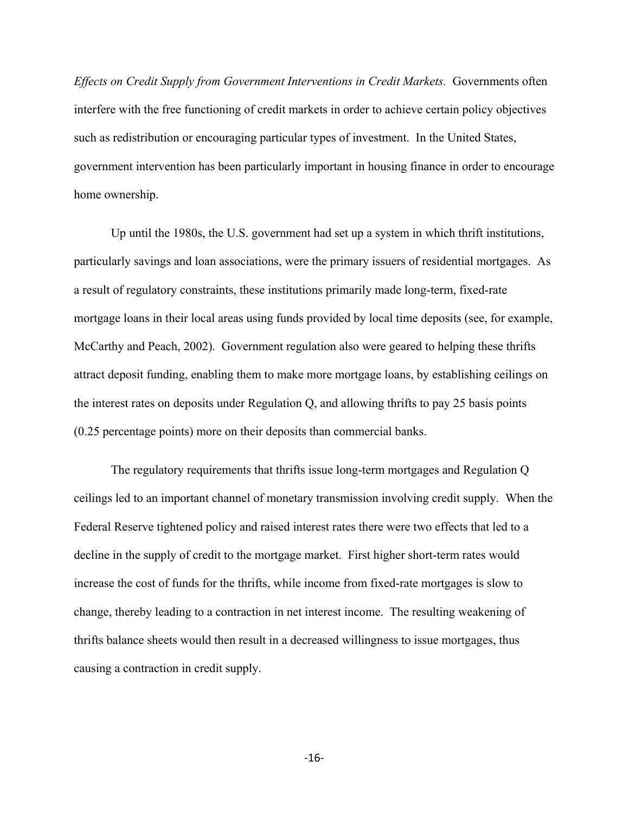*Effects on Credit Supply from Government Interventions in Credit Markets.* Governments often interfere with the free functioning of credit markets in order to achieve certain policy objectives such as redistribution or encouraging particular types of investment. In the United States, government intervention has been particularly important in housing finance in order to encourage home ownership.

 Up until the 1980s, the U.S. government had set up a system in which thrift institutions, particularly savings and loan associations, were the primary issuers of residential mortgages. As a result of regulatory constraints, these institutions primarily made long-term, fixed-rate mortgage loans in their local areas using funds provided by local time deposits (see, for example, McCarthy and Peach, 2002). Government regulation also were geared to helping these thrifts attract deposit funding, enabling them to make more mortgage loans, by establishing ceilings on the interest rates on deposits under Regulation Q, and allowing thrifts to pay 25 basis points (0.25 percentage points) more on their deposits than commercial banks.

 The regulatory requirements that thrifts issue long-term mortgages and Regulation Q ceilings led to an important channel of monetary transmission involving credit supply. When the Federal Reserve tightened policy and raised interest rates there were two effects that led to a decline in the supply of credit to the mortgage market. First higher short-term rates would increase the cost of funds for the thrifts, while income from fixed-rate mortgages is slow to change, thereby leading to a contraction in net interest income. The resulting weakening of thrifts balance sheets would then result in a decreased willingness to issue mortgages, thus causing a contraction in credit supply.

‐16‐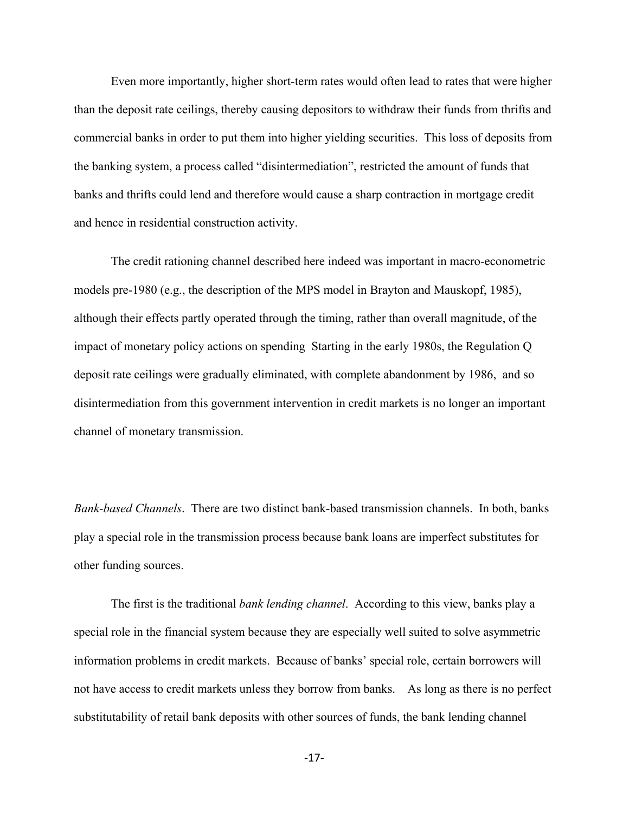Even more importantly, higher short-term rates would often lead to rates that were higher than the deposit rate ceilings, thereby causing depositors to withdraw their funds from thrifts and commercial banks in order to put them into higher yielding securities. This loss of deposits from the banking system, a process called "disintermediation", restricted the amount of funds that banks and thrifts could lend and therefore would cause a sharp contraction in mortgage credit and hence in residential construction activity.

 The credit rationing channel described here indeed was important in macro-econometric models pre-1980 (e.g., the description of the MPS model in Brayton and Mauskopf, 1985), although their effects partly operated through the timing, rather than overall magnitude, of the impact of monetary policy actions on spending Starting in the early 1980s, the Regulation Q deposit rate ceilings were gradually eliminated, with complete abandonment by 1986, and so disintermediation from this government intervention in credit markets is no longer an important channel of monetary transmission.

*Bank-based Channels*. There are two distinct bank-based transmission channels. In both, banks play a special role in the transmission process because bank loans are imperfect substitutes for other funding sources.

The first is the traditional *bank lending channel*. According to this view, banks play a special role in the financial system because they are especially well suited to solve asymmetric information problems in credit markets. Because of banks' special role, certain borrowers will not have access to credit markets unless they borrow from banks. As long as there is no perfect substitutability of retail bank deposits with other sources of funds, the bank lending channel

‐17‐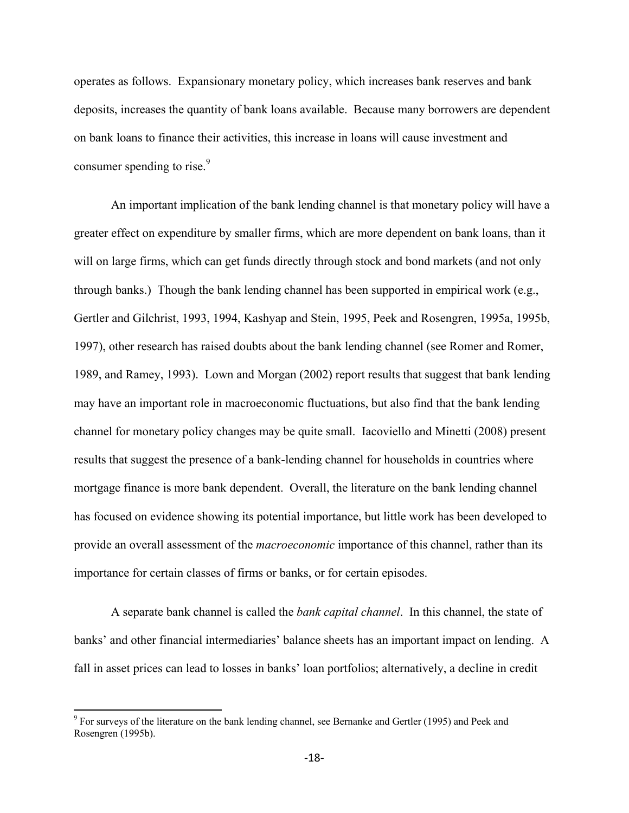operates as follows. Expansionary monetary policy, which increases bank reserves and bank deposits, increases the quantity of bank loans available. Because many borrowers are dependent on bank loans to finance their activities, this increase in loans will cause investment and consumer spending to rise.<sup>9</sup>

 An important implication of the bank lending channel is that monetary policy will have a greater effect on expenditure by smaller firms, which are more dependent on bank loans, than it will on large firms, which can get funds directly through stock and bond markets (and not only through banks.) Though the bank lending channel has been supported in empirical work (e.g., Gertler and Gilchrist, 1993, 1994, Kashyap and Stein, 1995, Peek and Rosengren, 1995a, 1995b, 1997), other research has raised doubts about the bank lending channel (see Romer and Romer, 1989, and Ramey, 1993). Lown and Morgan (2002) report results that suggest that bank lending may have an important role in macroeconomic fluctuations, but also find that the bank lending channel for monetary policy changes may be quite small. Iacoviello and Minetti (2008) present results that suggest the presence of a bank-lending channel for households in countries where mortgage finance is more bank dependent. Overall, the literature on the bank lending channel has focused on evidence showing its potential importance, but little work has been developed to provide an overall assessment of the *macroeconomic* importance of this channel, rather than its importance for certain classes of firms or banks, or for certain episodes.

 A separate bank channel is called the *bank capital channel*. In this channel, the state of banks' and other financial intermediaries' balance sheets has an important impact on lending. A fall in asset prices can lead to losses in banks' loan portfolios; alternatively, a decline in credit

<sup>9</sup> For surveys of the literature on the bank lending channel, see Bernanke and Gertler (1995) and Peek and Rosengren (1995b).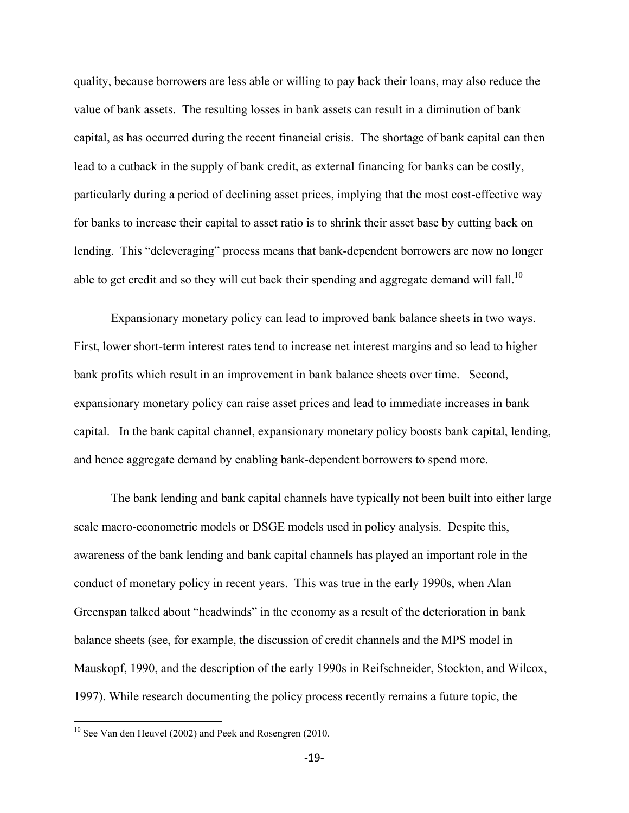quality, because borrowers are less able or willing to pay back their loans, may also reduce the value of bank assets. The resulting losses in bank assets can result in a diminution of bank capital, as has occurred during the recent financial crisis. The shortage of bank capital can then lead to a cutback in the supply of bank credit, as external financing for banks can be costly, particularly during a period of declining asset prices, implying that the most cost-effective way for banks to increase their capital to asset ratio is to shrink their asset base by cutting back on lending. This "deleveraging" process means that bank-dependent borrowers are now no longer able to get credit and so they will cut back their spending and aggregate demand will fall.<sup>10</sup>

Expansionary monetary policy can lead to improved bank balance sheets in two ways. First, lower short-term interest rates tend to increase net interest margins and so lead to higher bank profits which result in an improvement in bank balance sheets over time. Second, expansionary monetary policy can raise asset prices and lead to immediate increases in bank capital. In the bank capital channel, expansionary monetary policy boosts bank capital, lending, and hence aggregate demand by enabling bank-dependent borrowers to spend more.

 The bank lending and bank capital channels have typically not been built into either large scale macro-econometric models or DSGE models used in policy analysis. Despite this, awareness of the bank lending and bank capital channels has played an important role in the conduct of monetary policy in recent years. This was true in the early 1990s, when Alan Greenspan talked about "headwinds" in the economy as a result of the deterioration in bank balance sheets (see, for example, the discussion of credit channels and the MPS model in Mauskopf, 1990, and the description of the early 1990s in Reifschneider, Stockton, and Wilcox, 1997). While research documenting the policy process recently remains a future topic, the

<sup>&</sup>lt;sup>10</sup> See Van den Heuvel (2002) and Peek and Rosengren (2010.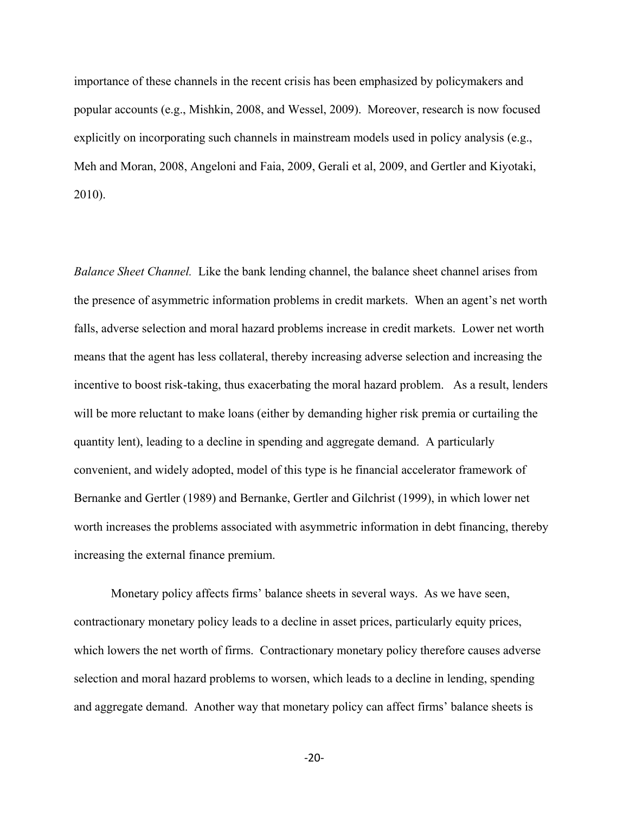importance of these channels in the recent crisis has been emphasized by policymakers and popular accounts (e.g., Mishkin, 2008, and Wessel, 2009). Moreover, research is now focused explicitly on incorporating such channels in mainstream models used in policy analysis (e.g., Meh and Moran, 2008, Angeloni and Faia, 2009, Gerali et al, 2009, and Gertler and Kiyotaki, 2010).

*Balance Sheet Channel.* Like the bank lending channel, the balance sheet channel arises from the presence of asymmetric information problems in credit markets. When an agent's net worth falls, adverse selection and moral hazard problems increase in credit markets. Lower net worth means that the agent has less collateral, thereby increasing adverse selection and increasing the incentive to boost risk-taking, thus exacerbating the moral hazard problem. As a result, lenders will be more reluctant to make loans (either by demanding higher risk premia or curtailing the quantity lent), leading to a decline in spending and aggregate demand. A particularly convenient, and widely adopted, model of this type is he financial accelerator framework of Bernanke and Gertler (1989) and Bernanke, Gertler and Gilchrist (1999), in which lower net worth increases the problems associated with asymmetric information in debt financing, thereby increasing the external finance premium.

 Monetary policy affects firms' balance sheets in several ways. As we have seen, contractionary monetary policy leads to a decline in asset prices, particularly equity prices, which lowers the net worth of firms. Contractionary monetary policy therefore causes adverse selection and moral hazard problems to worsen, which leads to a decline in lending, spending and aggregate demand. Another way that monetary policy can affect firms' balance sheets is

‐20‐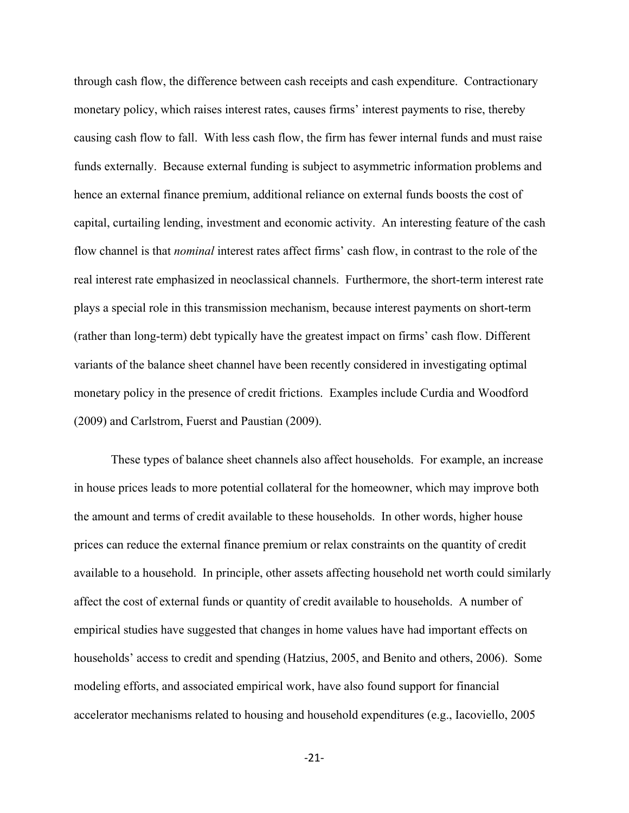through cash flow, the difference between cash receipts and cash expenditure. Contractionary monetary policy, which raises interest rates, causes firms' interest payments to rise, thereby causing cash flow to fall. With less cash flow, the firm has fewer internal funds and must raise funds externally. Because external funding is subject to asymmetric information problems and hence an external finance premium, additional reliance on external funds boosts the cost of capital, curtailing lending, investment and economic activity. An interesting feature of the cash flow channel is that *nominal* interest rates affect firms' cash flow, in contrast to the role of the real interest rate emphasized in neoclassical channels. Furthermore, the short-term interest rate plays a special role in this transmission mechanism, because interest payments on short-term (rather than long-term) debt typically have the greatest impact on firms' cash flow. Different variants of the balance sheet channel have been recently considered in investigating optimal monetary policy in the presence of credit frictions. Examples include Curdia and Woodford (2009) and Carlstrom, Fuerst and Paustian (2009).

These types of balance sheet channels also affect households. For example, an increase in house prices leads to more potential collateral for the homeowner, which may improve both the amount and terms of credit available to these households. In other words, higher house prices can reduce the external finance premium or relax constraints on the quantity of credit available to a household. In principle, other assets affecting household net worth could similarly affect the cost of external funds or quantity of credit available to households. A number of empirical studies have suggested that changes in home values have had important effects on households' access to credit and spending (Hatzius, 2005, and Benito and others, 2006). Some modeling efforts, and associated empirical work, have also found support for financial accelerator mechanisms related to housing and household expenditures (e.g., Iacoviello, 2005

‐21‐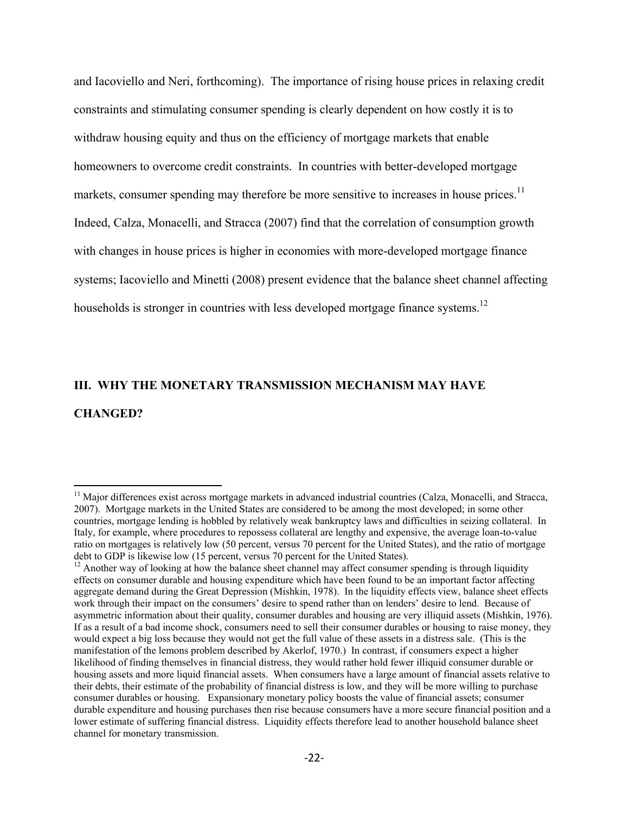and Iacoviello and Neri, forthcoming). The importance of rising house prices in relaxing credit constraints and stimulating consumer spending is clearly dependent on how costly it is to withdraw housing equity and thus on the efficiency of mortgage markets that enable homeowners to overcome credit constraints. In countries with better-developed mortgage markets, consumer spending may therefore be more sensitive to increases in house prices.<sup>11</sup> Indeed, Calza, Monacelli, and Stracca (2007) find that the correlation of consumption growth with changes in house prices is higher in economies with more-developed mortgage finance systems; Iacoviello and Minetti (2008) present evidence that the balance sheet channel affecting households is stronger in countries with less developed mortgage finance systems.<sup>12</sup>

# **III. WHY THE MONETARY TRANSMISSION MECHANISM MAY HAVE CHANGED?**

 $11$  Major differences exist across mortgage markets in advanced industrial countries (Calza, Monacelli, and Stracca, 2007). Mortgage markets in the United States are considered to be among the most developed; in some other countries, mortgage lending is hobbled by relatively weak bankruptcy laws and difficulties in seizing collateral. In Italy, for example, where procedures to repossess collateral are lengthy and expensive, the average loan-to-value ratio on mortgages is relatively low (50 percent, versus 70 percent for the United States), and the ratio of mortgage debt to GDP is likewise low (15 percent, versus 70 percent for the United States).

 $12$  Another way of looking at how the balance sheet channel may affect consumer spending is through liquidity effects on consumer durable and housing expenditure which have been found to be an important factor affecting aggregate demand during the Great Depression (Mishkin, 1978). In the liquidity effects view, balance sheet effects work through their impact on the consumers' desire to spend rather than on lenders' desire to lend. Because of asymmetric information about their quality, consumer durables and housing are very illiquid assets (Mishkin, 1976). If as a result of a bad income shock, consumers need to sell their consumer durables or housing to raise money, they would expect a big loss because they would not get the full value of these assets in a distress sale. (This is the manifestation of the lemons problem described by Akerlof, 1970.) In contrast, if consumers expect a higher likelihood of finding themselves in financial distress, they would rather hold fewer illiquid consumer durable or housing assets and more liquid financial assets. When consumers have a large amount of financial assets relative to their debts, their estimate of the probability of financial distress is low, and they will be more willing to purchase consumer durables or housing. Expansionary monetary policy boosts the value of financial assets; consumer durable expenditure and housing purchases then rise because consumers have a more secure financial position and a lower estimate of suffering financial distress. Liquidity effects therefore lead to another household balance sheet channel for monetary transmission.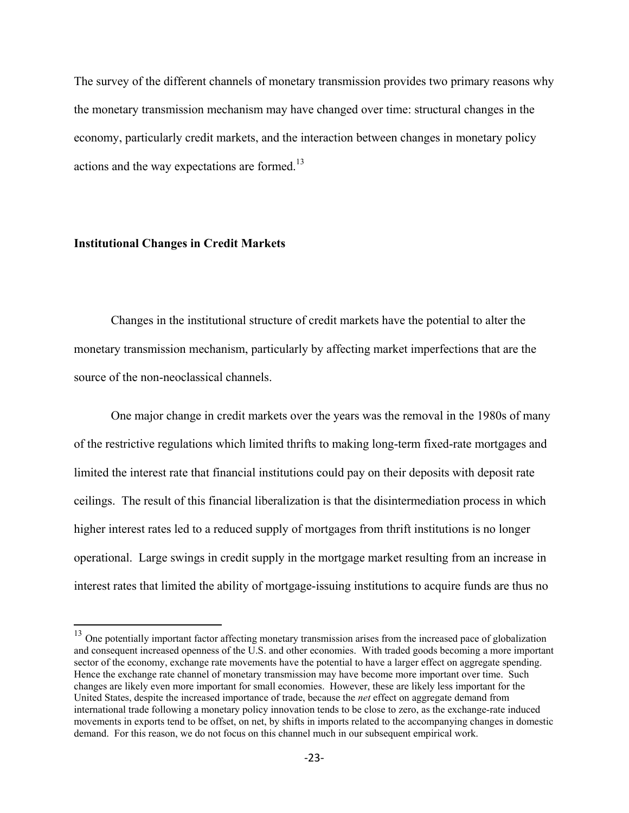The survey of the different channels of monetary transmission provides two primary reasons why the monetary transmission mechanism may have changed over time: structural changes in the economy, particularly credit markets, and the interaction between changes in monetary policy actions and the way expectations are formed.<sup>13</sup>

# **Institutional Changes in Credit Markets**

Changes in the institutional structure of credit markets have the potential to alter the monetary transmission mechanism, particularly by affecting market imperfections that are the source of the non-neoclassical channels.

One major change in credit markets over the years was the removal in the 1980s of many of the restrictive regulations which limited thrifts to making long-term fixed-rate mortgages and limited the interest rate that financial institutions could pay on their deposits with deposit rate ceilings. The result of this financial liberalization is that the disintermediation process in which higher interest rates led to a reduced supply of mortgages from thrift institutions is no longer operational. Large swings in credit supply in the mortgage market resulting from an increase in interest rates that limited the ability of mortgage-issuing institutions to acquire funds are thus no

<sup>&</sup>lt;sup>13</sup> One potentially important factor affecting monetary transmission arises from the increased pace of globalization and consequent increased openness of the U.S. and other economies. With traded goods becoming a more important sector of the economy, exchange rate movements have the potential to have a larger effect on aggregate spending. Hence the exchange rate channel of monetary transmission may have become more important over time. Such changes are likely even more important for small economies. However, these are likely less important for the United States, despite the increased importance of trade, because the *net* effect on aggregate demand from international trade following a monetary policy innovation tends to be close to zero, as the exchange-rate induced movements in exports tend to be offset, on net, by shifts in imports related to the accompanying changes in domestic demand. For this reason, we do not focus on this channel much in our subsequent empirical work.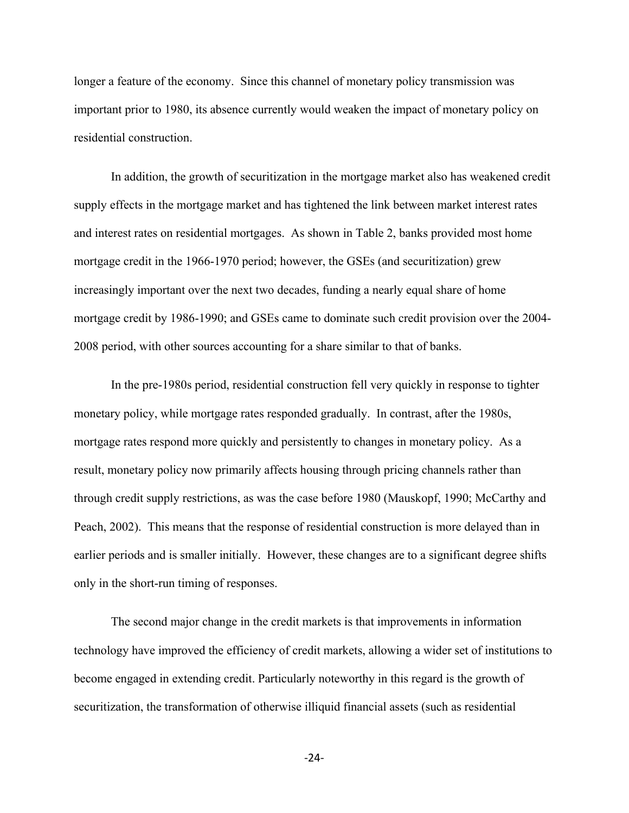longer a feature of the economy. Since this channel of monetary policy transmission was important prior to 1980, its absence currently would weaken the impact of monetary policy on residential construction.

In addition, the growth of securitization in the mortgage market also has weakened credit supply effects in the mortgage market and has tightened the link between market interest rates and interest rates on residential mortgages. As shown in Table 2, banks provided most home mortgage credit in the 1966-1970 period; however, the GSEs (and securitization) grew increasingly important over the next two decades, funding a nearly equal share of home mortgage credit by 1986-1990; and GSEs came to dominate such credit provision over the 2004- 2008 period, with other sources accounting for a share similar to that of banks.

In the pre-1980s period, residential construction fell very quickly in response to tighter monetary policy, while mortgage rates responded gradually. In contrast, after the 1980s, mortgage rates respond more quickly and persistently to changes in monetary policy. As a result, monetary policy now primarily affects housing through pricing channels rather than through credit supply restrictions, as was the case before 1980 (Mauskopf, 1990; McCarthy and Peach, 2002). This means that the response of residential construction is more delayed than in earlier periods and is smaller initially. However, these changes are to a significant degree shifts only in the short-run timing of responses.

 The second major change in the credit markets is that improvements in information technology have improved the efficiency of credit markets, allowing a wider set of institutions to become engaged in extending credit. Particularly noteworthy in this regard is the growth of securitization, the transformation of otherwise illiquid financial assets (such as residential

‐24‐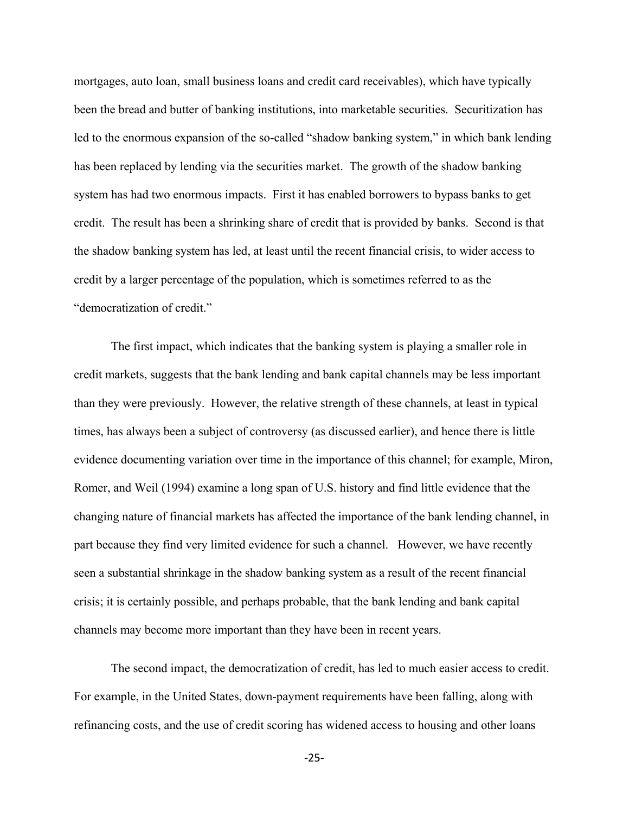mortgages, auto loan, small business loans and credit card receivables), which have typically been the bread and butter of banking institutions, into marketable securities. Securitization has led to the enormous expansion of the so-called "shadow banking system," in which bank lending has been replaced by lending via the securities market. The growth of the shadow banking system has had two enormous impacts. First it has enabled borrowers to bypass banks to get credit. The result has been a shrinking share of credit that is provided by banks. Second is that the shadow banking system has led, at least until the recent financial crisis, to wider access to credit by a larger percentage of the population, which is sometimes referred to as the "democratization of credit."

 The first impact, which indicates that the banking system is playing a smaller role in credit markets, suggests that the bank lending and bank capital channels may be less important than they were previously. However, the relative strength of these channels, at least in typical times, has always been a subject of controversy (as discussed earlier), and hence there is little evidence documenting variation over time in the importance of this channel; for example, Miron, Romer, and Weil (1994) examine a long span of U.S. history and find little evidence that the changing nature of financial markets has affected the importance of the bank lending channel, in part because they find very limited evidence for such a channel. However, we have recently seen a substantial shrinkage in the shadow banking system as a result of the recent financial crisis; it is certainly possible, and perhaps probable, that the bank lending and bank capital channels may become more important than they have been in recent years.

 The second impact, the democratization of credit, has led to much easier access to credit. For example, in the United States, down-payment requirements have been falling, along with refinancing costs, and the use of credit scoring has widened access to housing and other loans

‐25‐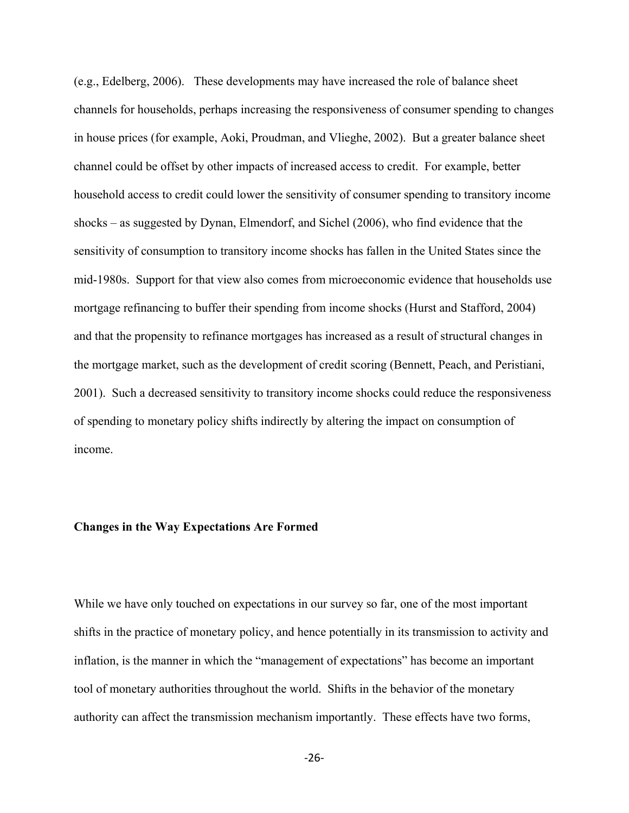(e.g., Edelberg, 2006). These developments may have increased the role of balance sheet channels for households, perhaps increasing the responsiveness of consumer spending to changes in house prices (for example, Aoki, Proudman, and Vlieghe, 2002). But a greater balance sheet channel could be offset by other impacts of increased access to credit. For example, better household access to credit could lower the sensitivity of consumer spending to transitory income shocks – as suggested by Dynan, Elmendorf, and Sichel (2006), who find evidence that the sensitivity of consumption to transitory income shocks has fallen in the United States since the mid-1980s. Support for that view also comes from microeconomic evidence that households use mortgage refinancing to buffer their spending from income shocks (Hurst and Stafford, 2004) and that the propensity to refinance mortgages has increased as a result of structural changes in the mortgage market, such as the development of credit scoring (Bennett, Peach, and Peristiani, 2001). Such a decreased sensitivity to transitory income shocks could reduce the responsiveness of spending to monetary policy shifts indirectly by altering the impact on consumption of income.

#### **Changes in the Way Expectations Are Formed**

While we have only touched on expectations in our survey so far, one of the most important shifts in the practice of monetary policy, and hence potentially in its transmission to activity and inflation, is the manner in which the "management of expectations" has become an important tool of monetary authorities throughout the world. Shifts in the behavior of the monetary authority can affect the transmission mechanism importantly. These effects have two forms,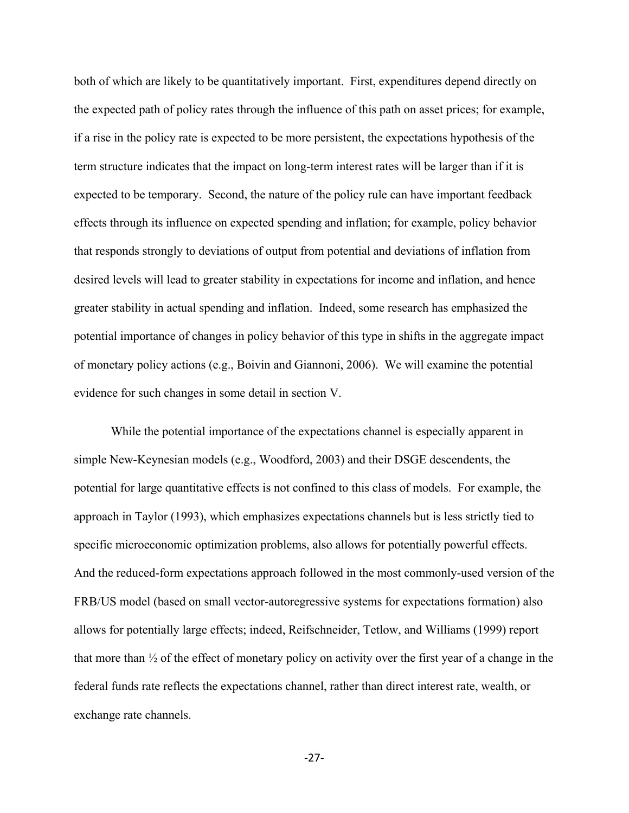both of which are likely to be quantitatively important. First, expenditures depend directly on the expected path of policy rates through the influence of this path on asset prices; for example, if a rise in the policy rate is expected to be more persistent, the expectations hypothesis of the term structure indicates that the impact on long-term interest rates will be larger than if it is expected to be temporary. Second, the nature of the policy rule can have important feedback effects through its influence on expected spending and inflation; for example, policy behavior that responds strongly to deviations of output from potential and deviations of inflation from desired levels will lead to greater stability in expectations for income and inflation, and hence greater stability in actual spending and inflation. Indeed, some research has emphasized the potential importance of changes in policy behavior of this type in shifts in the aggregate impact of monetary policy actions (e.g., Boivin and Giannoni, 2006). We will examine the potential evidence for such changes in some detail in section V.

 While the potential importance of the expectations channel is especially apparent in simple New-Keynesian models (e.g., Woodford, 2003) and their DSGE descendents, the potential for large quantitative effects is not confined to this class of models. For example, the approach in Taylor (1993), which emphasizes expectations channels but is less strictly tied to specific microeconomic optimization problems, also allows for potentially powerful effects. And the reduced-form expectations approach followed in the most commonly-used version of the FRB/US model (based on small vector-autoregressive systems for expectations formation) also allows for potentially large effects; indeed, Reifschneider, Tetlow, and Williams (1999) report that more than ½ of the effect of monetary policy on activity over the first year of a change in the federal funds rate reflects the expectations channel, rather than direct interest rate, wealth, or exchange rate channels.

‐27‐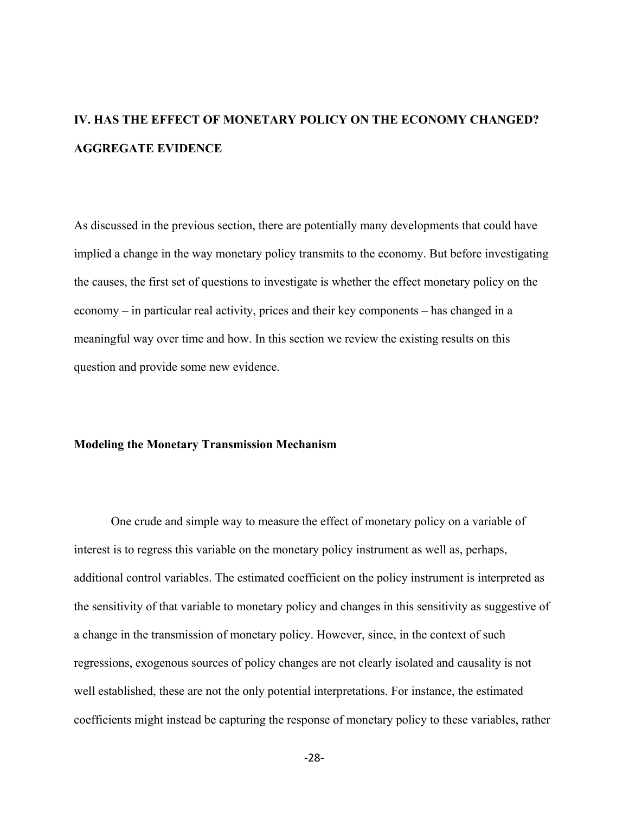# **IV. HAS THE EFFECT OF MONETARY POLICY ON THE ECONOMY CHANGED? AGGREGATE EVIDENCE**

As discussed in the previous section, there are potentially many developments that could have implied a change in the way monetary policy transmits to the economy. But before investigating the causes, the first set of questions to investigate is whether the effect monetary policy on the economy – in particular real activity, prices and their key components – has changed in a meaningful way over time and how. In this section we review the existing results on this question and provide some new evidence.

## **Modeling the Monetary Transmission Mechanism**

One crude and simple way to measure the effect of monetary policy on a variable of interest is to regress this variable on the monetary policy instrument as well as, perhaps, additional control variables. The estimated coefficient on the policy instrument is interpreted as the sensitivity of that variable to monetary policy and changes in this sensitivity as suggestive of a change in the transmission of monetary policy. However, since, in the context of such regressions, exogenous sources of policy changes are not clearly isolated and causality is not well established, these are not the only potential interpretations. For instance, the estimated coefficients might instead be capturing the response of monetary policy to these variables, rather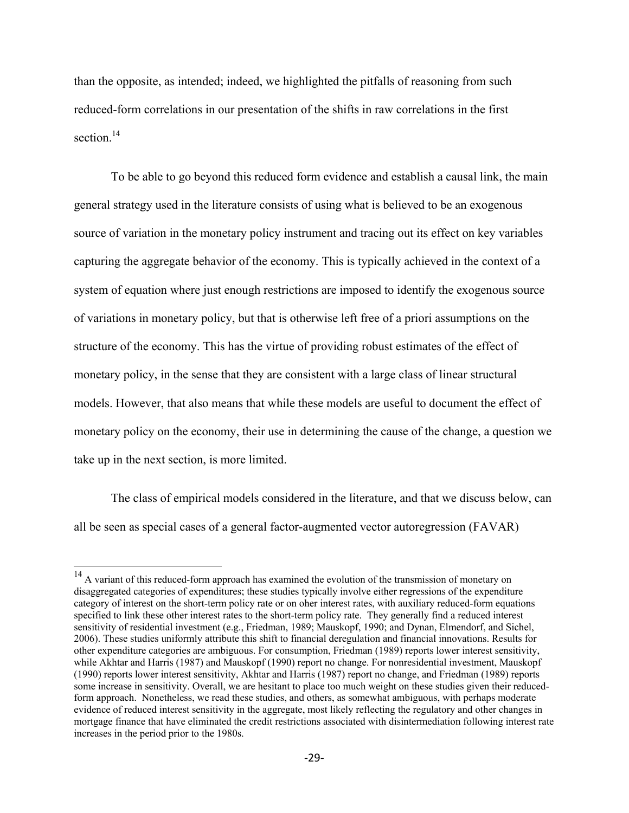than the opposite, as intended; indeed, we highlighted the pitfalls of reasoning from such reduced-form correlations in our presentation of the shifts in raw correlations in the first section<sup>14</sup>

To be able to go beyond this reduced form evidence and establish a causal link, the main general strategy used in the literature consists of using what is believed to be an exogenous source of variation in the monetary policy instrument and tracing out its effect on key variables capturing the aggregate behavior of the economy. This is typically achieved in the context of a system of equation where just enough restrictions are imposed to identify the exogenous source of variations in monetary policy, but that is otherwise left free of a priori assumptions on the structure of the economy. This has the virtue of providing robust estimates of the effect of monetary policy, in the sense that they are consistent with a large class of linear structural models. However, that also means that while these models are useful to document the effect of monetary policy on the economy, their use in determining the cause of the change, a question we take up in the next section, is more limited.

The class of empirical models considered in the literature, and that we discuss below, can all be seen as special cases of a general factor-augmented vector autoregression (FAVAR)

 $14$  A variant of this reduced-form approach has examined the evolution of the transmission of monetary on disaggregated categories of expenditures; these studies typically involve either regressions of the expenditure category of interest on the short-term policy rate or on oher interest rates, with auxiliary reduced-form equations specified to link these other interest rates to the short-term policy rate. They generally find a reduced interest sensitivity of residential investment (e.g., Friedman, 1989; Mauskopf, 1990; and Dynan, Elmendorf, and Sichel, 2006). These studies uniformly attribute this shift to financial deregulation and financial innovations. Results for other expenditure categories are ambiguous. For consumption, Friedman (1989) reports lower interest sensitivity, while Akhtar and Harris (1987) and Mauskopf (1990) report no change. For nonresidential investment, Mauskopf (1990) reports lower interest sensitivity, Akhtar and Harris (1987) report no change, and Friedman (1989) reports some increase in sensitivity. Overall, we are hesitant to place too much weight on these studies given their reducedform approach. Nonetheless, we read these studies, and others, as somewhat ambiguous, with perhaps moderate evidence of reduced interest sensitivity in the aggregate, most likely reflecting the regulatory and other changes in mortgage finance that have eliminated the credit restrictions associated with disintermediation following interest rate increases in the period prior to the 1980s.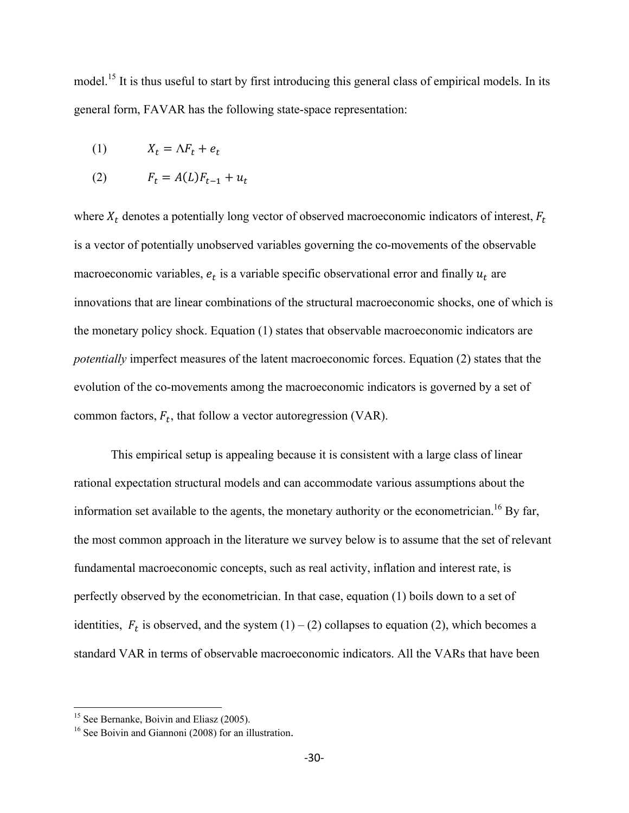model.<sup>15</sup> It is thus useful to start by first introducing this general class of empirical models. In its general form, FAVAR has the following state-space representation:

(1)  $X_t = \Lambda F_t + e_t$ 

$$
(2) \qquad F_t = A(L)F_{t-1} + u_t
$$

where  $X_t$  denotes a potentially long vector of observed macroeconomic indicators of interest,  $F_t$ is a vector of potentially unobserved variables governing the co-movements of the observable macroeconomic variables,  $e_t$  is a variable specific observational error and finally  $u_t$  are innovations that are linear combinations of the structural macroeconomic shocks, one of which is the monetary policy shock. Equation (1) states that observable macroeconomic indicators are *potentially* imperfect measures of the latent macroeconomic forces. Equation (2) states that the evolution of the co-movements among the macroeconomic indicators is governed by a set of common factors,  $F_t$ , that follow a vector autoregression (VAR).

This empirical setup is appealing because it is consistent with a large class of linear rational expectation structural models and can accommodate various assumptions about the information set available to the agents, the monetary authority or the econometrician.<sup>16</sup> By far, the most common approach in the literature we survey below is to assume that the set of relevant fundamental macroeconomic concepts, such as real activity, inflation and interest rate, is perfectly observed by the econometrician. In that case, equation (1) boils down to a set of identities,  $F_t$  is observed, and the system (1) – (2) collapses to equation (2), which becomes a standard VAR in terms of observable macroeconomic indicators. All the VARs that have been

<sup>&</sup>lt;sup>15</sup> See Bernanke, Boivin and Eliasz (2005).

<sup>&</sup>lt;sup>16</sup> See Boivin and Giannoni (2008) for an illustration.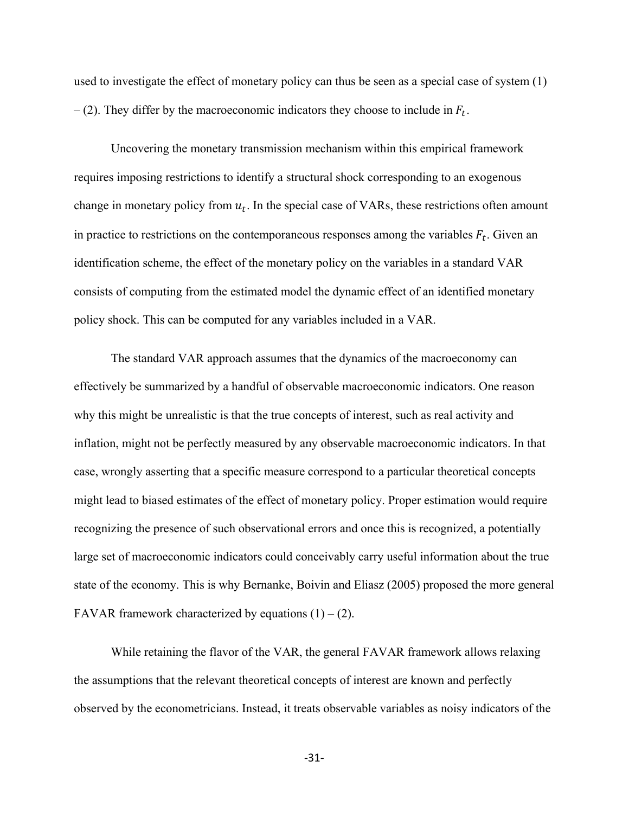used to investigate the effect of monetary policy can thus be seen as a special case of system (1) – (2). They differ by the macroeconomic indicators they choose to include in  $F_t$ .

Uncovering the monetary transmission mechanism within this empirical framework requires imposing restrictions to identify a structural shock corresponding to an exogenous change in monetary policy from  $u_t$ . In the special case of VARs, these restrictions often amount in practice to restrictions on the contemporaneous responses among the variables  $F_t$ . Given an identification scheme, the effect of the monetary policy on the variables in a standard VAR consists of computing from the estimated model the dynamic effect of an identified monetary policy shock. This can be computed for any variables included in a VAR.

The standard VAR approach assumes that the dynamics of the macroeconomy can effectively be summarized by a handful of observable macroeconomic indicators. One reason why this might be unrealistic is that the true concepts of interest, such as real activity and inflation, might not be perfectly measured by any observable macroeconomic indicators. In that case, wrongly asserting that a specific measure correspond to a particular theoretical concepts might lead to biased estimates of the effect of monetary policy. Proper estimation would require recognizing the presence of such observational errors and once this is recognized, a potentially large set of macroeconomic indicators could conceivably carry useful information about the true state of the economy. This is why Bernanke, Boivin and Eliasz (2005) proposed the more general FAVAR framework characterized by equations  $(1) - (2)$ .

While retaining the flavor of the VAR, the general FAVAR framework allows relaxing the assumptions that the relevant theoretical concepts of interest are known and perfectly observed by the econometricians. Instead, it treats observable variables as noisy indicators of the

‐31‐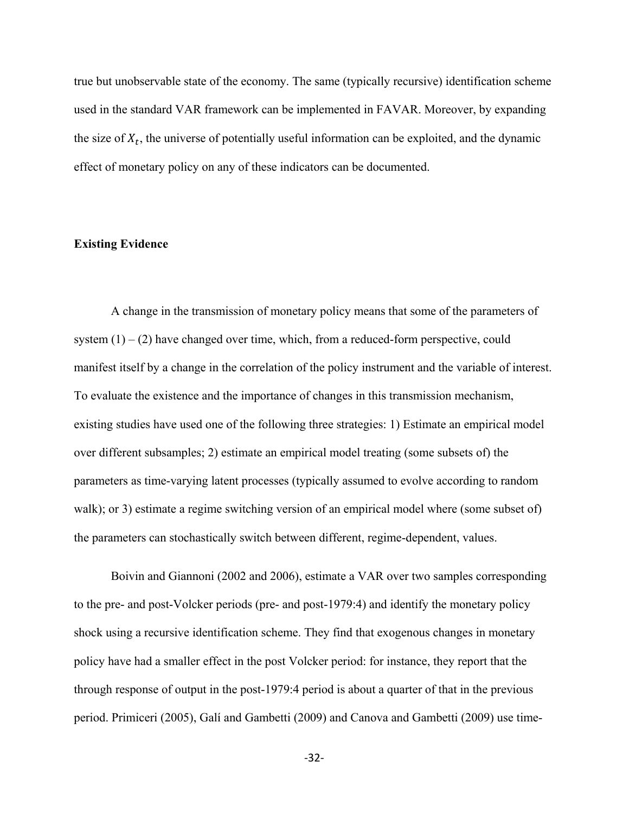true but unobservable state of the economy. The same (typically recursive) identification scheme used in the standard VAR framework can be implemented in FAVAR. Moreover, by expanding the size of  $X_t$ , the universe of potentially useful information can be exploited, and the dynamic effect of monetary policy on any of these indicators can be documented.

# **Existing Evidence**

A change in the transmission of monetary policy means that some of the parameters of system  $(1) - (2)$  have changed over time, which, from a reduced-form perspective, could manifest itself by a change in the correlation of the policy instrument and the variable of interest. To evaluate the existence and the importance of changes in this transmission mechanism, existing studies have used one of the following three strategies: 1) Estimate an empirical model over different subsamples; 2) estimate an empirical model treating (some subsets of) the parameters as time-varying latent processes (typically assumed to evolve according to random walk); or 3) estimate a regime switching version of an empirical model where (some subset of) the parameters can stochastically switch between different, regime-dependent, values.

Boivin and Giannoni (2002 and 2006), estimate a VAR over two samples corresponding to the pre- and post-Volcker periods (pre- and post-1979:4) and identify the monetary policy shock using a recursive identification scheme. They find that exogenous changes in monetary policy have had a smaller effect in the post Volcker period: for instance, they report that the through response of output in the post-1979:4 period is about a quarter of that in the previous period. Primiceri (2005), Galí and Gambetti (2009) and Canova and Gambetti (2009) use time-

‐32‐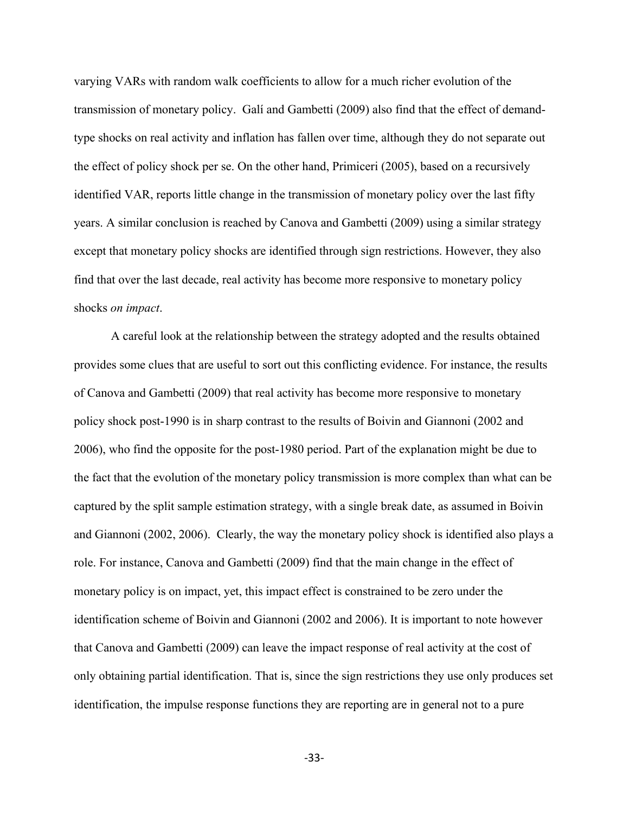varying VARs with random walk coefficients to allow for a much richer evolution of the transmission of monetary policy. Galí and Gambetti (2009) also find that the effect of demandtype shocks on real activity and inflation has fallen over time, although they do not separate out the effect of policy shock per se. On the other hand, Primiceri (2005), based on a recursively identified VAR, reports little change in the transmission of monetary policy over the last fifty years. A similar conclusion is reached by Canova and Gambetti (2009) using a similar strategy except that monetary policy shocks are identified through sign restrictions. However, they also find that over the last decade, real activity has become more responsive to monetary policy shocks *on impact*.

A careful look at the relationship between the strategy adopted and the results obtained provides some clues that are useful to sort out this conflicting evidence. For instance, the results of Canova and Gambetti (2009) that real activity has become more responsive to monetary policy shock post-1990 is in sharp contrast to the results of Boivin and Giannoni (2002 and 2006), who find the opposite for the post-1980 period. Part of the explanation might be due to the fact that the evolution of the monetary policy transmission is more complex than what can be captured by the split sample estimation strategy, with a single break date, as assumed in Boivin and Giannoni (2002, 2006). Clearly, the way the monetary policy shock is identified also plays a role. For instance, Canova and Gambetti (2009) find that the main change in the effect of monetary policy is on impact, yet, this impact effect is constrained to be zero under the identification scheme of Boivin and Giannoni (2002 and 2006). It is important to note however that Canova and Gambetti (2009) can leave the impact response of real activity at the cost of only obtaining partial identification. That is, since the sign restrictions they use only produces set identification, the impulse response functions they are reporting are in general not to a pure

‐33‐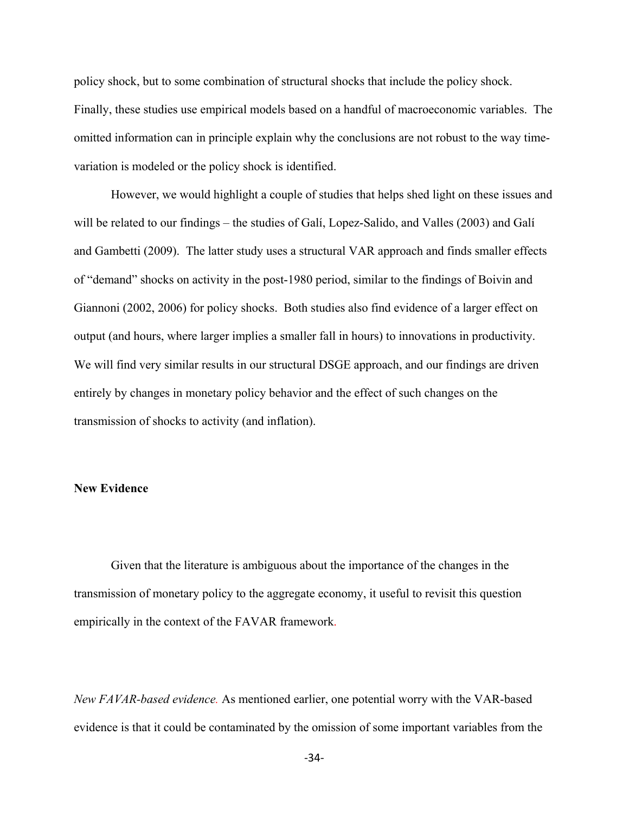policy shock, but to some combination of structural shocks that include the policy shock. Finally, these studies use empirical models based on a handful of macroeconomic variables. The omitted information can in principle explain why the conclusions are not robust to the way timevariation is modeled or the policy shock is identified.

However, we would highlight a couple of studies that helps shed light on these issues and will be related to our findings – the studies of Galí, Lopez-Salido, and Valles (2003) and Galí and Gambetti (2009). The latter study uses a structural VAR approach and finds smaller effects of "demand" shocks on activity in the post-1980 period, similar to the findings of Boivin and Giannoni (2002, 2006) for policy shocks. Both studies also find evidence of a larger effect on output (and hours, where larger implies a smaller fall in hours) to innovations in productivity. We will find very similar results in our structural DSGE approach, and our findings are driven entirely by changes in monetary policy behavior and the effect of such changes on the transmission of shocks to activity (and inflation).

# **New Evidence**

Given that the literature is ambiguous about the importance of the changes in the transmission of monetary policy to the aggregate economy, it useful to revisit this question empirically in the context of the FAVAR framework.

*New FAVAR-based evidence.* As mentioned earlier, one potential worry with the VAR-based evidence is that it could be contaminated by the omission of some important variables from the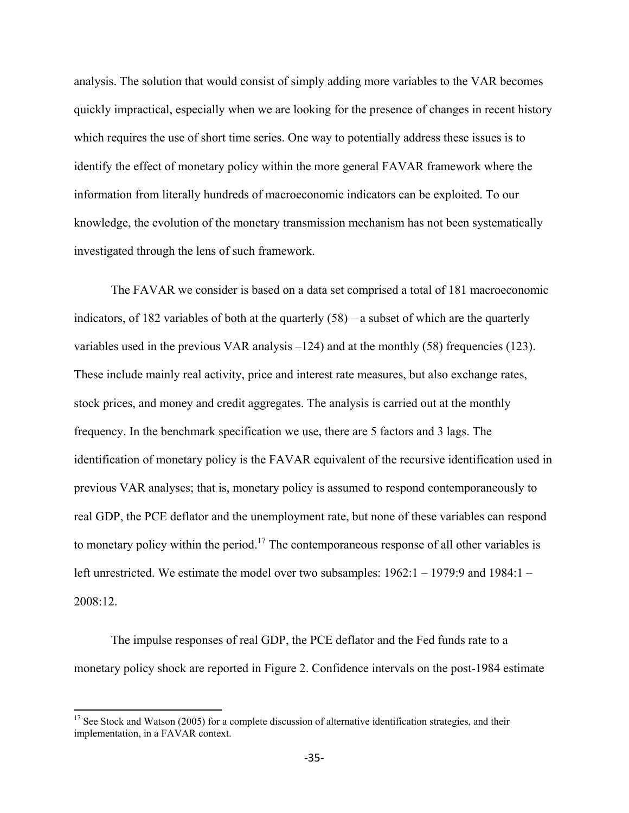analysis. The solution that would consist of simply adding more variables to the VAR becomes quickly impractical, especially when we are looking for the presence of changes in recent history which requires the use of short time series. One way to potentially address these issues is to identify the effect of monetary policy within the more general FAVAR framework where the information from literally hundreds of macroeconomic indicators can be exploited. To our knowledge, the evolution of the monetary transmission mechanism has not been systematically investigated through the lens of such framework.

The FAVAR we consider is based on a data set comprised a total of 181 macroeconomic indicators, of 182 variables of both at the quarterly (58) – a subset of which are the quarterly variables used in the previous VAR analysis –124) and at the monthly (58) frequencies (123). These include mainly real activity, price and interest rate measures, but also exchange rates, stock prices, and money and credit aggregates. The analysis is carried out at the monthly frequency. In the benchmark specification we use, there are 5 factors and 3 lags. The identification of monetary policy is the FAVAR equivalent of the recursive identification used in previous VAR analyses; that is, monetary policy is assumed to respond contemporaneously to real GDP, the PCE deflator and the unemployment rate, but none of these variables can respond to monetary policy within the period.<sup>17</sup> The contemporaneous response of all other variables is left unrestricted. We estimate the model over two subsamples:  $1962:1 - 1979:9$  and  $1984:1 -$ 2008:12.

The impulse responses of real GDP, the PCE deflator and the Fed funds rate to a monetary policy shock are reported in Figure 2. Confidence intervals on the post-1984 estimate

 $17$  See Stock and Watson (2005) for a complete discussion of alternative identification strategies, and their implementation, in a FAVAR context.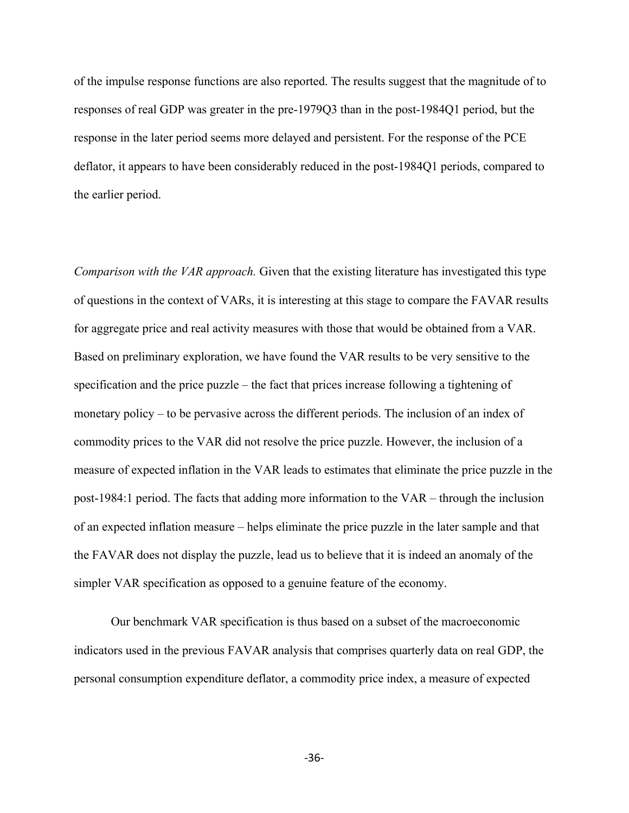of the impulse response functions are also reported. The results suggest that the magnitude of to responses of real GDP was greater in the pre-1979Q3 than in the post-1984Q1 period, but the response in the later period seems more delayed and persistent. For the response of the PCE deflator, it appears to have been considerably reduced in the post-1984Q1 periods, compared to the earlier period.

*Comparison with the VAR approach.* Given that the existing literature has investigated this type of questions in the context of VARs, it is interesting at this stage to compare the FAVAR results for aggregate price and real activity measures with those that would be obtained from a VAR. Based on preliminary exploration, we have found the VAR results to be very sensitive to the specification and the price puzzle – the fact that prices increase following a tightening of monetary policy – to be pervasive across the different periods. The inclusion of an index of commodity prices to the VAR did not resolve the price puzzle. However, the inclusion of a measure of expected inflation in the VAR leads to estimates that eliminate the price puzzle in the post-1984:1 period. The facts that adding more information to the VAR – through the inclusion of an expected inflation measure – helps eliminate the price puzzle in the later sample and that the FAVAR does not display the puzzle, lead us to believe that it is indeed an anomaly of the simpler VAR specification as opposed to a genuine feature of the economy.

Our benchmark VAR specification is thus based on a subset of the macroeconomic indicators used in the previous FAVAR analysis that comprises quarterly data on real GDP, the personal consumption expenditure deflator, a commodity price index, a measure of expected

‐36‐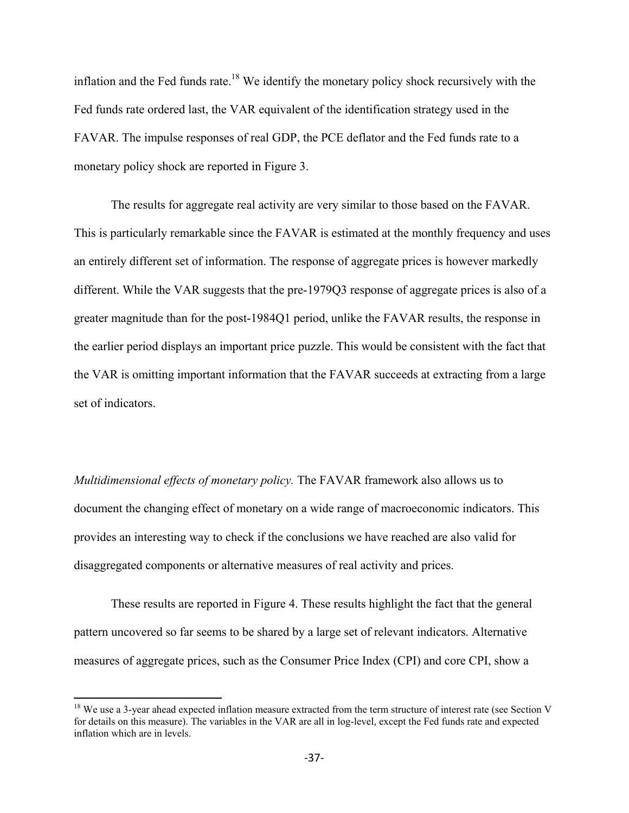inflation and the Fed funds rate.<sup>18</sup> We identify the monetary policy shock recursively with the Fed funds rate ordered last, the VAR equivalent of the identification strategy used in the FAVAR. The impulse responses of real GDP, the PCE deflator and the Fed funds rate to a monetary policy shock are reported in Figure 3.

The results for aggregate real activity are very similar to those based on the FAVAR. This is particularly remarkable since the FAVAR is estimated at the monthly frequency and uses an entirely different set of information. The response of aggregate prices is however markedly different. While the VAR suggests that the pre-1979Q3 response of aggregate prices is also of a greater magnitude than for the post-1984Q1 period, unlike the FAVAR results, the response in the earlier period displays an important price puzzle. This would be consistent with the fact that the VAR is omitting important information that the FAVAR succeeds at extracting from a large set of indicators.

*Multidimensional effects of monetary policy.* The FAVAR framework also allows us to document the changing effect of monetary on a wide range of macroeconomic indicators. This provides an interesting way to check if the conclusions we have reached are also valid for disaggregated components or alternative measures of real activity and prices.

These results are reported in Figure 4. These results highlight the fact that the general pattern uncovered so far seems to be shared by a large set of relevant indicators. Alternative measures of aggregate prices, such as the Consumer Price Index (CPI) and core CPI, show a

<sup>&</sup>lt;sup>18</sup> We use a 3-year ahead expected inflation measure extracted from the term structure of interest rate (see Section V for details on this measure). The variables in the VAR are all in log-level, except the Fed funds rate and expected inflation which are in levels.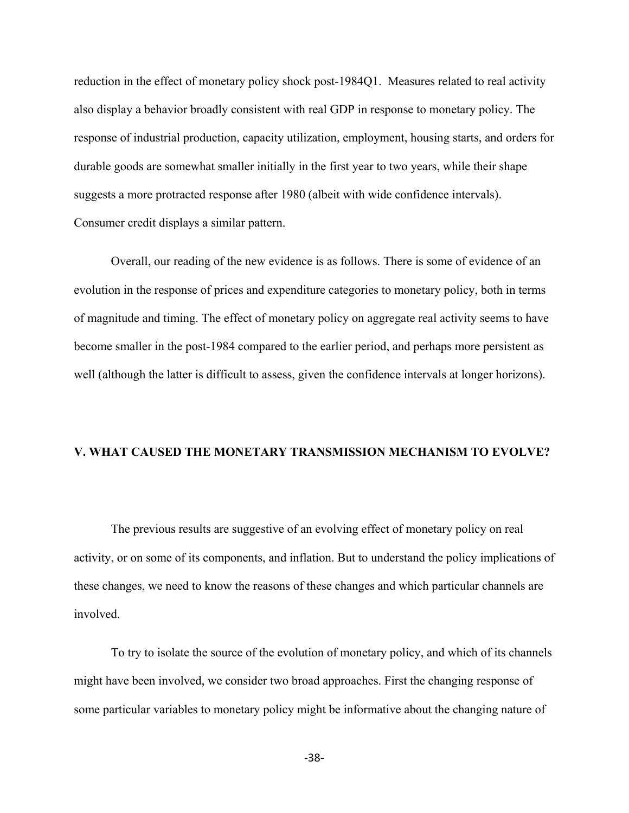reduction in the effect of monetary policy shock post-1984Q1. Measures related to real activity also display a behavior broadly consistent with real GDP in response to monetary policy. The response of industrial production, capacity utilization, employment, housing starts, and orders for durable goods are somewhat smaller initially in the first year to two years, while their shape suggests a more protracted response after 1980 (albeit with wide confidence intervals). Consumer credit displays a similar pattern.

Overall, our reading of the new evidence is as follows. There is some of evidence of an evolution in the response of prices and expenditure categories to monetary policy, both in terms of magnitude and timing. The effect of monetary policy on aggregate real activity seems to have become smaller in the post-1984 compared to the earlier period, and perhaps more persistent as well (although the latter is difficult to assess, given the confidence intervals at longer horizons).

## **V. WHAT CAUSED THE MONETARY TRANSMISSION MECHANISM TO EVOLVE?**

The previous results are suggestive of an evolving effect of monetary policy on real activity, or on some of its components, and inflation. But to understand the policy implications of these changes, we need to know the reasons of these changes and which particular channels are involved.

To try to isolate the source of the evolution of monetary policy, and which of its channels might have been involved, we consider two broad approaches. First the changing response of some particular variables to monetary policy might be informative about the changing nature of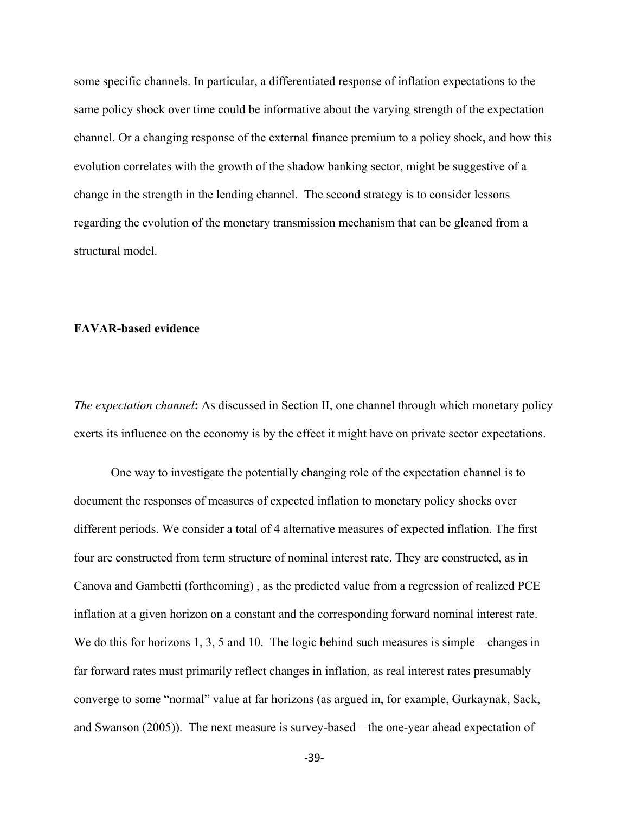some specific channels. In particular, a differentiated response of inflation expectations to the same policy shock over time could be informative about the varying strength of the expectation channel. Or a changing response of the external finance premium to a policy shock, and how this evolution correlates with the growth of the shadow banking sector, might be suggestive of a change in the strength in the lending channel. The second strategy is to consider lessons regarding the evolution of the monetary transmission mechanism that can be gleaned from a structural model.

## **FAVAR-based evidence**

*The expectation channel***:** As discussed in Section II, one channel through which monetary policy exerts its influence on the economy is by the effect it might have on private sector expectations.

One way to investigate the potentially changing role of the expectation channel is to document the responses of measures of expected inflation to monetary policy shocks over different periods. We consider a total of 4 alternative measures of expected inflation. The first four are constructed from term structure of nominal interest rate. They are constructed, as in Canova and Gambetti (forthcoming) , as the predicted value from a regression of realized PCE inflation at a given horizon on a constant and the corresponding forward nominal interest rate. We do this for horizons 1, 3, 5 and 10. The logic behind such measures is simple – changes in far forward rates must primarily reflect changes in inflation, as real interest rates presumably converge to some "normal" value at far horizons (as argued in, for example, Gurkaynak, Sack, and Swanson (2005)). The next measure is survey-based – the one-year ahead expectation of

‐39‐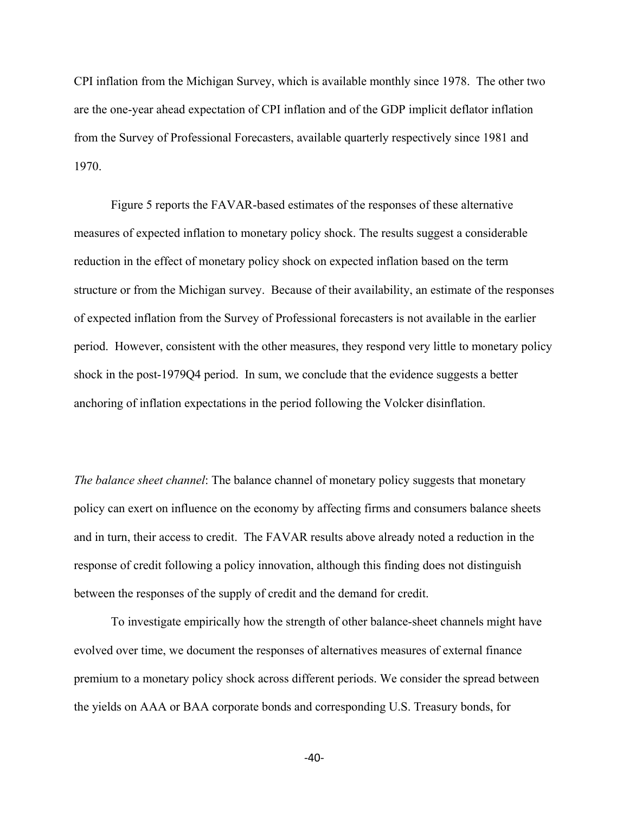CPI inflation from the Michigan Survey, which is available monthly since 1978. The other two are the one-year ahead expectation of CPI inflation and of the GDP implicit deflator inflation from the Survey of Professional Forecasters, available quarterly respectively since 1981 and 1970.

Figure 5 reports the FAVAR-based estimates of the responses of these alternative measures of expected inflation to monetary policy shock. The results suggest a considerable reduction in the effect of monetary policy shock on expected inflation based on the term structure or from the Michigan survey. Because of their availability, an estimate of the responses of expected inflation from the Survey of Professional forecasters is not available in the earlier period. However, consistent with the other measures, they respond very little to monetary policy shock in the post-1979Q4 period. In sum, we conclude that the evidence suggests a better anchoring of inflation expectations in the period following the Volcker disinflation.

*The balance sheet channel*: The balance channel of monetary policy suggests that monetary policy can exert on influence on the economy by affecting firms and consumers balance sheets and in turn, their access to credit. The FAVAR results above already noted a reduction in the response of credit following a policy innovation, although this finding does not distinguish between the responses of the supply of credit and the demand for credit.

 To investigate empirically how the strength of other balance-sheet channels might have evolved over time, we document the responses of alternatives measures of external finance premium to a monetary policy shock across different periods. We consider the spread between the yields on AAA or BAA corporate bonds and corresponding U.S. Treasury bonds, for

‐40‐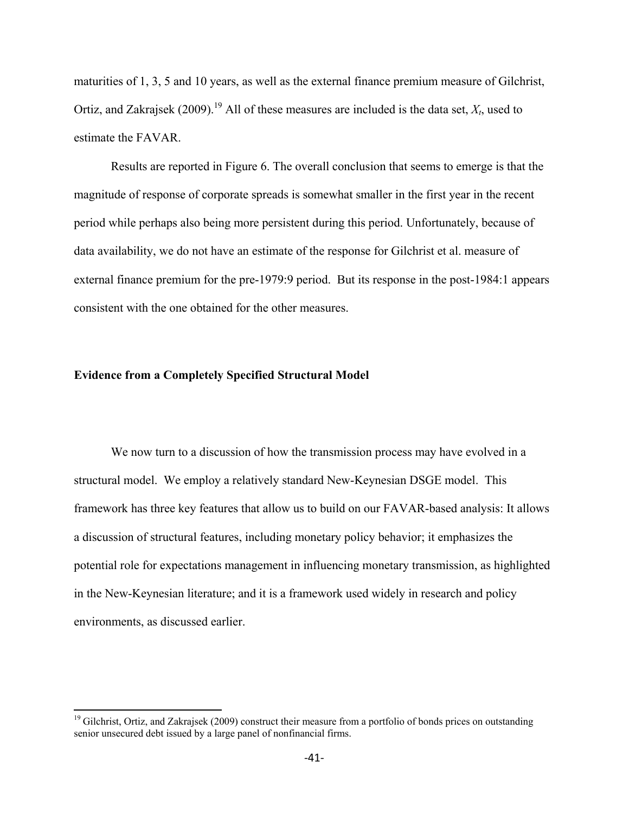maturities of 1, 3, 5 and 10 years, as well as the external finance premium measure of Gilchrist, Ortiz, and Zakrajsek (2009).<sup>19</sup> All of these measures are included is the data set,  $X_t$ , used to estimate the FAVAR.

 Results are reported in Figure 6. The overall conclusion that seems to emerge is that the magnitude of response of corporate spreads is somewhat smaller in the first year in the recent period while perhaps also being more persistent during this period. Unfortunately, because of data availability, we do not have an estimate of the response for Gilchrist et al. measure of external finance premium for the pre-1979:9 period. But its response in the post-1984:1 appears consistent with the one obtained for the other measures.

### **Evidence from a Completely Specified Structural Model**

We now turn to a discussion of how the transmission process may have evolved in a structural model. We employ a relatively standard New-Keynesian DSGE model. This framework has three key features that allow us to build on our FAVAR-based analysis: It allows a discussion of structural features, including monetary policy behavior; it emphasizes the potential role for expectations management in influencing monetary transmission, as highlighted in the New-Keynesian literature; and it is a framework used widely in research and policy environments, as discussed earlier.

<sup>&</sup>lt;sup>19</sup> Gilchrist, Ortiz, and Zakrajsek (2009) construct their measure from a portfolio of bonds prices on outstanding senior unsecured debt issued by a large panel of nonfinancial firms.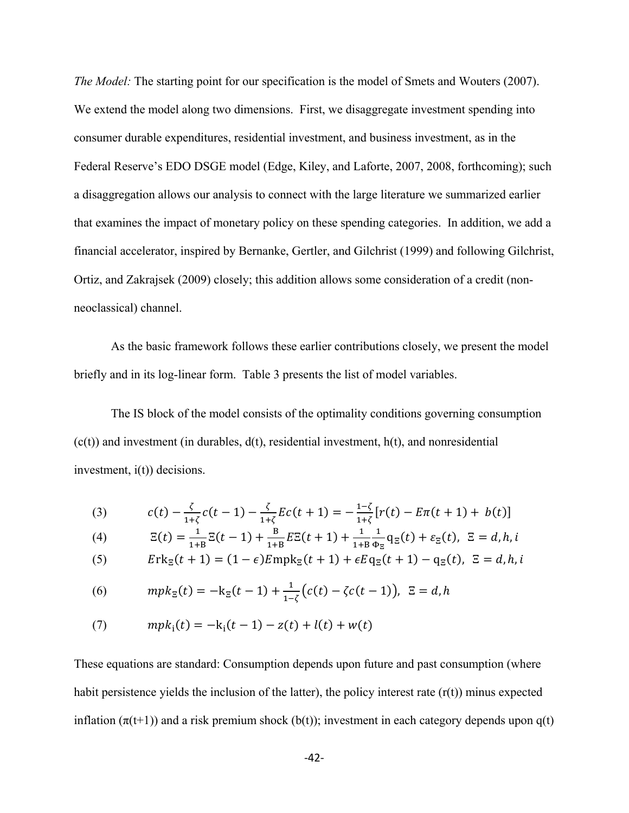*The Model:* The starting point for our specification is the model of Smets and Wouters (2007). We extend the model along two dimensions. First, we disaggregate investment spending into consumer durable expenditures, residential investment, and business investment, as in the Federal Reserve's EDO DSGE model (Edge, Kiley, and Laforte, 2007, 2008, forthcoming); such a disaggregation allows our analysis to connect with the large literature we summarized earlier that examines the impact of monetary policy on these spending categories. In addition, we add a financial accelerator, inspired by Bernanke, Gertler, and Gilchrist (1999) and following Gilchrist, Ortiz, and Zakrajsek (2009) closely; this addition allows some consideration of a credit (nonneoclassical) channel.

As the basic framework follows these earlier contributions closely, we present the model briefly and in its log-linear form. Table 3 presents the list of model variables.

 The IS block of the model consists of the optimality conditions governing consumption  $(c(t))$  and investment (in durables,  $d(t)$ , residential investment,  $h(t)$ , and nonresidential investment, i(t)) decisions.

(3) 
$$
c(t) - \frac{\zeta}{1+\zeta}c(t-1) - \frac{\zeta}{1+\zeta}Ec(t+1) = -\frac{1-\zeta}{1+\zeta}[r(t) - E\pi(t+1) + b(t)]
$$

(4) 
$$
\Xi(t) = \frac{1}{1+B} \Xi(t-1) + \frac{B}{1+B} E \Xi(t+1) + \frac{1}{1+B} \frac{1}{\Phi_{\Xi}} q_{\Xi}(t) + \varepsilon_{\Xi}(t), \ \Xi = d, h, i
$$

(5) 
$$
Erk_{\Xi}(t+1) = (1-\epsilon)Empk_{\Xi}(t+1) + \epsilon Eq_{\Xi}(t+1) - q_{\Xi}(t), \ \Xi = d, h, i
$$

(6) 
$$
m p k_{\mathbb{E}}(t) = -k_{\mathbb{E}}(t-1) + \frac{1}{1-\zeta} (c(t) - \zeta c(t-1)), \ \ \mathbb{E} = d, h
$$

(7) 
$$
mpki(t) = -ki(t-1) - z(t) + l(t) + w(t)
$$

These equations are standard: Consumption depends upon future and past consumption (where habit persistence yields the inclusion of the latter), the policy interest rate  $(r(t))$  minus expected inflation  $(\pi(t+1))$  and a risk premium shock (b(t)); investment in each category depends upon q(t)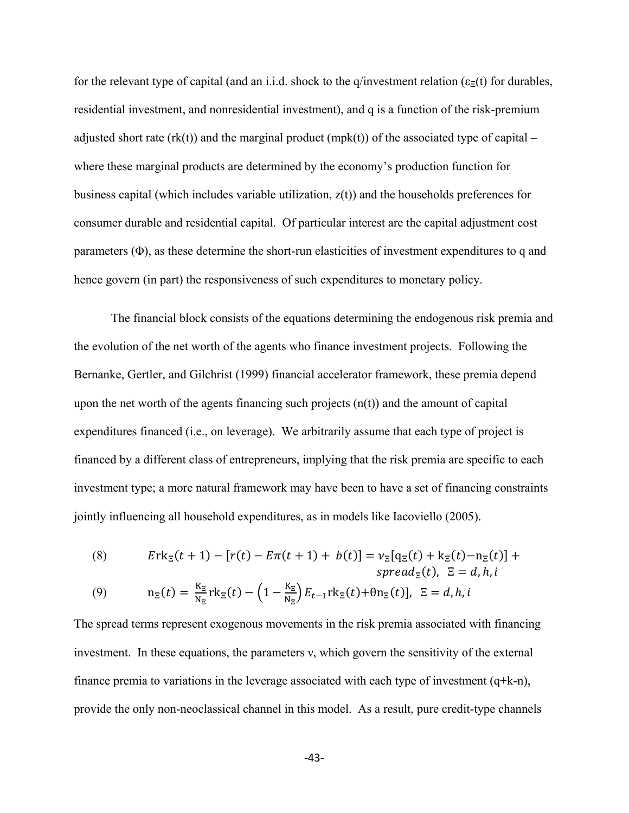for the relevant type of capital (and an i.i.d. shock to the q/investment relation ( $\varepsilon$ =(t) for durables, residential investment, and nonresidential investment), and q is a function of the risk-premium adjusted short rate (rk(t)) and the marginal product (mpk(t)) of the associated type of capital – where these marginal products are determined by the economy's production function for business capital (which includes variable utilization,  $z(t)$ ) and the households preferences for consumer durable and residential capital. Of particular interest are the capital adjustment cost parameters (Φ), as these determine the short-run elasticities of investment expenditures to q and hence govern (in part) the responsiveness of such expenditures to monetary policy.

 The financial block consists of the equations determining the endogenous risk premia and the evolution of the net worth of the agents who finance investment projects. Following the Bernanke, Gertler, and Gilchrist (1999) financial accelerator framework, these premia depend upon the net worth of the agents financing such projects  $(n(t))$  and the amount of capital expenditures financed (i.e., on leverage). We arbitrarily assume that each type of project is financed by a different class of entrepreneurs, implying that the risk premia are specific to each investment type; a more natural framework may have been to have a set of financing constraints jointly influencing all household expenditures, as in models like Iacoviello (2005).

(8) 
$$
Erk_{\Xi}(t+1) - [r(t) - E\pi(t+1) + b(t)] = \nu_{\Xi}[q_{\Xi}(t) + k_{\Xi}(t) - n_{\Xi}(t)] +
$$
  
spread<sub>z</sub>(t),  $\Xi = d, h, i$ 

(9) 
$$
n_{\Xi}(t) = \frac{K_{\Xi}}{N_{\Xi}} \operatorname{rk}_{\Xi}(t) - \left(1 - \frac{K_{\Xi}}{N_{\Xi}}\right) E_{t-1} \operatorname{rk}_{\Xi}(t) + \theta n_{\Xi}(t), \ \ \Xi = d, h, i
$$

The spread terms represent exogenous movements in the risk premia associated with financing investment. In these equations, the parameters  $v$ , which govern the sensitivity of the external finance premia to variations in the leverage associated with each type of investment  $(q+k-n)$ , provide the only non-neoclassical channel in this model. As a result, pure credit-type channels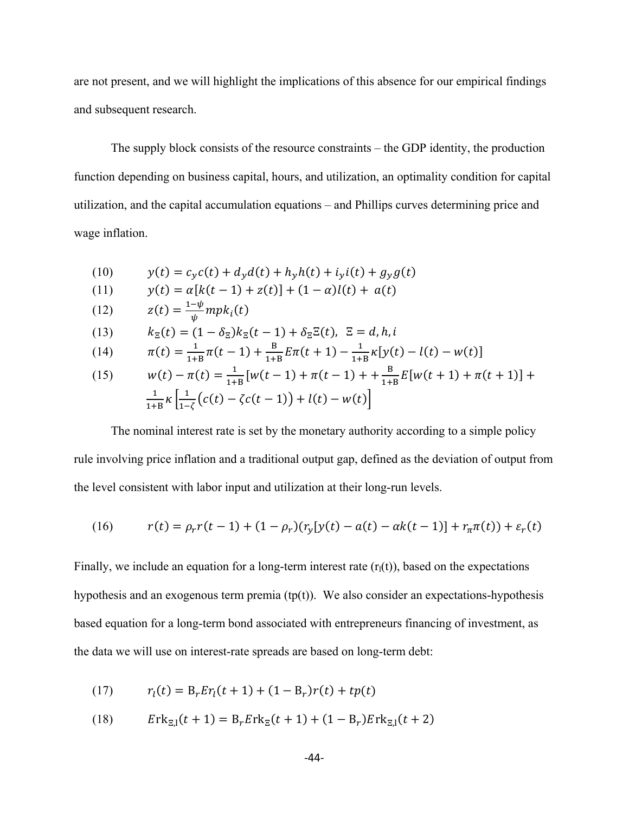are not present, and we will highlight the implications of this absence for our empirical findings and subsequent research.

 The supply block consists of the resource constraints – the GDP identity, the production function depending on business capital, hours, and utilization, an optimality condition for capital utilization, and the capital accumulation equations – and Phillips curves determining price and wage inflation.

- (10)  $y(t) = c_v c(t) + d_v d(t) + h_v h(t) + i_v i(t) + g_v g(t)$
- (11)  $y(t) = \alpha[k(t-1) + z(t)] + (1-\alpha)l(t) + \alpha(t)$
- (12)  $z(t) = \frac{1-\psi}{\psi}mpk_i(t)$
- (13)  $k_{\rm g}(t) = (1 \delta_{\rm g}) k_{\rm g}(t 1) + \delta_{\rm g} \Xi(t), \ \Xi = d, h, i$
- (14)  $\pi(t) = \frac{1}{1+B} \pi(t-1) + \frac{B}{1+B} E \pi(t+1) \frac{1}{1+B} \kappa [y(t) l(t) w(t)]$

(15) 
$$
w(t) - \pi(t) = \frac{1}{1+B} [w(t-1) + \pi(t-1) + \frac{B}{1+B} E[w(t+1) + \pi(t+1)] + \frac{1}{1+B} \kappa \left[ \frac{1}{1-\zeta} (c(t) - \zeta c(t-1)) + l(t) - w(t) \right]
$$

 The nominal interest rate is set by the monetary authority according to a simple policy rule involving price inflation and a traditional output gap, defined as the deviation of output from the level consistent with labor input and utilization at their long-run levels.

(16) 
$$
r(t) = \rho_r r(t-1) + (1 - \rho_r) (r_y [y(t) - a(t) - \alpha k(t-1)] + r_\pi \pi(t)) + \varepsilon_r(t)
$$

Finally, we include an equation for a long-term interest rate  $(r<sub>l</sub>(t))$ , based on the expectations hypothesis and an exogenous term premia  $(tp(t))$ . We also consider an expectations-hypothesis based equation for a long-term bond associated with entrepreneurs financing of investment, as the data we will use on interest-rate spreads are based on long-term debt:

(17) 
$$
r_l(t) = B_r E r_l(t+1) + (1 - B_r) r(t) + t p(t)
$$

(18) 
$$
Erk_{\mathbf{z},\mathbf{l}}(t+1) = B_r Erk_{\mathbf{z}}(t+1) + (1 - B_r) Erk_{\mathbf{z},\mathbf{l}}(t+2)
$$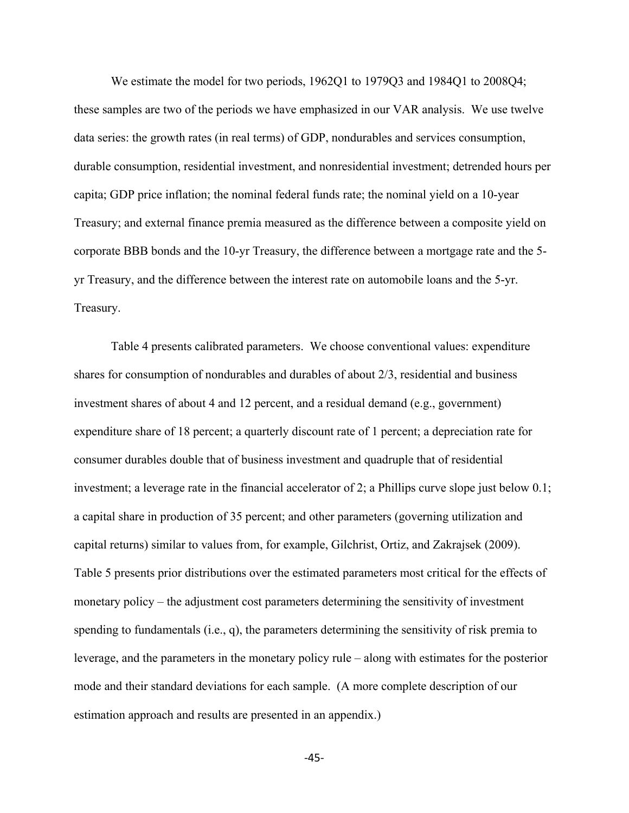We estimate the model for two periods, 1962Q1 to 1979Q3 and 1984Q1 to 2008Q4; these samples are two of the periods we have emphasized in our VAR analysis. We use twelve data series: the growth rates (in real terms) of GDP, nondurables and services consumption, durable consumption, residential investment, and nonresidential investment; detrended hours per capita; GDP price inflation; the nominal federal funds rate; the nominal yield on a 10-year Treasury; and external finance premia measured as the difference between a composite yield on corporate BBB bonds and the 10-yr Treasury, the difference between a mortgage rate and the 5 yr Treasury, and the difference between the interest rate on automobile loans and the 5-yr. Treasury.

Table 4 presents calibrated parameters. We choose conventional values: expenditure shares for consumption of nondurables and durables of about 2/3, residential and business investment shares of about 4 and 12 percent, and a residual demand (e.g., government) expenditure share of 18 percent; a quarterly discount rate of 1 percent; a depreciation rate for consumer durables double that of business investment and quadruple that of residential investment; a leverage rate in the financial accelerator of 2; a Phillips curve slope just below 0.1; a capital share in production of 35 percent; and other parameters (governing utilization and capital returns) similar to values from, for example, Gilchrist, Ortiz, and Zakrajsek (2009). Table 5 presents prior distributions over the estimated parameters most critical for the effects of monetary policy – the adjustment cost parameters determining the sensitivity of investment spending to fundamentals (i.e., q), the parameters determining the sensitivity of risk premia to leverage, and the parameters in the monetary policy rule – along with estimates for the posterior mode and their standard deviations for each sample. (A more complete description of our estimation approach and results are presented in an appendix.)

‐45‐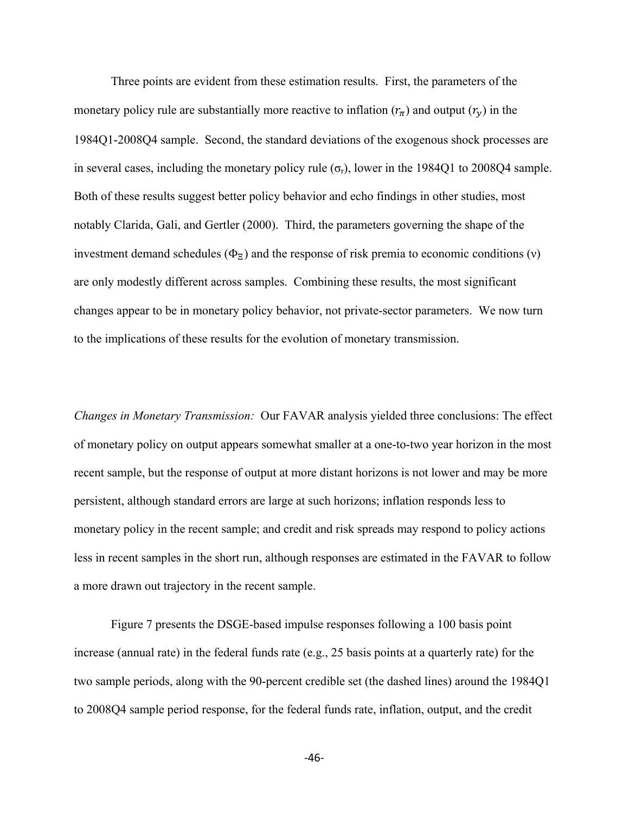Three points are evident from these estimation results. First, the parameters of the monetary policy rule are substantially more reactive to inflation  $(r_{\pi})$  and output  $(r_{\nu})$  in the 1984Q1-2008Q4 sample. Second, the standard deviations of the exogenous shock processes are in several cases, including the monetary policy rule  $(\sigma_r)$ , lower in the 1984Q1 to 2008Q4 sample. Both of these results suggest better policy behavior and echo findings in other studies, most notably Clarida, Gali, and Gertler (2000). Third, the parameters governing the shape of the investment demand schedules ( $\Phi_{\pi}$ ) and the response of risk premia to economic conditions (v) are only modestly different across samples. Combining these results, the most significant changes appear to be in monetary policy behavior, not private-sector parameters. We now turn to the implications of these results for the evolution of monetary transmission.

*Changes in Monetary Transmission:* Our FAVAR analysis yielded three conclusions: The effect of monetary policy on output appears somewhat smaller at a one-to-two year horizon in the most recent sample, but the response of output at more distant horizons is not lower and may be more persistent, although standard errors are large at such horizons; inflation responds less to monetary policy in the recent sample; and credit and risk spreads may respond to policy actions less in recent samples in the short run, although responses are estimated in the FAVAR to follow a more drawn out trajectory in the recent sample.

 Figure 7 presents the DSGE-based impulse responses following a 100 basis point increase (annual rate) in the federal funds rate (e.g., 25 basis points at a quarterly rate) for the two sample periods, along with the 90-percent credible set (the dashed lines) around the 1984Q1 to 2008Q4 sample period response, for the federal funds rate, inflation, output, and the credit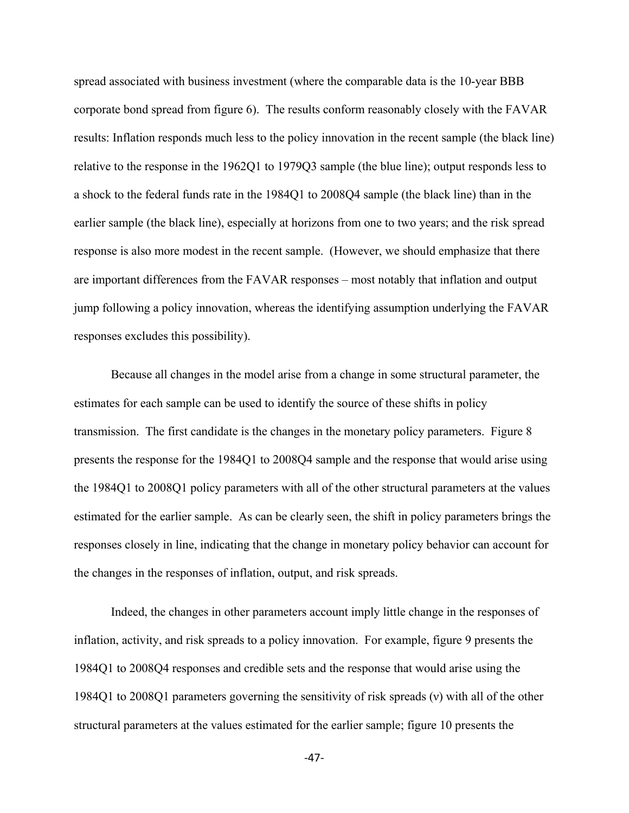spread associated with business investment (where the comparable data is the 10-year BBB corporate bond spread from figure 6). The results conform reasonably closely with the FAVAR results: Inflation responds much less to the policy innovation in the recent sample (the black line) relative to the response in the 1962Q1 to 1979Q3 sample (the blue line); output responds less to a shock to the federal funds rate in the 1984Q1 to 2008Q4 sample (the black line) than in the earlier sample (the black line), especially at horizons from one to two years; and the risk spread response is also more modest in the recent sample. (However, we should emphasize that there are important differences from the FAVAR responses – most notably that inflation and output jump following a policy innovation, whereas the identifying assumption underlying the FAVAR responses excludes this possibility).

 Because all changes in the model arise from a change in some structural parameter, the estimates for each sample can be used to identify the source of these shifts in policy transmission. The first candidate is the changes in the monetary policy parameters. Figure 8 presents the response for the 1984Q1 to 2008Q4 sample and the response that would arise using the 1984Q1 to 2008Q1 policy parameters with all of the other structural parameters at the values estimated for the earlier sample. As can be clearly seen, the shift in policy parameters brings the responses closely in line, indicating that the change in monetary policy behavior can account for the changes in the responses of inflation, output, and risk spreads.

 Indeed, the changes in other parameters account imply little change in the responses of inflation, activity, and risk spreads to a policy innovation. For example, figure 9 presents the 1984Q1 to 2008Q4 responses and credible sets and the response that would arise using the 1984Q1 to 2008Q1 parameters governing the sensitivity of risk spreads (ν) with all of the other structural parameters at the values estimated for the earlier sample; figure 10 presents the

‐47‐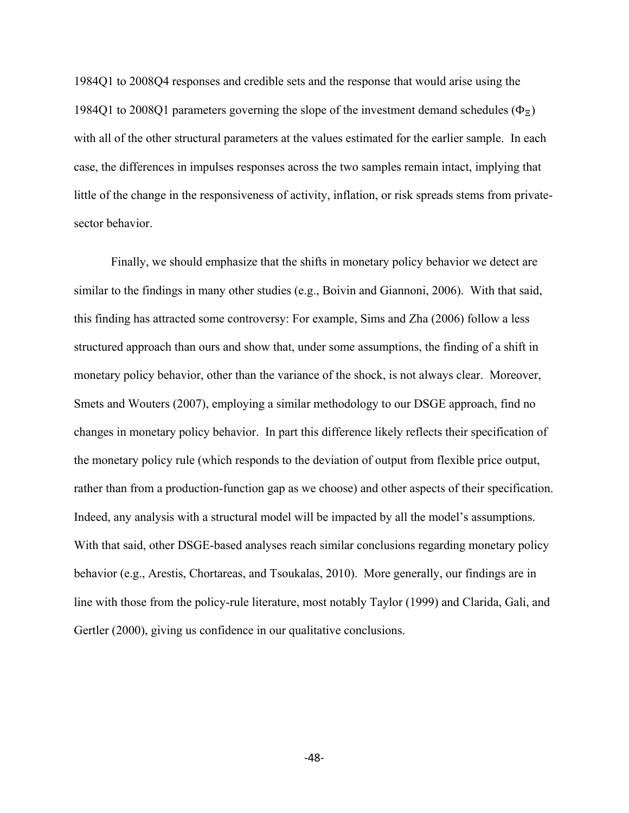1984Q1 to 2008Q4 responses and credible sets and the response that would arise using the 1984Q1 to 2008Q1 parameters governing the slope of the investment demand schedules ( $\Phi_{\pi}$ ) with all of the other structural parameters at the values estimated for the earlier sample. In each case, the differences in impulses responses across the two samples remain intact, implying that little of the change in the responsiveness of activity, inflation, or risk spreads stems from privatesector behavior.

 Finally, we should emphasize that the shifts in monetary policy behavior we detect are similar to the findings in many other studies (e.g., Boivin and Giannoni, 2006). With that said, this finding has attracted some controversy: For example, Sims and Zha (2006) follow a less structured approach than ours and show that, under some assumptions, the finding of a shift in monetary policy behavior, other than the variance of the shock, is not always clear. Moreover, Smets and Wouters (2007), employing a similar methodology to our DSGE approach, find no changes in monetary policy behavior. In part this difference likely reflects their specification of the monetary policy rule (which responds to the deviation of output from flexible price output, rather than from a production-function gap as we choose) and other aspects of their specification. Indeed, any analysis with a structural model will be impacted by all the model's assumptions. With that said, other DSGE-based analyses reach similar conclusions regarding monetary policy behavior (e.g., Arestis, Chortareas, and Tsoukalas, 2010). More generally, our findings are in line with those from the policy-rule literature, most notably Taylor (1999) and Clarida, Gali, and Gertler (2000), giving us confidence in our qualitative conclusions.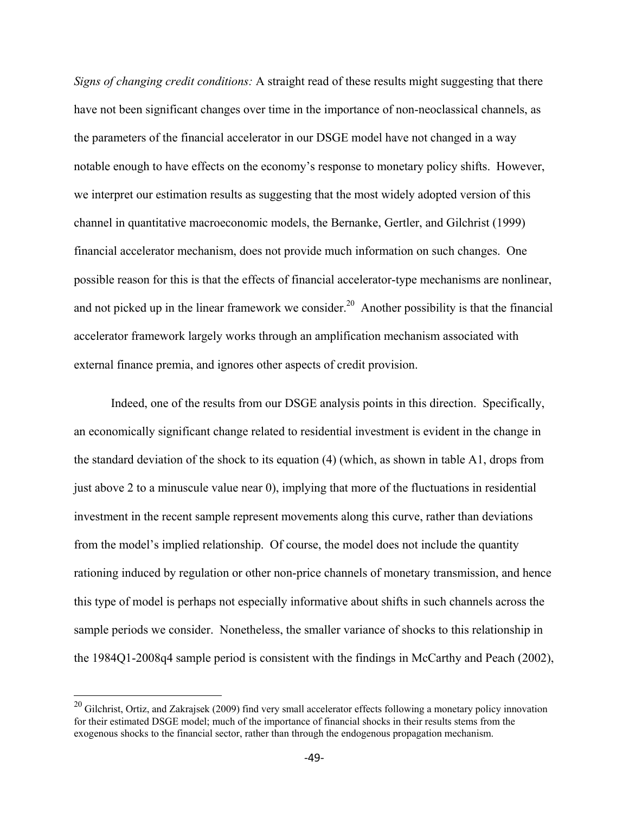*Signs of changing credit conditions:* A straight read of these results might suggesting that there have not been significant changes over time in the importance of non-neoclassical channels, as the parameters of the financial accelerator in our DSGE model have not changed in a way notable enough to have effects on the economy's response to monetary policy shifts. However, we interpret our estimation results as suggesting that the most widely adopted version of this channel in quantitative macroeconomic models, the Bernanke, Gertler, and Gilchrist (1999) financial accelerator mechanism, does not provide much information on such changes. One possible reason for this is that the effects of financial accelerator-type mechanisms are nonlinear, and not picked up in the linear framework we consider.<sup>20</sup> Another possibility is that the financial accelerator framework largely works through an amplification mechanism associated with external finance premia, and ignores other aspects of credit provision.

 Indeed, one of the results from our DSGE analysis points in this direction. Specifically, an economically significant change related to residential investment is evident in the change in the standard deviation of the shock to its equation (4) (which, as shown in table A1, drops from just above 2 to a minuscule value near 0), implying that more of the fluctuations in residential investment in the recent sample represent movements along this curve, rather than deviations from the model's implied relationship. Of course, the model does not include the quantity rationing induced by regulation or other non-price channels of monetary transmission, and hence this type of model is perhaps not especially informative about shifts in such channels across the sample periods we consider. Nonetheless, the smaller variance of shocks to this relationship in the 1984Q1-2008q4 sample period is consistent with the findings in McCarthy and Peach (2002),

 $^{20}$  Gilchrist, Ortiz, and Zakrajsek (2009) find very small accelerator effects following a monetary policy innovation for their estimated DSGE model; much of the importance of financial shocks in their results stems from the exogenous shocks to the financial sector, rather than through the endogenous propagation mechanism.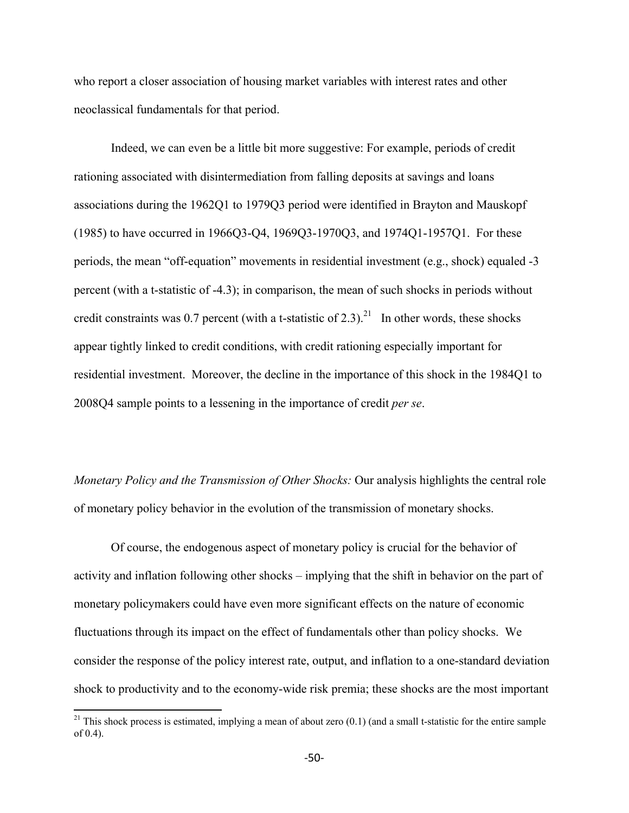who report a closer association of housing market variables with interest rates and other neoclassical fundamentals for that period.

Indeed, we can even be a little bit more suggestive: For example, periods of credit rationing associated with disintermediation from falling deposits at savings and loans associations during the 1962Q1 to 1979Q3 period were identified in Brayton and Mauskopf (1985) to have occurred in 1966Q3-Q4, 1969Q3-1970Q3, and 1974Q1-1957Q1. For these periods, the mean "off-equation" movements in residential investment (e.g., shock) equaled -3 percent (with a t-statistic of -4.3); in comparison, the mean of such shocks in periods without credit constraints was 0.7 percent (with a t-statistic of 2.3).<sup>21</sup> In other words, these shocks appear tightly linked to credit conditions, with credit rationing especially important for residential investment. Moreover, the decline in the importance of this shock in the 1984Q1 to 2008Q4 sample points to a lessening in the importance of credit *per se*.

*Monetary Policy and the Transmission of Other Shocks:* Our analysis highlights the central role of monetary policy behavior in the evolution of the transmission of monetary shocks.

 Of course, the endogenous aspect of monetary policy is crucial for the behavior of activity and inflation following other shocks – implying that the shift in behavior on the part of monetary policymakers could have even more significant effects on the nature of economic fluctuations through its impact on the effect of fundamentals other than policy shocks. We consider the response of the policy interest rate, output, and inflation to a one-standard deviation shock to productivity and to the economy-wide risk premia; these shocks are the most important

<sup>&</sup>lt;sup>21</sup> This shock process is estimated, implying a mean of about zero  $(0.1)$  (and a small t-statistic for the entire sample of 0.4).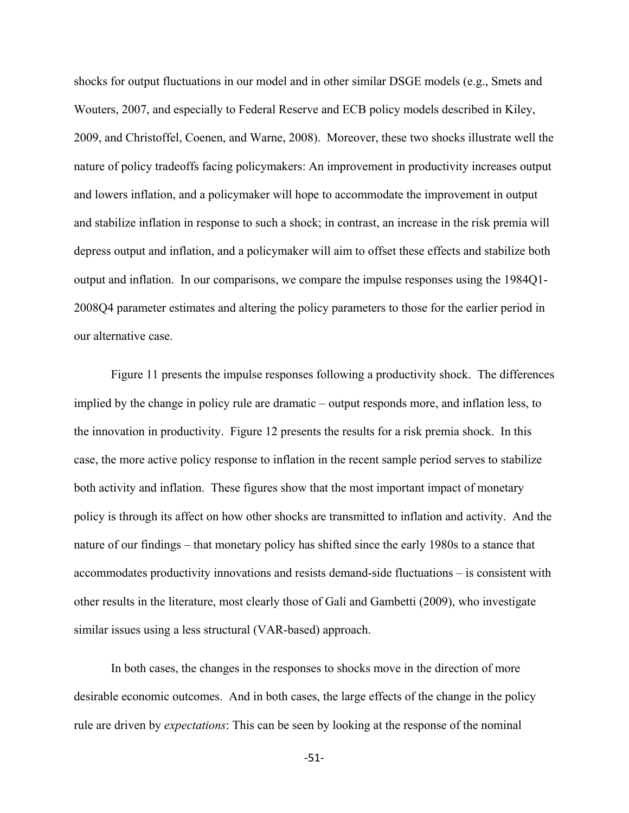shocks for output fluctuations in our model and in other similar DSGE models (e.g., Smets and Wouters, 2007, and especially to Federal Reserve and ECB policy models described in Kiley, 2009, and Christoffel, Coenen, and Warne, 2008). Moreover, these two shocks illustrate well the nature of policy tradeoffs facing policymakers: An improvement in productivity increases output and lowers inflation, and a policymaker will hope to accommodate the improvement in output and stabilize inflation in response to such a shock; in contrast, an increase in the risk premia will depress output and inflation, and a policymaker will aim to offset these effects and stabilize both output and inflation. In our comparisons, we compare the impulse responses using the 1984Q1- 2008Q4 parameter estimates and altering the policy parameters to those for the earlier period in our alternative case.

Figure 11 presents the impulse responses following a productivity shock. The differences implied by the change in policy rule are dramatic – output responds more, and inflation less, to the innovation in productivity. Figure 12 presents the results for a risk premia shock. In this case, the more active policy response to inflation in the recent sample period serves to stabilize both activity and inflation. These figures show that the most important impact of monetary policy is through its affect on how other shocks are transmitted to inflation and activity. And the nature of our findings – that monetary policy has shifted since the early 1980s to a stance that accommodates productivity innovations and resists demand-side fluctuations – is consistent with other results in the literature, most clearly those of Galí and Gambetti (2009), who investigate similar issues using a less structural (VAR-based) approach.

In both cases, the changes in the responses to shocks move in the direction of more desirable economic outcomes. And in both cases, the large effects of the change in the policy rule are driven by *expectations*: This can be seen by looking at the response of the nominal

‐51‐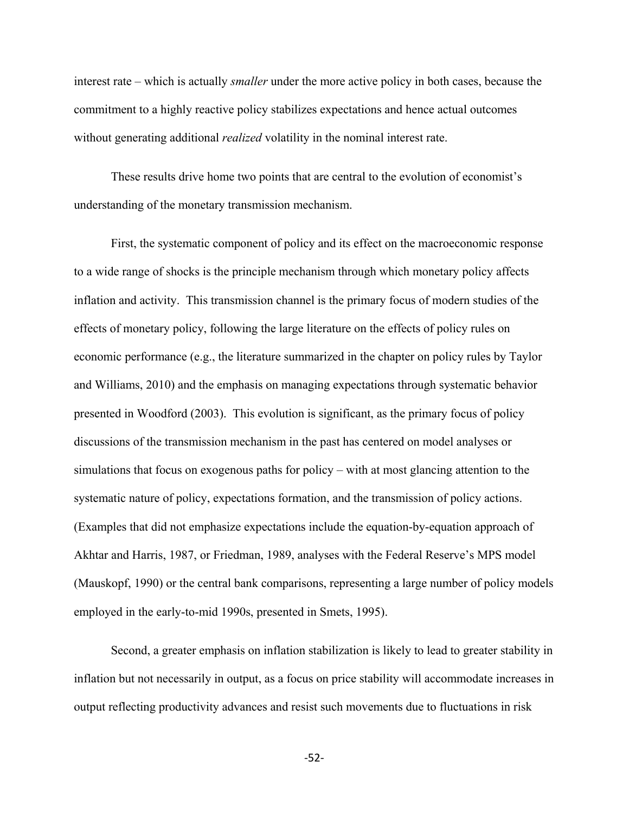interest rate – which is actually *smaller* under the more active policy in both cases, because the commitment to a highly reactive policy stabilizes expectations and hence actual outcomes without generating additional *realized* volatility in the nominal interest rate.

These results drive home two points that are central to the evolution of economist's understanding of the monetary transmission mechanism.

First, the systematic component of policy and its effect on the macroeconomic response to a wide range of shocks is the principle mechanism through which monetary policy affects inflation and activity. This transmission channel is the primary focus of modern studies of the effects of monetary policy, following the large literature on the effects of policy rules on economic performance (e.g., the literature summarized in the chapter on policy rules by Taylor and Williams, 2010) and the emphasis on managing expectations through systematic behavior presented in Woodford (2003). This evolution is significant, as the primary focus of policy discussions of the transmission mechanism in the past has centered on model analyses or simulations that focus on exogenous paths for policy – with at most glancing attention to the systematic nature of policy, expectations formation, and the transmission of policy actions. (Examples that did not emphasize expectations include the equation-by-equation approach of Akhtar and Harris, 1987, or Friedman, 1989, analyses with the Federal Reserve's MPS model (Mauskopf, 1990) or the central bank comparisons, representing a large number of policy models employed in the early-to-mid 1990s, presented in Smets, 1995).

Second, a greater emphasis on inflation stabilization is likely to lead to greater stability in inflation but not necessarily in output, as a focus on price stability will accommodate increases in output reflecting productivity advances and resist such movements due to fluctuations in risk

‐52‐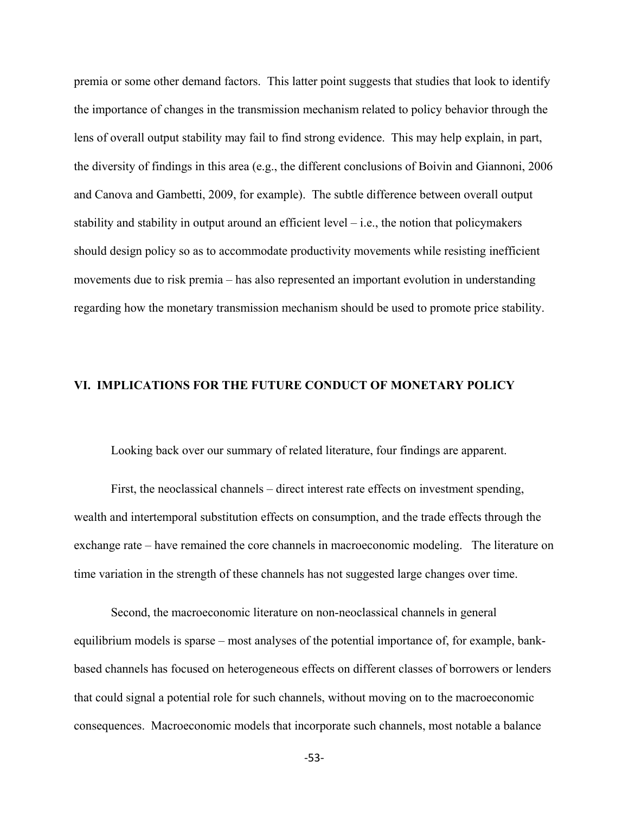premia or some other demand factors. This latter point suggests that studies that look to identify the importance of changes in the transmission mechanism related to policy behavior through the lens of overall output stability may fail to find strong evidence. This may help explain, in part, the diversity of findings in this area (e.g., the different conclusions of Boivin and Giannoni, 2006 and Canova and Gambetti, 2009, for example). The subtle difference between overall output stability and stability in output around an efficient level  $-$  i.e., the notion that policymakers should design policy so as to accommodate productivity movements while resisting inefficient movements due to risk premia – has also represented an important evolution in understanding regarding how the monetary transmission mechanism should be used to promote price stability.

#### **VI. IMPLICATIONS FOR THE FUTURE CONDUCT OF MONETARY POLICY**

Looking back over our summary of related literature, four findings are apparent.

First, the neoclassical channels – direct interest rate effects on investment spending, wealth and intertemporal substitution effects on consumption, and the trade effects through the exchange rate – have remained the core channels in macroeconomic modeling. The literature on time variation in the strength of these channels has not suggested large changes over time.

Second, the macroeconomic literature on non-neoclassical channels in general equilibrium models is sparse – most analyses of the potential importance of, for example, bankbased channels has focused on heterogeneous effects on different classes of borrowers or lenders that could signal a potential role for such channels, without moving on to the macroeconomic consequences. Macroeconomic models that incorporate such channels, most notable a balance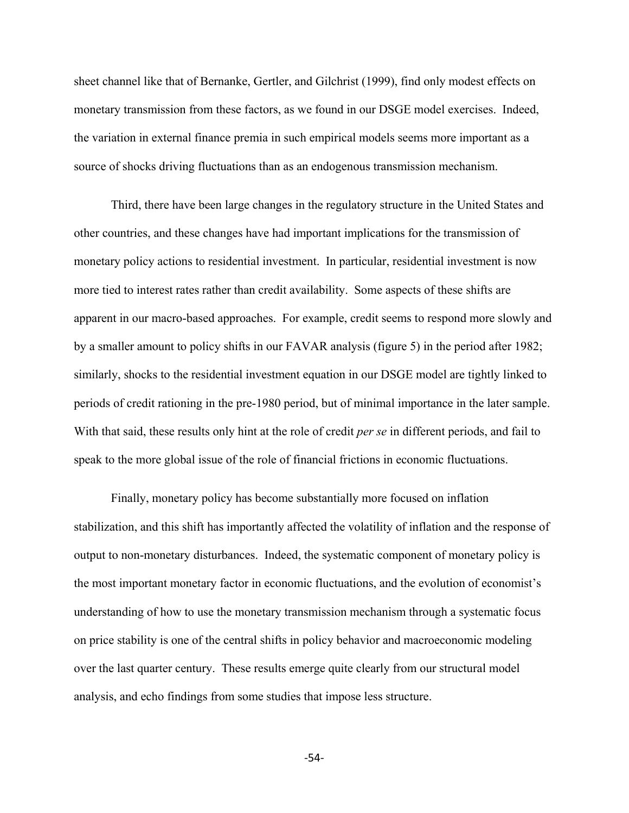sheet channel like that of Bernanke, Gertler, and Gilchrist (1999), find only modest effects on monetary transmission from these factors, as we found in our DSGE model exercises. Indeed, the variation in external finance premia in such empirical models seems more important as a source of shocks driving fluctuations than as an endogenous transmission mechanism.

Third, there have been large changes in the regulatory structure in the United States and other countries, and these changes have had important implications for the transmission of monetary policy actions to residential investment. In particular, residential investment is now more tied to interest rates rather than credit availability. Some aspects of these shifts are apparent in our macro-based approaches. For example, credit seems to respond more slowly and by a smaller amount to policy shifts in our FAVAR analysis (figure 5) in the period after 1982; similarly, shocks to the residential investment equation in our DSGE model are tightly linked to periods of credit rationing in the pre-1980 period, but of minimal importance in the later sample. With that said, these results only hint at the role of credit *per se* in different periods, and fail to speak to the more global issue of the role of financial frictions in economic fluctuations.

Finally, monetary policy has become substantially more focused on inflation stabilization, and this shift has importantly affected the volatility of inflation and the response of output to non-monetary disturbances. Indeed, the systematic component of monetary policy is the most important monetary factor in economic fluctuations, and the evolution of economist's understanding of how to use the monetary transmission mechanism through a systematic focus on price stability is one of the central shifts in policy behavior and macroeconomic modeling over the last quarter century. These results emerge quite clearly from our structural model analysis, and echo findings from some studies that impose less structure.

‐54‐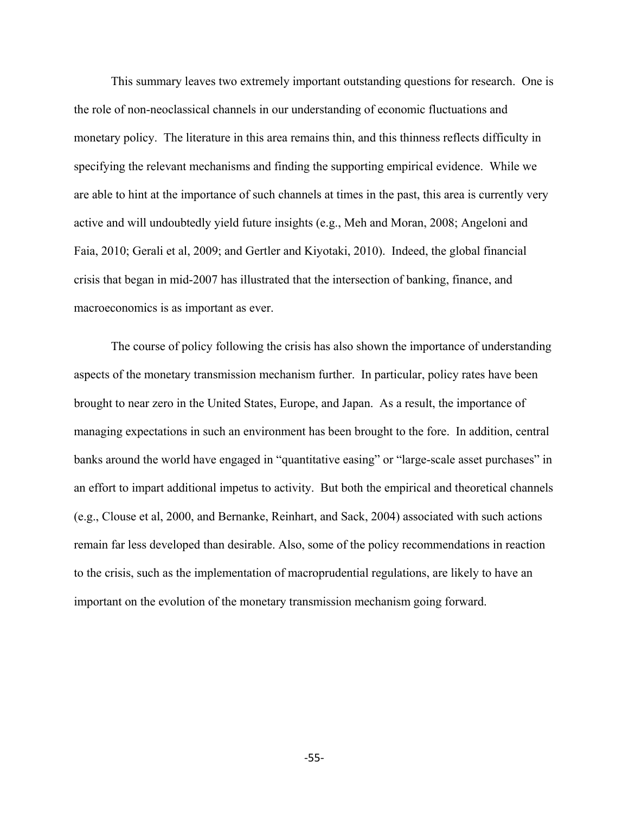This summary leaves two extremely important outstanding questions for research. One is the role of non-neoclassical channels in our understanding of economic fluctuations and monetary policy. The literature in this area remains thin, and this thinness reflects difficulty in specifying the relevant mechanisms and finding the supporting empirical evidence. While we are able to hint at the importance of such channels at times in the past, this area is currently very active and will undoubtedly yield future insights (e.g., Meh and Moran, 2008; Angeloni and Faia, 2010; Gerali et al, 2009; and Gertler and Kiyotaki, 2010). Indeed, the global financial crisis that began in mid-2007 has illustrated that the intersection of banking, finance, and macroeconomics is as important as ever.

The course of policy following the crisis has also shown the importance of understanding aspects of the monetary transmission mechanism further. In particular, policy rates have been brought to near zero in the United States, Europe, and Japan. As a result, the importance of managing expectations in such an environment has been brought to the fore. In addition, central banks around the world have engaged in "quantitative easing" or "large-scale asset purchases" in an effort to impart additional impetus to activity. But both the empirical and theoretical channels (e.g., Clouse et al, 2000, and Bernanke, Reinhart, and Sack, 2004) associated with such actions remain far less developed than desirable. Also, some of the policy recommendations in reaction to the crisis, such as the implementation of macroprudential regulations, are likely to have an important on the evolution of the monetary transmission mechanism going forward.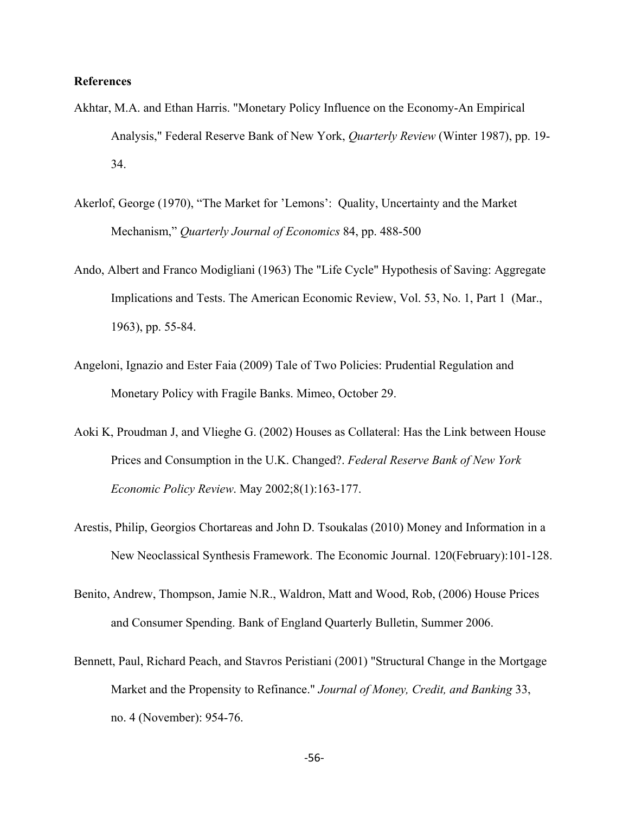#### **References**

- Akhtar, M.A. and Ethan Harris. "Monetary Policy Influence on the Economy-An Empirical Analysis," Federal Reserve Bank of New York, *Quarterly Review* (Winter 1987), pp. 19- 34.
- Akerlof, George (1970), "The Market for 'Lemons': Quality, Uncertainty and the Market Mechanism," *Quarterly Journal of Economics* 84, pp. 488-500
- Ando, Albert and Franco Modigliani (1963) The "Life Cycle" Hypothesis of Saving: Aggregate Implications and Tests. The American Economic Review, Vol. 53, No. 1, Part 1 (Mar., 1963), pp. 55-84.
- Angeloni, Ignazio and Ester Faia (2009) Tale of Two Policies: Prudential Regulation and Monetary Policy with Fragile Banks. Mimeo, October 29.
- Aoki K, Proudman J, and Vlieghe G. (2002) Houses as Collateral: Has the Link between House Prices and Consumption in the U.K. Changed?. *Federal Reserve Bank of New York Economic Policy Review*. May 2002;8(1):163-177.
- Arestis, Philip, Georgios Chortareas and John D. Tsoukalas (2010) Money and Information in a New Neoclassical Synthesis Framework. The Economic Journal. 120(February):101-128.
- Benito, Andrew, Thompson, Jamie N.R., Waldron, Matt and Wood, Rob, (2006) House Prices and Consumer Spending. Bank of England Quarterly Bulletin, Summer 2006.
- Bennett, Paul, Richard Peach, and Stavros Peristiani (2001) "Structural Change in the Mortgage Market and the Propensity to Refinance." *Journal of Money, Credit, and Banking* 33, no. 4 (November): 954-76.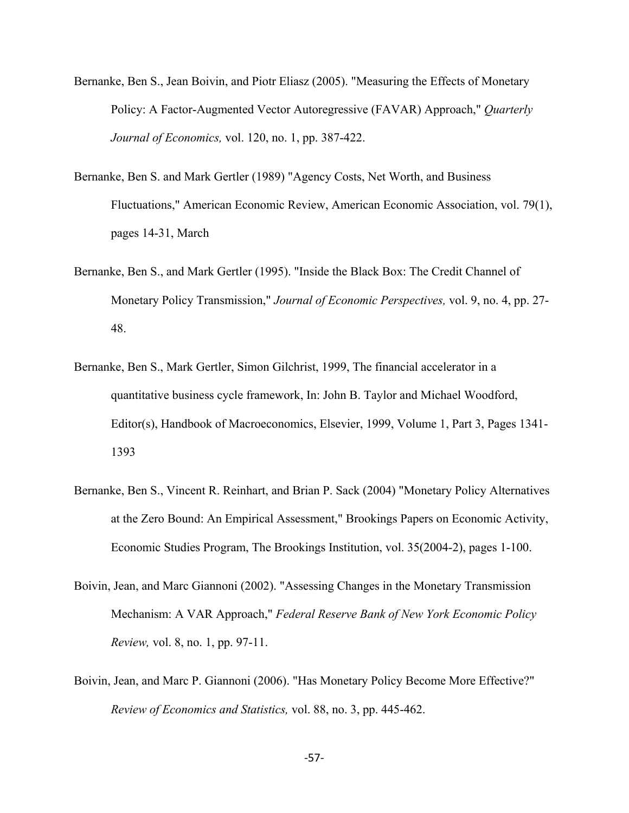- Bernanke, Ben S., Jean Boivin, and Piotr Eliasz (2005). "Measuring the Effects of Monetary Policy: A Factor-Augmented Vector Autoregressive (FAVAR) Approach," *Quarterly Journal of Economics,* vol. 120, no. 1, pp. 387-422.
- Bernanke, Ben S. and Mark Gertler (1989) "Agency Costs, Net Worth, and Business Fluctuations," American Economic Review, American Economic Association, vol. 79(1), pages 14-31, March
- Bernanke, Ben S., and Mark Gertler (1995). "Inside the Black Box: The Credit Channel of Monetary Policy Transmission," *Journal of Economic Perspectives,* vol. 9, no. 4, pp. 27- 48.
- Bernanke, Ben S., Mark Gertler, Simon Gilchrist, 1999, The financial accelerator in a quantitative business cycle framework, In: John B. Taylor and Michael Woodford, Editor(s), Handbook of Macroeconomics, Elsevier, 1999, Volume 1, Part 3, Pages 1341- 1393
- Bernanke, Ben S., Vincent R. Reinhart, and Brian P. Sack (2004) "Monetary Policy Alternatives at the Zero Bound: An Empirical Assessment," Brookings Papers on Economic Activity, Economic Studies Program, The Brookings Institution, vol. 35(2004-2), pages 1-100.
- Boivin, Jean, and Marc Giannoni (2002). "Assessing Changes in the Monetary Transmission Mechanism: A VAR Approach," *Federal Reserve Bank of New York Economic Policy Review,* vol. 8, no. 1, pp. 97-11.
- Boivin, Jean, and Marc P. Giannoni (2006). "Has Monetary Policy Become More Effective?" *Review of Economics and Statistics,* vol. 88, no. 3, pp. 445-462.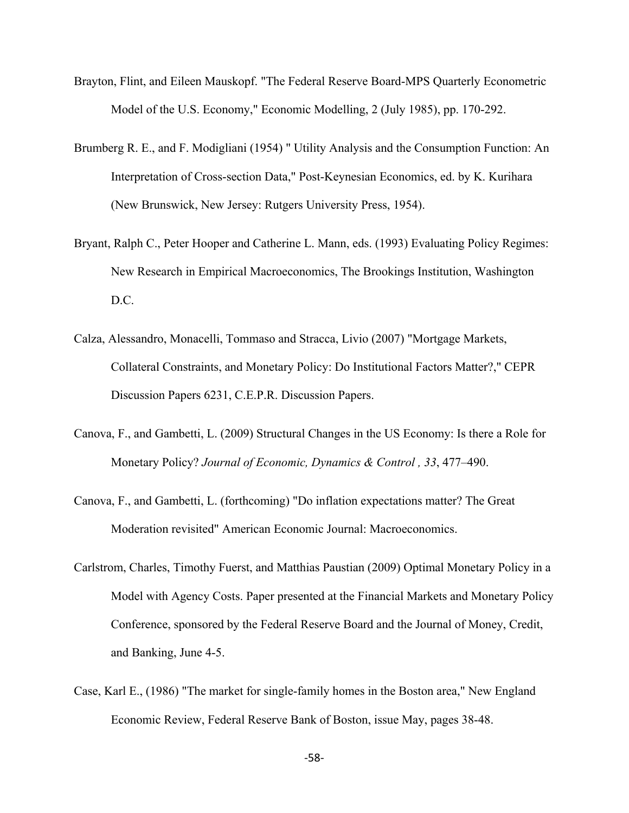- Brayton, Flint, and Eileen Mauskopf. "The Federal Reserve Board-MPS Quarterly Econometric Model of the U.S. Economy," Economic Modelling, 2 (July 1985), pp. 170-292.
- Brumberg R. E., and F. Modigliani (1954) " Utility Analysis and the Consumption Function: An Interpretation of Cross-section Data," Post-Keynesian Economics, ed. by K. Kurihara (New Brunswick, New Jersey: Rutgers University Press, 1954).
- Bryant, Ralph C., Peter Hooper and Catherine L. Mann, eds. (1993) Evaluating Policy Regimes: New Research in Empirical Macroeconomics, The Brookings Institution, Washington D.C.
- Calza, Alessandro, Monacelli, Tommaso and Stracca, Livio (2007) "Mortgage Markets, Collateral Constraints, and Monetary Policy: Do Institutional Factors Matter?," CEPR Discussion Papers 6231, C.E.P.R. Discussion Papers.
- Canova, F., and Gambetti, L. (2009) Structural Changes in the US Economy: Is there a Role for Monetary Policy? *Journal of Economic, Dynamics & Control , 33*, 477–490.
- Canova, F., and Gambetti, L. (forthcoming) "Do inflation expectations matter? The Great Moderation revisited" American Economic Journal: Macroeconomics.
- Carlstrom, Charles, Timothy Fuerst, and Matthias Paustian (2009) Optimal Monetary Policy in a Model with Agency Costs. Paper presented at the Financial Markets and Monetary Policy Conference, sponsored by the Federal Reserve Board and the Journal of Money, Credit, and Banking, June 4-5.
- Case, Karl E., (1986) "The market for single-family homes in the Boston area," New England Economic Review, Federal Reserve Bank of Boston, issue May, pages 38-48.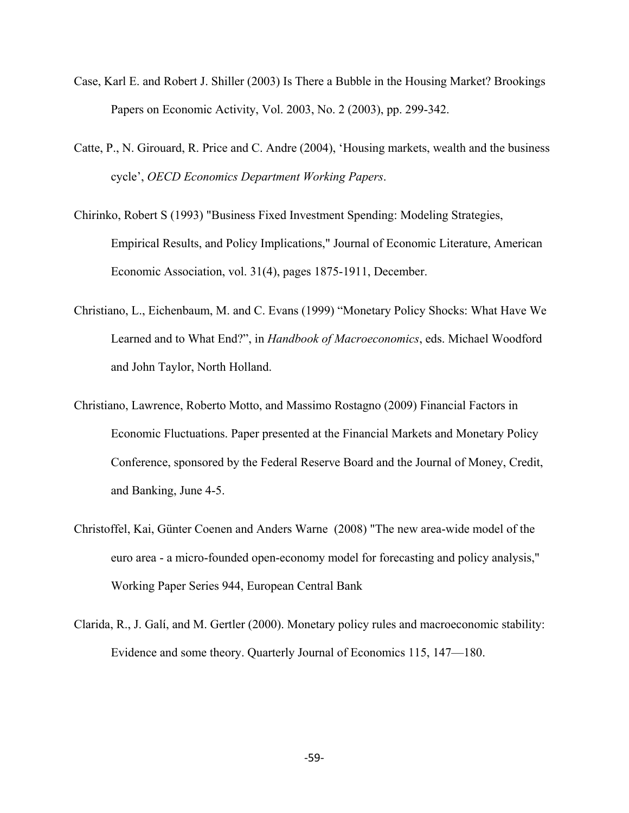- Case, Karl E. and Robert J. Shiller (2003) Is There a Bubble in the Housing Market? Brookings Papers on Economic Activity, Vol. 2003, No. 2 (2003), pp. 299-342.
- Catte, P., N. Girouard, R. Price and C. Andre (2004), 'Housing markets, wealth and the business cycle', *OECD Economics Department Working Papers*.
- Chirinko, Robert S (1993) "Business Fixed Investment Spending: Modeling Strategies, Empirical Results, and Policy Implications," Journal of Economic Literature, American Economic Association, vol. 31(4), pages 1875-1911, December.
- Christiano, L., Eichenbaum, M. and C. Evans (1999) "Monetary Policy Shocks: What Have We Learned and to What End?", in *Handbook of Macroeconomics*, eds. Michael Woodford and John Taylor, North Holland.
- Christiano, Lawrence, Roberto Motto, and Massimo Rostagno (2009) Financial Factors in Economic Fluctuations. Paper presented at the Financial Markets and Monetary Policy Conference, sponsored by the Federal Reserve Board and the Journal of Money, Credit, and Banking, June 4-5.
- Christoffel, Kai, Günter Coenen and Anders Warne (2008) "The new area-wide model of the euro area - a micro-founded open-economy model for forecasting and policy analysis," Working Paper Series 944, European Central Bank
- Clarida, R., J. Galí, and M. Gertler (2000). Monetary policy rules and macroeconomic stability: Evidence and some theory. Quarterly Journal of Economics 115, 147—180.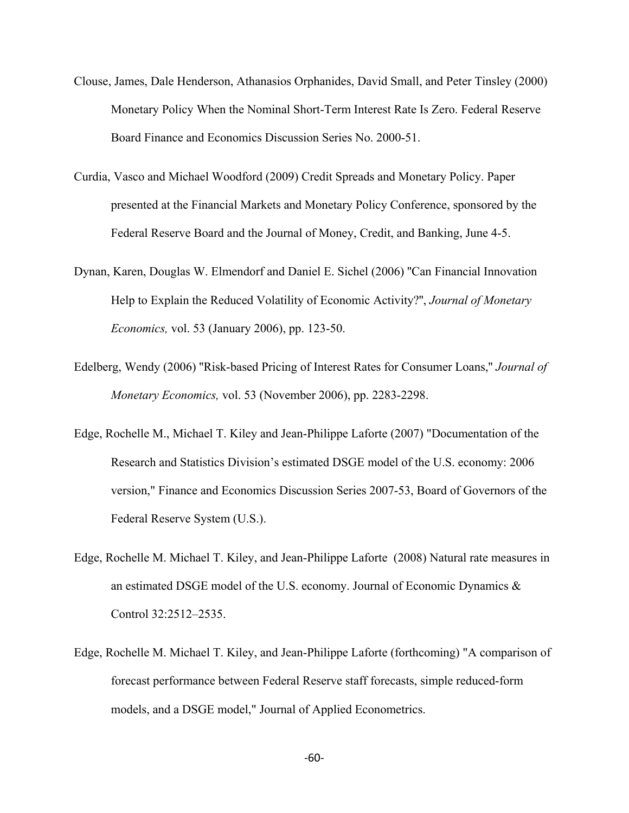- Clouse, James, Dale Henderson, Athanasios Orphanides, David Small, and Peter Tinsley (2000) Monetary Policy When the Nominal Short-Term Interest Rate Is Zero. Federal Reserve Board Finance and Economics Discussion Series No. 2000-51.
- Curdia, Vasco and Michael Woodford (2009) Credit Spreads and Monetary Policy. Paper presented at the Financial Markets and Monetary Policy Conference, sponsored by the Federal Reserve Board and the Journal of Money, Credit, and Banking, June 4-5.
- Dynan, Karen, Douglas W. Elmendorf and Daniel E. Sichel (2006) ''Can Financial Innovation Help to Explain the Reduced Volatility of Economic Activity?'', *Journal of Monetary Economics,* vol. 53 (January 2006), pp. 123-50.
- Edelberg, Wendy (2006) ''Risk-based Pricing of Interest Rates for Consumer Loans,'' *Journal of Monetary Economics,* vol. 53 (November 2006), pp. 2283-2298.
- Edge, Rochelle M., Michael T. Kiley and Jean-Philippe Laforte (2007) "Documentation of the Research and Statistics Division's estimated DSGE model of the U.S. economy: 2006 version," Finance and Economics Discussion Series 2007-53, Board of Governors of the Federal Reserve System (U.S.).
- Edge, Rochelle M. Michael T. Kiley, and Jean-Philippe Laforte (2008) Natural rate measures in an estimated DSGE model of the U.S. economy. Journal of Economic Dynamics & Control 32:2512–2535.
- Edge, Rochelle M. Michael T. Kiley, and Jean-Philippe Laforte (forthcoming) "A comparison of forecast performance between Federal Reserve staff forecasts, simple reduced-form models, and a DSGE model," Journal of Applied Econometrics.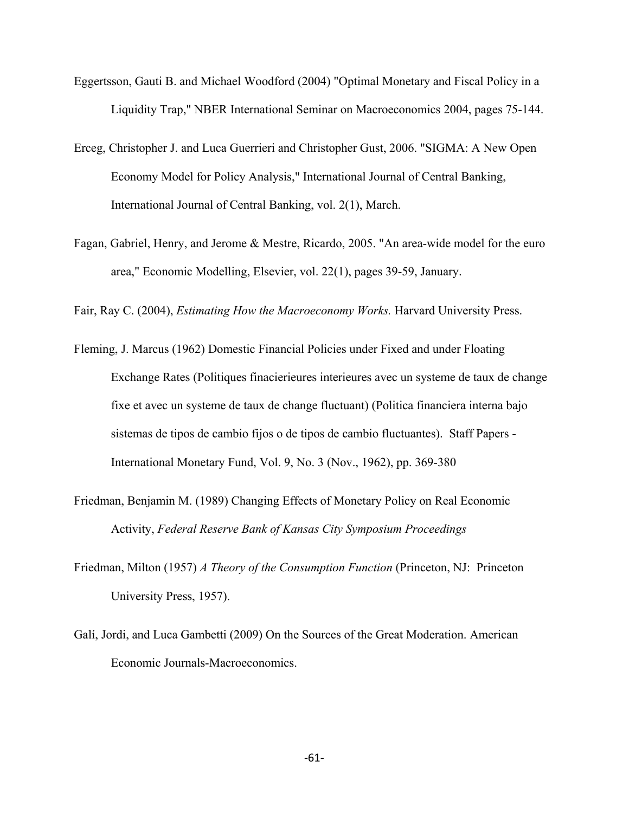- Eggertsson, Gauti B. and Michael Woodford (2004) "Optimal Monetary and Fiscal Policy in a Liquidity Trap," NBER International Seminar on Macroeconomics 2004, pages 75-144.
- Erceg, Christopher J. and Luca Guerrieri and Christopher Gust, 2006. "SIGMA: A New Open Economy Model for Policy Analysis," International Journal of Central Banking, International Journal of Central Banking, vol. 2(1), March.
- Fagan, Gabriel, Henry, and Jerome & Mestre, Ricardo, 2005. "An area-wide model for the euro area," Economic Modelling, Elsevier, vol. 22(1), pages 39-59, January.

Fair, Ray C. (2004), *Estimating How the Macroeconomy Works.* Harvard University Press.

- Fleming, J. Marcus (1962) Domestic Financial Policies under Fixed and under Floating Exchange Rates (Politiques finacierieures interieures avec un systeme de taux de change fixe et avec un systeme de taux de change fluctuant) (Politica financiera interna bajo sistemas de tipos de cambio fijos o de tipos de cambio fluctuantes). Staff Papers - International Monetary Fund, Vol. 9, No. 3 (Nov., 1962), pp. 369-380
- Friedman, Benjamin M. (1989) Changing Effects of Monetary Policy on Real Economic Activity, *Federal Reserve Bank of Kansas City Symposium Proceedings*
- Friedman, Milton (1957) *A Theory of the Consumption Function* (Princeton, NJ: Princeton University Press, 1957).
- Galí, Jordi, and Luca Gambetti (2009) On the Sources of the Great Moderation. American Economic Journals-Macroeconomics.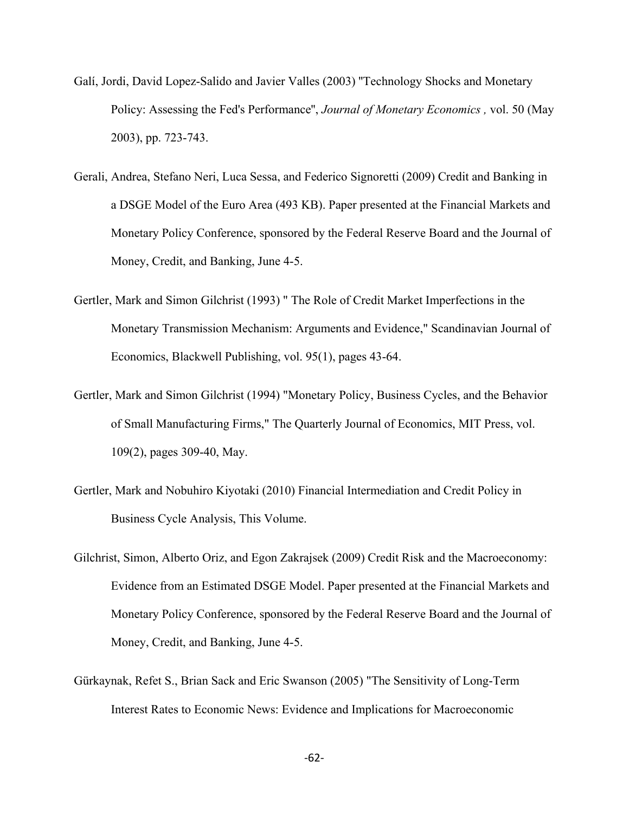- Galí, Jordi, David Lopez-Salido and Javier Valles (2003) ''Technology Shocks and Monetary Policy: Assessing the Fed's Performance'', *Journal of Monetary Economics ,* vol. 50 (May 2003), pp. 723-743.
- Gerali, Andrea, Stefano Neri, Luca Sessa, and Federico Signoretti (2009) Credit and Banking in a DSGE Model of the Euro Area (493 KB). Paper presented at the Financial Markets and Monetary Policy Conference, sponsored by the Federal Reserve Board and the Journal of Money, Credit, and Banking, June 4-5.
- Gertler, Mark and Simon Gilchrist (1993) " The Role of Credit Market Imperfections in the Monetary Transmission Mechanism: Arguments and Evidence," Scandinavian Journal of Economics, Blackwell Publishing, vol. 95(1), pages 43-64.
- Gertler, Mark and Simon Gilchrist (1994) "Monetary Policy, Business Cycles, and the Behavior of Small Manufacturing Firms," The Quarterly Journal of Economics, MIT Press, vol. 109(2), pages 309-40, May.
- Gertler, Mark and Nobuhiro Kiyotaki (2010) Financial Intermediation and Credit Policy in Business Cycle Analysis, This Volume.
- Gilchrist, Simon, Alberto Oriz, and Egon Zakrajsek (2009) Credit Risk and the Macroeconomy: Evidence from an Estimated DSGE Model. Paper presented at the Financial Markets and Monetary Policy Conference, sponsored by the Federal Reserve Board and the Journal of Money, Credit, and Banking, June 4-5.
- Gürkaynak, Refet S., Brian Sack and Eric Swanson (2005) "The Sensitivity of Long-Term Interest Rates to Economic News: Evidence and Implications for Macroeconomic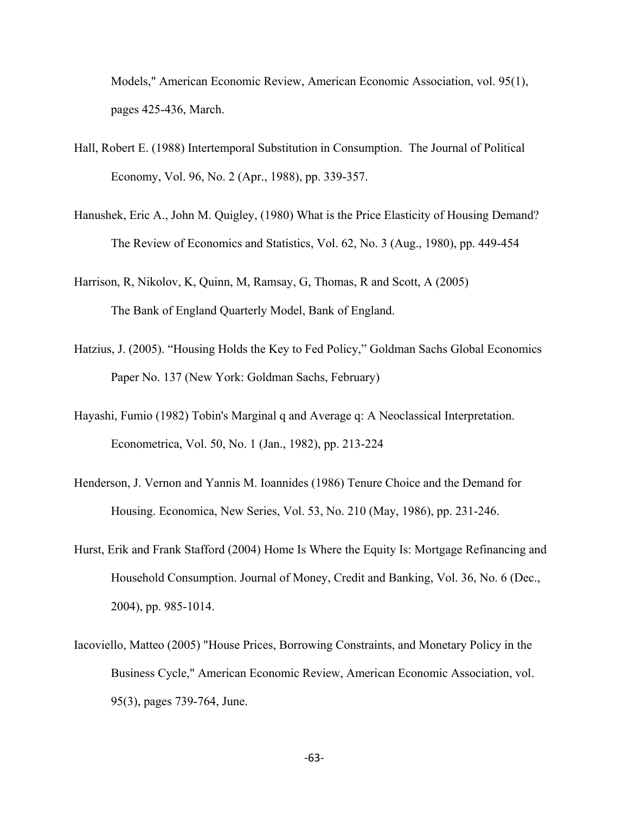Models," American Economic Review, American Economic Association, vol. 95(1), pages 425-436, March.

- Hall, Robert E. (1988) Intertemporal Substitution in Consumption. The Journal of Political Economy, Vol. 96, No. 2 (Apr., 1988), pp. 339-357.
- Hanushek, Eric A., John M. Quigley, (1980) What is the Price Elasticity of Housing Demand? The Review of Economics and Statistics, Vol. 62, No. 3 (Aug., 1980), pp. 449-454
- Harrison, R, Nikolov, K, Quinn, M, Ramsay, G, Thomas, R and Scott, A (2005) The Bank of England Quarterly Model, Bank of England.
- Hatzius, J. (2005). "Housing Holds the Key to Fed Policy," Goldman Sachs Global Economics Paper No. 137 (New York: Goldman Sachs, February)
- Hayashi, Fumio (1982) Tobin's Marginal q and Average q: A Neoclassical Interpretation. Econometrica, Vol. 50, No. 1 (Jan., 1982), pp. 213-224
- Henderson, J. Vernon and Yannis M. Ioannides (1986) Tenure Choice and the Demand for Housing. Economica, New Series, Vol. 53, No. 210 (May, 1986), pp. 231-246.
- Hurst, Erik and Frank Stafford (2004) Home Is Where the Equity Is: Mortgage Refinancing and Household Consumption. Journal of Money, Credit and Banking, Vol. 36, No. 6 (Dec., 2004), pp. 985-1014.
- Iacoviello, Matteo (2005) "House Prices, Borrowing Constraints, and Monetary Policy in the Business Cycle," American Economic Review, American Economic Association, vol. 95(3), pages 739-764, June.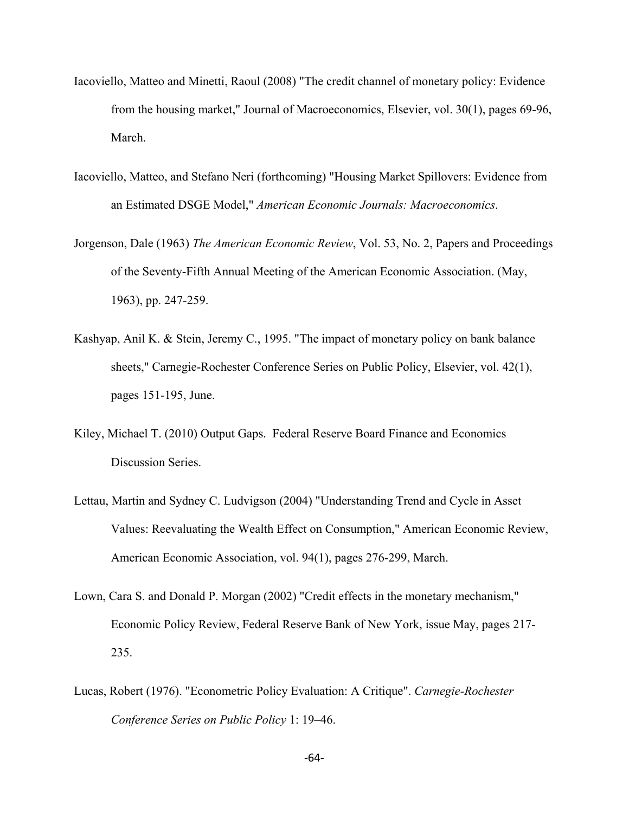- Iacoviello, Matteo and Minetti, Raoul (2008) "The credit channel of monetary policy: Evidence from the housing market," Journal of Macroeconomics, Elsevier, vol. 30(1), pages 69-96, March.
- Iacoviello, Matteo, and Stefano Neri (forthcoming) "Housing Market Spillovers: Evidence from an Estimated DSGE Model," *American Economic Journals: Macroeconomics*.
- Jorgenson, Dale (1963) *The American Economic Review*, Vol. 53, No. 2, Papers and Proceedings of the Seventy-Fifth Annual Meeting of the American Economic Association. (May, 1963), pp. 247-259.
- Kashyap, Anil K. & Stein, Jeremy C., 1995. "The impact of monetary policy on bank balance sheets," Carnegie-Rochester Conference Series on Public Policy, Elsevier, vol. 42(1), pages 151-195, June.
- Kiley, Michael T. (2010) Output Gaps. Federal Reserve Board Finance and Economics Discussion Series.
- Lettau, Martin and Sydney C. Ludvigson (2004) "Understanding Trend and Cycle in Asset Values: Reevaluating the Wealth Effect on Consumption," American Economic Review, American Economic Association, vol. 94(1), pages 276-299, March.
- Lown, Cara S. and Donald P. Morgan (2002) "Credit effects in the monetary mechanism," Economic Policy Review, Federal Reserve Bank of New York, issue May, pages 217- 235.
- Lucas, Robert (1976). "Econometric Policy Evaluation: A Critique". *Carnegie-Rochester Conference Series on Public Policy* 1: 19–46.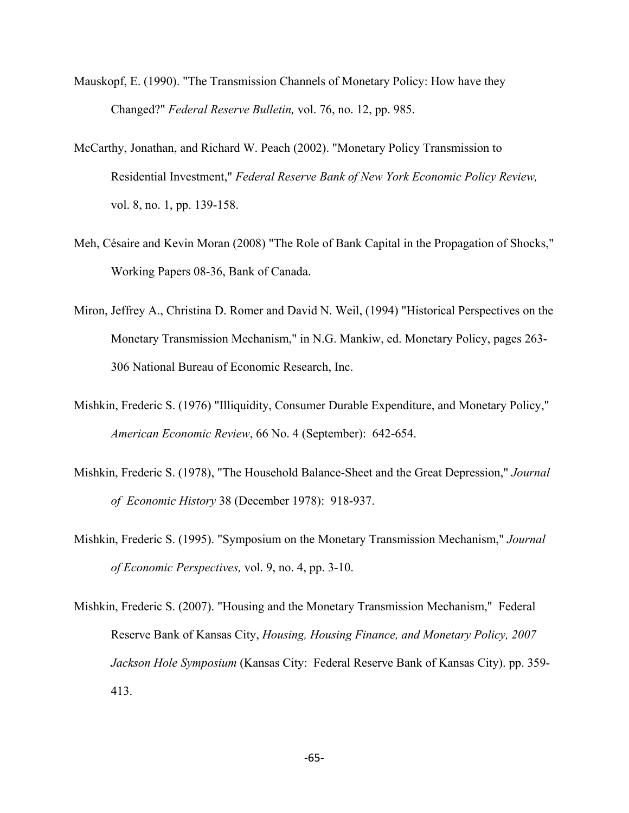- Mauskopf, E. (1990). "The Transmission Channels of Monetary Policy: How have they Changed?" *Federal Reserve Bulletin,* vol. 76, no. 12, pp. 985.
- McCarthy, Jonathan, and Richard W. Peach (2002). "Monetary Policy Transmission to Residential Investment," *Federal Reserve Bank of New York Economic Policy Review,* vol. 8, no. 1, pp. 139-158.
- Meh, Césaire and Kevin Moran (2008) "The Role of Bank Capital in the Propagation of Shocks," Working Papers 08-36, Bank of Canada.
- Miron, Jeffrey A., Christina D. Romer and David N. Weil, (1994) "Historical Perspectives on the Monetary Transmission Mechanism," in N.G. Mankiw, ed. Monetary Policy, pages 263- 306 National Bureau of Economic Research, Inc.
- Mishkin, Frederic S. (1976) "Illiquidity, Consumer Durable Expenditure, and Monetary Policy," *American Economic Review*, 66 No. 4 (September): 642-654.
- Mishkin, Frederic S. (1978), "The Household Balance-Sheet and the Great Depression," *Journal of Economic History* 38 (December 1978): 918-937.
- Mishkin, Frederic S. (1995). "Symposium on the Monetary Transmission Mechanism," *Journal of Economic Perspectives,* vol. 9, no. 4, pp. 3-10.
- Mishkin, Frederic S. (2007). "Housing and the Monetary Transmission Mechanism," Federal Reserve Bank of Kansas City, *Housing, Housing Finance, and Monetary Policy, 2007 Jackson Hole Symposium* (Kansas City: Federal Reserve Bank of Kansas City). pp. 359- 413.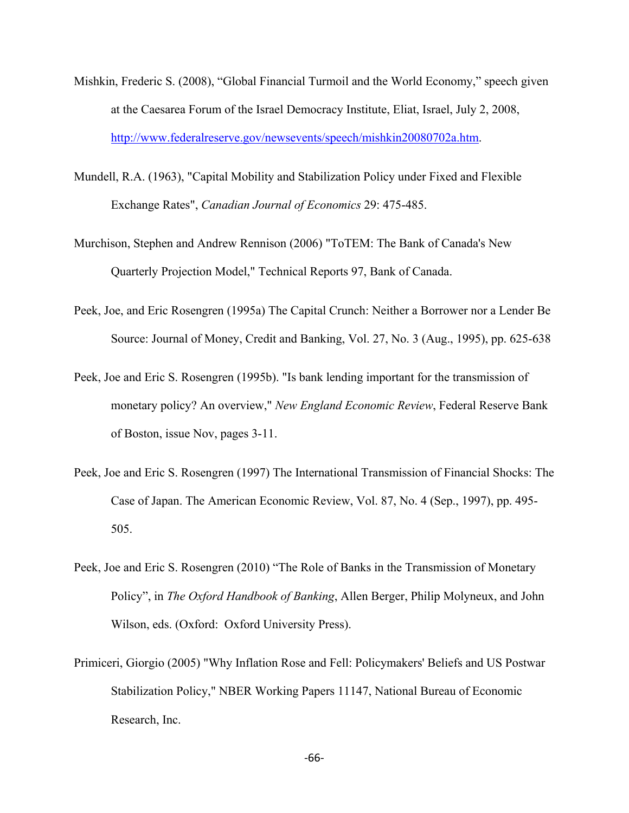- Mishkin, Frederic S. (2008), "Global Financial Turmoil and the World Economy," speech given at the Caesarea Forum of the Israel Democracy Institute, Eliat, Israel, July 2, 2008, http://www.federalreserve.gov/newsevents/speech/mishkin20080702a.htm.
- Mundell, R.A. (1963), "Capital Mobility and Stabilization Policy under Fixed and Flexible Exchange Rates", *Canadian Journal of Economics* 29: 475-485.
- Murchison, Stephen and Andrew Rennison (2006) "ToTEM: The Bank of Canada's New Quarterly Projection Model," Technical Reports 97, Bank of Canada.
- Peek, Joe, and Eric Rosengren (1995a) The Capital Crunch: Neither a Borrower nor a Lender Be Source: Journal of Money, Credit and Banking, Vol. 27, No. 3 (Aug., 1995), pp. 625-638
- Peek, Joe and Eric S. Rosengren (1995b). "Is bank lending important for the transmission of monetary policy? An overview," *New England Economic Review*, Federal Reserve Bank of Boston, issue Nov, pages 3-11.
- Peek, Joe and Eric S. Rosengren (1997) The International Transmission of Financial Shocks: The Case of Japan. The American Economic Review, Vol. 87, No. 4 (Sep., 1997), pp. 495- 505.
- Peek, Joe and Eric S. Rosengren (2010) "The Role of Banks in the Transmission of Monetary Policy", in *The Oxford Handbook of Banking*, Allen Berger, Philip Molyneux, and John Wilson, eds. (Oxford: Oxford University Press).
- Primiceri, Giorgio (2005) "Why Inflation Rose and Fell: Policymakers' Beliefs and US Postwar Stabilization Policy," NBER Working Papers 11147, National Bureau of Economic Research, Inc.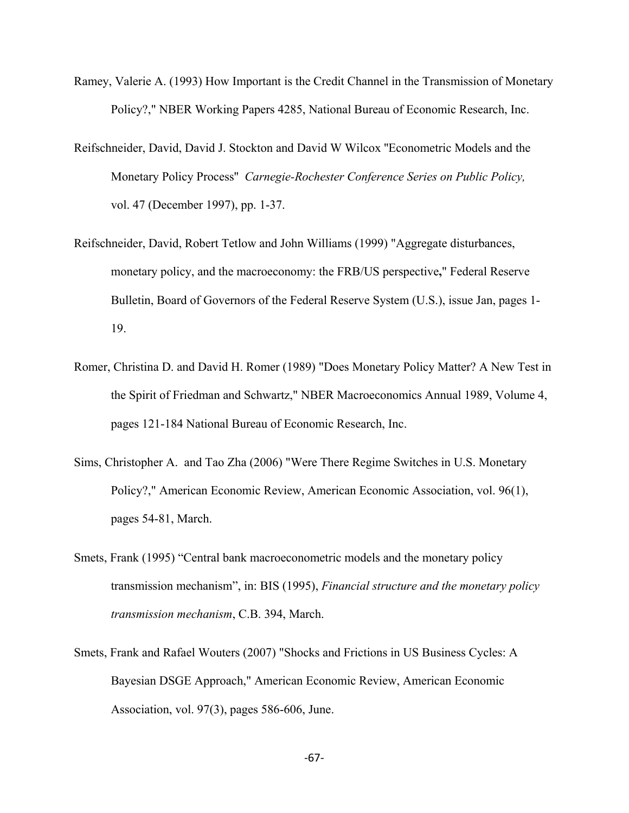- Ramey, Valerie A. (1993) How Important is the Credit Channel in the Transmission of Monetary Policy?," NBER Working Papers 4285, National Bureau of Economic Research, Inc.
- Reifschneider, David, David J. Stockton and David W Wilcox ''Econometric Models and the Monetary Policy Process'' *Carnegie-Rochester Conference Series on Public Policy,* vol. 47 (December 1997), pp. 1-37.
- Reifschneider, David, Robert Tetlow and John Williams (1999) "Aggregate disturbances, monetary policy, and the macroeconomy: the FRB/US perspective**,**" Federal Reserve Bulletin, Board of Governors of the Federal Reserve System (U.S.), issue Jan, pages 1- 19.
- Romer, Christina D. and David H. Romer (1989) "Does Monetary Policy Matter? A New Test in the Spirit of Friedman and Schwartz," NBER Macroeconomics Annual 1989, Volume 4, pages 121-184 National Bureau of Economic Research, Inc.
- Sims, Christopher A. and Tao Zha (2006) "Were There Regime Switches in U.S. Monetary Policy?," American Economic Review, American Economic Association, vol. 96(1), pages 54-81, March.
- Smets, Frank (1995) "Central bank macroeconometric models and the monetary policy transmission mechanism", in: BIS (1995), *Financial structure and the monetary policy transmission mechanism*, C.B. 394, March.
- Smets, Frank and Rafael Wouters (2007) "Shocks and Frictions in US Business Cycles: A Bayesian DSGE Approach," American Economic Review, American Economic Association, vol. 97(3), pages 586-606, June.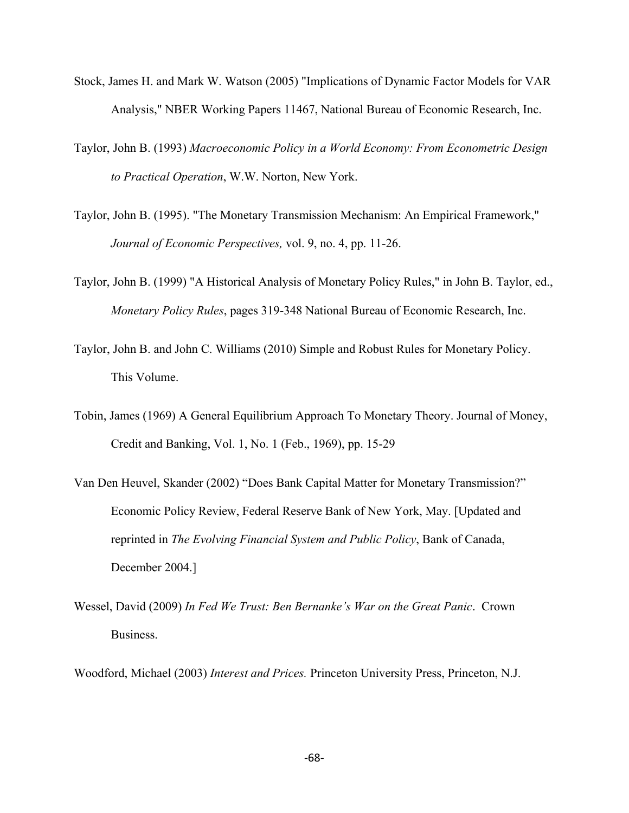- Stock, James H. and Mark W. Watson (2005) "Implications of Dynamic Factor Models for VAR Analysis," NBER Working Papers 11467, National Bureau of Economic Research, Inc.
- Taylor, John B. (1993) *Macroeconomic Policy in a World Economy: From Econometric Design to Practical Operation*, W.W. Norton, New York.
- Taylor, John B. (1995). "The Monetary Transmission Mechanism: An Empirical Framework," *Journal of Economic Perspectives,* vol. 9, no. 4, pp. 11-26.
- Taylor, John B. (1999) "A Historical Analysis of Monetary Policy Rules," in John B. Taylor, ed., *Monetary Policy Rules*, pages 319-348 National Bureau of Economic Research, Inc.
- Taylor, John B. and John C. Williams (2010) Simple and Robust Rules for Monetary Policy. This Volume.
- Tobin, James (1969) A General Equilibrium Approach To Monetary Theory. Journal of Money, Credit and Banking, Vol. 1, No. 1 (Feb., 1969), pp. 15-29
- Van Den Heuvel, Skander (2002) "Does Bank Capital Matter for Monetary Transmission?" Economic Policy Review, Federal Reserve Bank of New York, May. [Updated and reprinted in *The Evolving Financial System and Public Policy*, Bank of Canada, December 2004.]
- Wessel, David (2009) *In Fed We Trust: Ben Bernanke's War on the Great Panic*. Crown Business.

Woodford, Michael (2003) *Interest and Prices.* Princeton University Press, Princeton, N.J.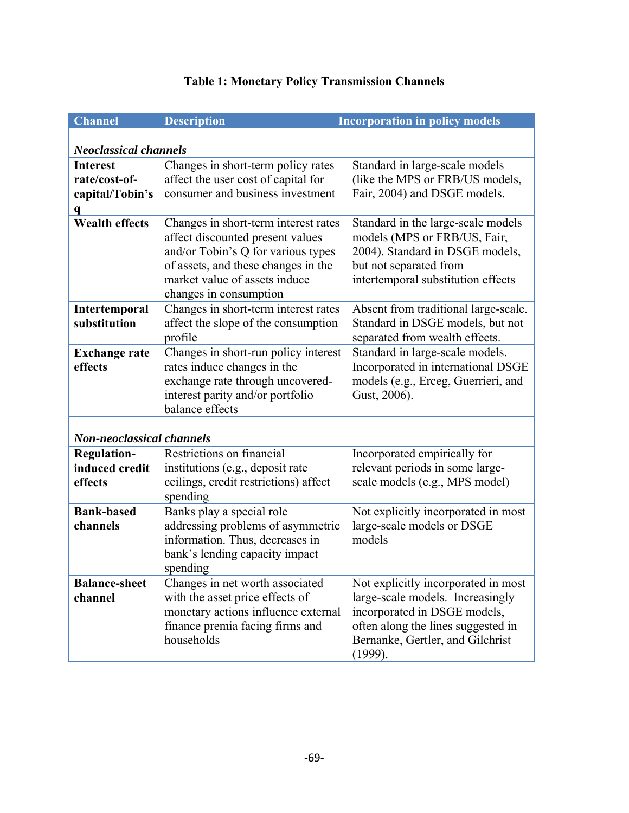|  |  |  | <b>Table 1: Monetary Policy Transmission Channels</b> |  |
|--|--|--|-------------------------------------------------------|--|
|--|--|--|-------------------------------------------------------|--|

| <b>Channel</b>                                           | <b>Description</b>                                                                                                                                                                                               | <b>Incorporation in policy models</b>                                                                                                                                                           |  |  |  |
|----------------------------------------------------------|------------------------------------------------------------------------------------------------------------------------------------------------------------------------------------------------------------------|-------------------------------------------------------------------------------------------------------------------------------------------------------------------------------------------------|--|--|--|
| <b>Neoclassical channels</b>                             |                                                                                                                                                                                                                  |                                                                                                                                                                                                 |  |  |  |
| <b>Interest</b><br>rate/cost-of-<br>capital/Tobin's<br>q | Changes in short-term policy rates<br>affect the user cost of capital for<br>consumer and business investment                                                                                                    | Standard in large-scale models<br>(like the MPS or FRB/US models,<br>Fair, 2004) and DSGE models.                                                                                               |  |  |  |
| <b>Wealth effects</b>                                    | Changes in short-term interest rates<br>affect discounted present values<br>and/or Tobin's Q for various types<br>of assets, and these changes in the<br>market value of assets induce<br>changes in consumption | Standard in the large-scale models<br>models (MPS or FRB/US, Fair,<br>2004). Standard in DSGE models,<br>but not separated from<br>intertemporal substitution effects                           |  |  |  |
| Intertemporal<br>substitution                            | Changes in short-term interest rates<br>affect the slope of the consumption<br>profile                                                                                                                           | Absent from traditional large-scale.<br>Standard in DSGE models, but not<br>separated from wealth effects.                                                                                      |  |  |  |
| <b>Exchange rate</b><br>effects                          | Changes in short-run policy interest<br>rates induce changes in the<br>exchange rate through uncovered-<br>interest parity and/or portfolio<br>balance effects                                                   | Standard in large-scale models.<br>Incorporated in international DSGE<br>models (e.g., Erceg, Guerrieri, and<br>Gust, 2006).                                                                    |  |  |  |
| <b>Non-neoclassical channels</b>                         |                                                                                                                                                                                                                  |                                                                                                                                                                                                 |  |  |  |
| <b>Regulation-</b><br>induced credit<br>effects          | Restrictions on financial<br>institutions (e.g., deposit rate<br>ceilings, credit restrictions) affect<br>spending                                                                                               | Incorporated empirically for<br>relevant periods in some large-<br>scale models (e.g., MPS model)                                                                                               |  |  |  |
| <b>Bank-based</b><br>channels                            | Banks play a special role<br>addressing problems of asymmetric<br>information. Thus, decreases in<br>bank's lending capacity impact<br>spending                                                                  | Not explicitly incorporated in most<br>large-scale models or DSGE<br>models                                                                                                                     |  |  |  |
| <b>Balance-sheet</b><br>channel                          | Changes in net worth associated<br>with the asset price effects of<br>monetary actions influence external<br>finance premia facing firms and<br>households                                                       | Not explicitly incorporated in most<br>large-scale models. Increasingly<br>incorporated in DSGE models,<br>often along the lines suggested in<br>Bernanke, Gertler, and Gilchrist<br>$(1999)$ . |  |  |  |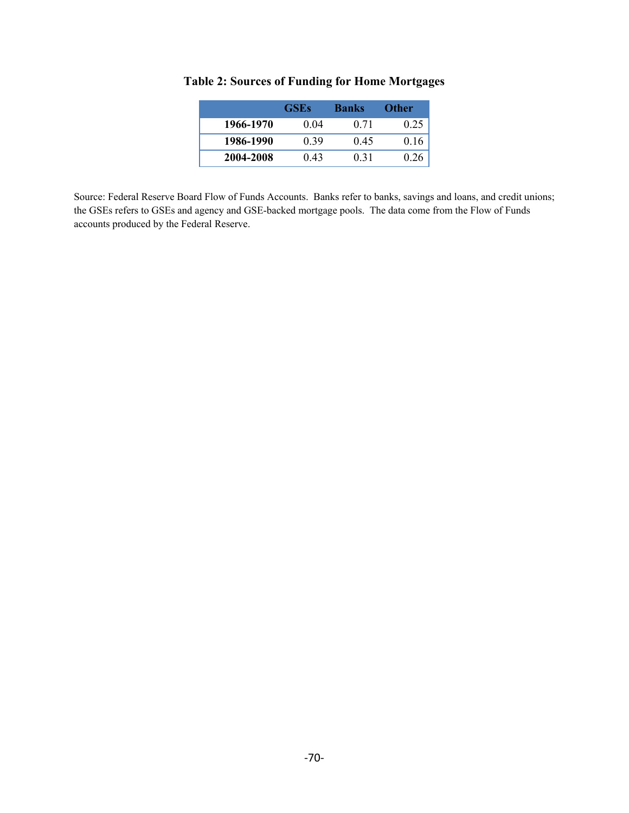|           | <b>GSEs</b> | <b>Banks</b> | <b>Other</b> |
|-----------|-------------|--------------|--------------|
| 1966-1970 | 0.04        | 0.71         | 0.25         |
| 1986-1990 | 0.39        | 0.45         | 0.16         |
| 2004-2008 | 0.43        | 0.31         | 0.26         |

|  |  |  |  | <b>Table 2: Sources of Funding for Home Mortgages</b> |
|--|--|--|--|-------------------------------------------------------|
|  |  |  |  |                                                       |

Source: Federal Reserve Board Flow of Funds Accounts. Banks refer to banks, savings and loans, and credit unions; the GSEs refers to GSEs and agency and GSE-backed mortgage pools. The data come from the Flow of Funds accounts produced by the Federal Reserve.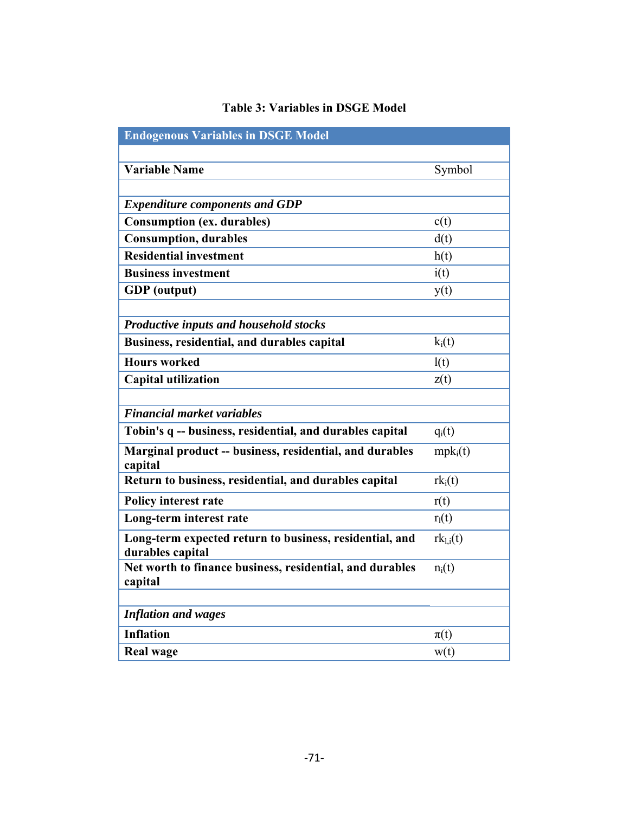| <b>Endogenous Variables in DSGE Model</b>                                   |                      |
|-----------------------------------------------------------------------------|----------------------|
|                                                                             |                      |
| <b>Variable Name</b>                                                        | Symbol               |
|                                                                             |                      |
| <b>Expenditure components and GDP</b>                                       |                      |
| <b>Consumption (ex. durables)</b>                                           | c(t)                 |
| <b>Consumption, durables</b>                                                | d(t)                 |
| <b>Residential investment</b>                                               | h(t)                 |
| <b>Business investment</b>                                                  | i(t)                 |
| <b>GDP</b> (output)                                                         | y(t)                 |
|                                                                             |                      |
| Productive inputs and household stocks                                      |                      |
| Business, residential, and durables capital                                 | $k_i(t)$             |
| <b>Hours worked</b>                                                         | l(t)                 |
| <b>Capital utilization</b>                                                  | z(t)                 |
|                                                                             |                      |
| <b>Financial market variables</b>                                           |                      |
| Tobin's q -- business, residential, and durables capital                    | $q_i(t)$             |
| Marginal product -- business, residential, and durables<br>capital          | mpk <sub>i</sub> (t) |
| Return to business, residential, and durables capital                       | $rk_i(t)$            |
| <b>Policy interest rate</b>                                                 | r(t)                 |
| Long-term interest rate                                                     | r <sub>l</sub> (t)   |
| Long-term expected return to business, residential, and<br>durables capital | $rk_{Li}(t)$         |
| Net worth to finance business, residential, and durables<br>capital         | $n_i(t)$             |
|                                                                             |                      |
| <b>Inflation and wages</b>                                                  |                      |
| <b>Inflation</b>                                                            | $\pi(t)$             |
| <b>Real wage</b>                                                            | w(t)                 |

# **Table 3: Variables in DSGE Model**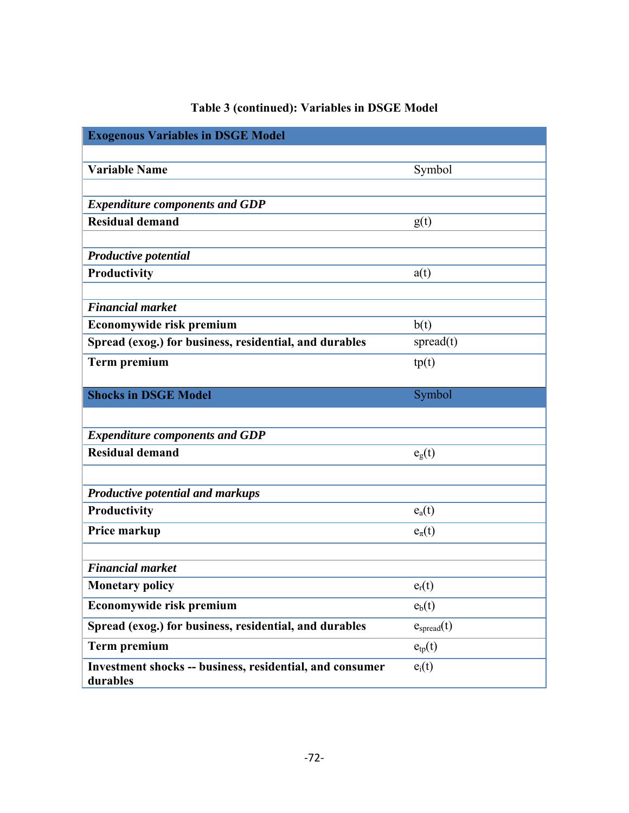| <b>Exogenous Variables in DSGE Model</b>                             |                        |
|----------------------------------------------------------------------|------------------------|
|                                                                      |                        |
| <b>Variable Name</b>                                                 | Symbol                 |
|                                                                      |                        |
| <b>Expenditure components and GDP</b>                                |                        |
| <b>Residual demand</b>                                               | g(t)                   |
|                                                                      |                        |
| <b>Productive potential</b>                                          |                        |
| Productivity                                                         | a(t)                   |
| <b>Financial market</b>                                              |                        |
| Economywide risk premium                                             | b(t)                   |
| Spread (exog.) for business, residential, and durables               | spread(t)              |
|                                                                      |                        |
| <b>Term premium</b>                                                  | tp(t)                  |
| <b>Shocks in DSGE Model</b>                                          | Symbol                 |
|                                                                      |                        |
| <b>Expenditure components and GDP</b>                                |                        |
| <b>Residual demand</b>                                               | $e_g(t)$               |
|                                                                      |                        |
| Productive potential and markups                                     |                        |
| Productivity                                                         | $e_a(t)$               |
| Price markup                                                         | $e_{\pi}(t)$           |
|                                                                      |                        |
| <b>Financial market</b>                                              |                        |
| <b>Monetary policy</b>                                               | $e_r(t)$               |
| Economywide risk premium                                             | $e_b(t)$               |
| Spread (exog.) for business, residential, and durables               | $e_{\text{spread}}(t)$ |
| <b>Term premium</b>                                                  | $e_{tp}(t)$            |
| Investment shocks -- business, residential, and consumer<br>durables | $e_i(t)$               |

## **Table 3 (continued): Variables in DSGE Model**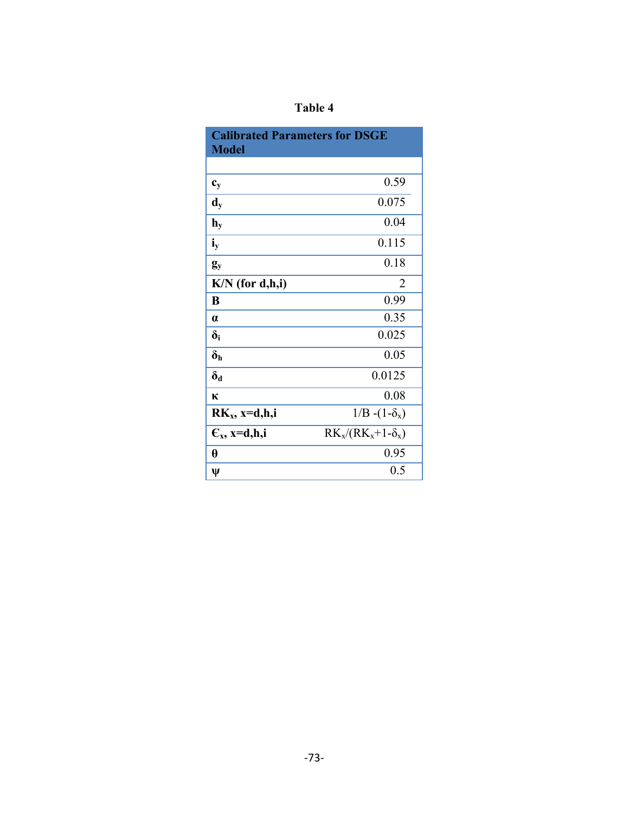| ۱<br>Π<br>ш |
|-------------|
|-------------|

| <b>Calibrated Parameters for DSGE</b> |                          |  |  |  |
|---------------------------------------|--------------------------|--|--|--|
| <b>Model</b>                          |                          |  |  |  |
|                                       |                          |  |  |  |
| $\mathbf{c}_{\mathbf{y}}$             | 0.59                     |  |  |  |
| $\mathbf{d}_{\mathbf{y}}$             | 0.075                    |  |  |  |
| $\mathbf{h}_{\mathbf{y}}$             | 0.04                     |  |  |  |
| $i_{y}$                               | 0.115                    |  |  |  |
| $\mathbf{g}_{\mathbf{y}}$             | 0.18                     |  |  |  |
| $K/N$ (for $d,h,i$ )                  | $\overline{2}$           |  |  |  |
| B                                     | 0.99                     |  |  |  |
| $\alpha$                              | 0.35                     |  |  |  |
| $\delta_i$                            | 0.025                    |  |  |  |
| $\boldsymbol{\delta}_\mathbf{h}$      | 0.05                     |  |  |  |
| $\delta_d$                            | 0.0125                   |  |  |  |
| К                                     | 0.08                     |  |  |  |
| $RK_x$ , x=d,h,i                      | $1/B - (1 - \delta_x)$   |  |  |  |
| $C_x$ , x=d,h,i                       | $RK_x/(RK_x+1-\delta_x)$ |  |  |  |
| $\boldsymbol{\theta}$                 | 0.95                     |  |  |  |
| ψ                                     | 0.5                      |  |  |  |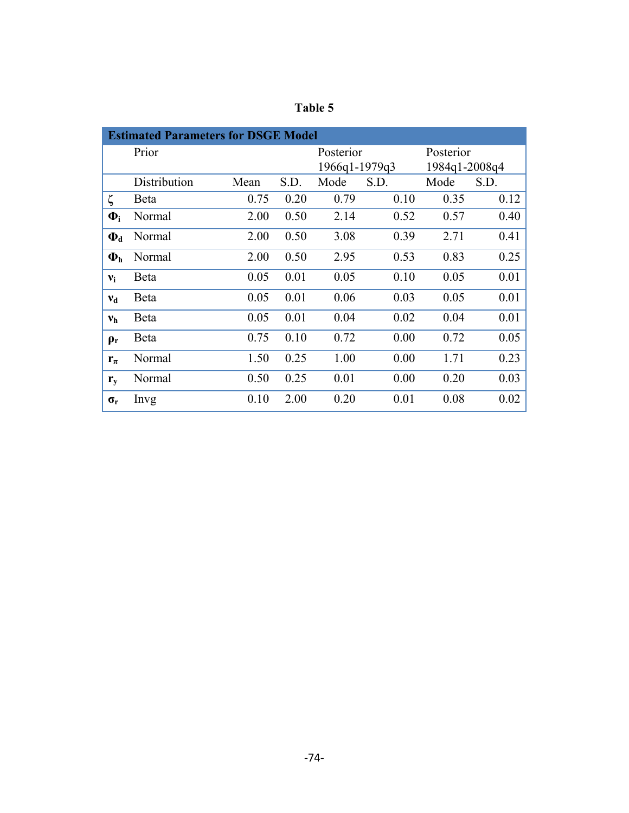| П<br>п |  |
|--------|--|
|--------|--|

| <b>Estimated Parameters for DSGE Model</b> |              |      |      |               |      |               |      |
|--------------------------------------------|--------------|------|------|---------------|------|---------------|------|
|                                            | Prior        |      |      | Posterior     |      | Posterior     |      |
|                                            |              |      |      | 1966q1-1979q3 |      | 1984q1-2008q4 |      |
|                                            | Distribution | Mean | S.D. | Mode          | S.D. | Mode          | S.D. |
| ζ                                          | Beta         | 0.75 | 0.20 | 0.79          | 0.10 | 0.35          | 0.12 |
| $\Phi_i$                                   | Normal       | 2.00 | 0.50 | 2.14          | 0.52 | 0.57          | 0.40 |
| $\Phi_{\rm d}$                             | Normal       | 2.00 | 0.50 | 3.08          | 0.39 | 2.71          | 0.41 |
| $\Phi_{h}$                                 | Normal       | 2.00 | 0.50 | 2.95          | 0.53 | 0.83          | 0.25 |
| $v_i$                                      | Beta         | 0.05 | 0.01 | 0.05          | 0.10 | 0.05          | 0.01 |
| $v_{d}$                                    | Beta         | 0.05 | 0.01 | 0.06          | 0.03 | 0.05          | 0.01 |
| v <sub>h</sub>                             | <b>Beta</b>  | 0.05 | 0.01 | 0.04          | 0.02 | 0.04          | 0.01 |
| $\rho_r$                                   | Beta         | 0.75 | 0.10 | 0.72          | 0.00 | 0.72          | 0.05 |
| $r_{\pi}$                                  | Normal       | 1.50 | 0.25 | 1.00          | 0.00 | 1.71          | 0.23 |
| $r_{y}$                                    | Normal       | 0.50 | 0.25 | 0.01          | 0.00 | 0.20          | 0.03 |
| $\sigma_{\rm r}$                           | Invg         | 0.10 | 2.00 | 0.20          | 0.01 | 0.08          | 0.02 |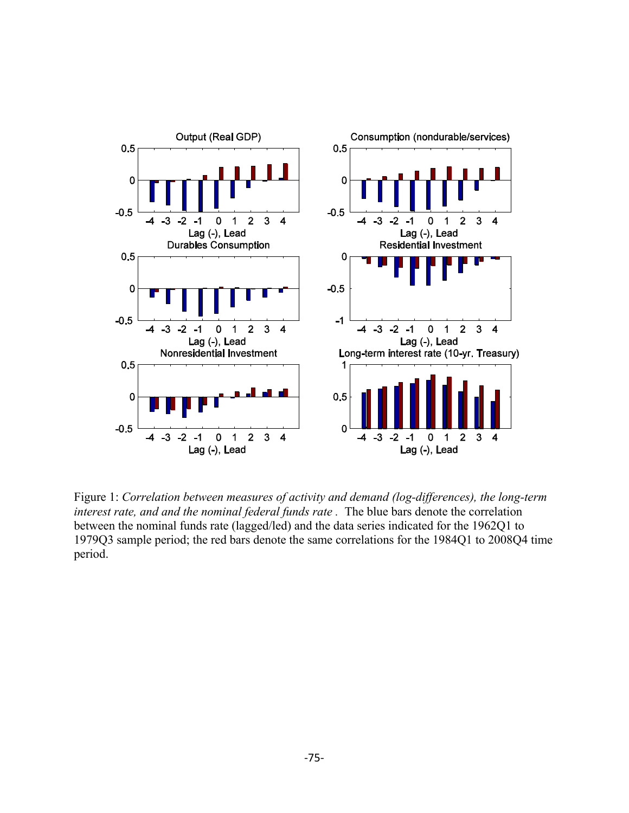

Figure 1: *Correlation between measures of activity and demand (log-differences), the long-term interest rate, and and the nominal federal funds rate.* The blue bars denote the correlation between the nominal funds rate (lagged/led) and the data series indicated for the 1962Q1 to 1979Q3 sample period; the red bars denote the same correlations for the 1984Q1 to 2008Q4 time period.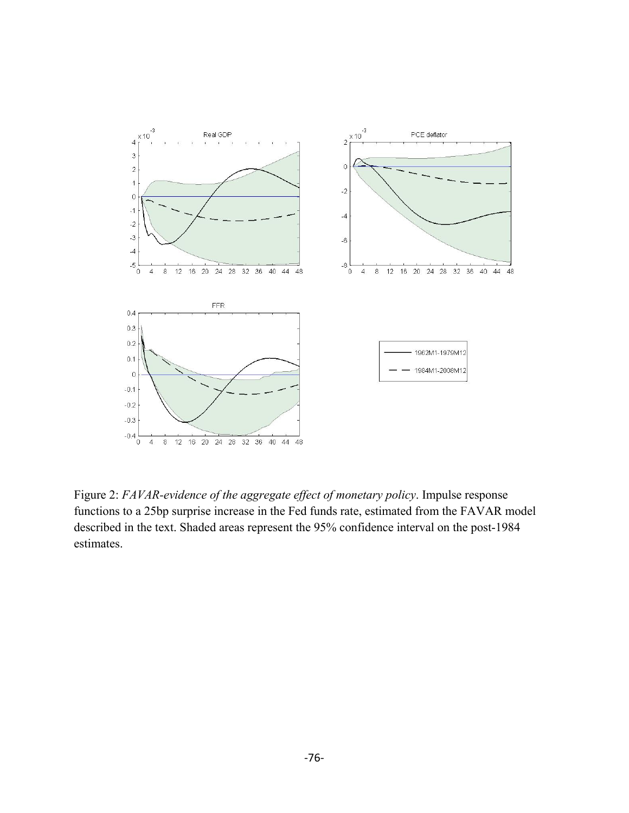

Figure 2: *FAVAR-evidence of the aggregate effect of monetary policy*. Impulse response functions to a 25bp surprise increase in the Fed funds rate, estimated from the FAVAR model described in the text. Shaded areas represent the 95% confidence interval on the post-1984 estimates.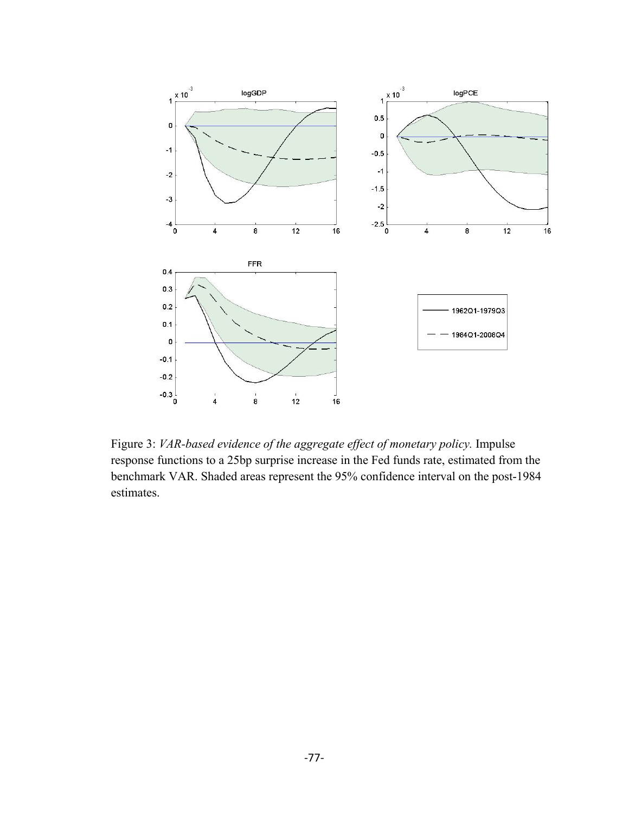

Figure 3: *VAR-based evidence of the aggregate effect of monetary policy.* Impulse response functions to a 25bp surprise increase in the Fed funds rate, estimated from the benchmark VAR. Shaded areas represent the 95% confidence interval on the post-1984 estimates.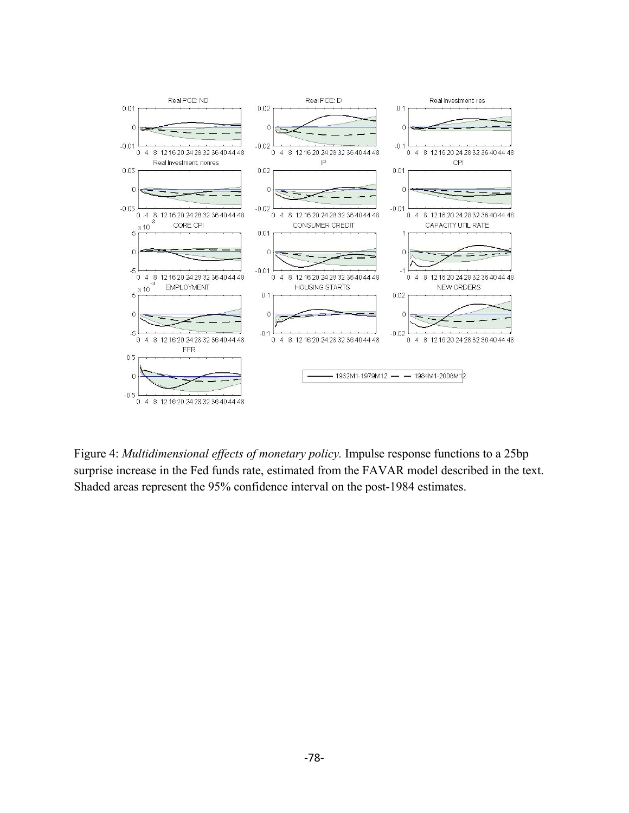

Figure 4: *Multidimensional effects of monetary policy.* Impulse response functions to a 25bp surprise increase in the Fed funds rate, estimated from the FAVAR model described in the text. Shaded areas represent the 95% confidence interval on the post-1984 estimates.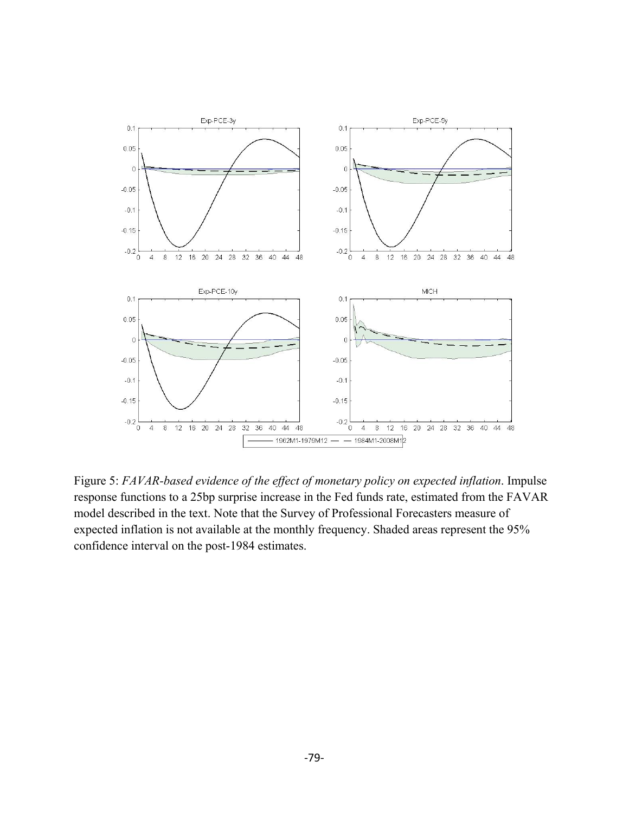

Figure 5: *FAVAR-based evidence of the effect of monetary policy on expected inflation*. Impulse response functions to a 25bp surprise increase in the Fed funds rate, estimated from the FAVAR model described in the text. Note that the Survey of Professional Forecasters measure of expected inflation is not available at the monthly frequency. Shaded areas represent the 95% confidence interval on the post-1984 estimates.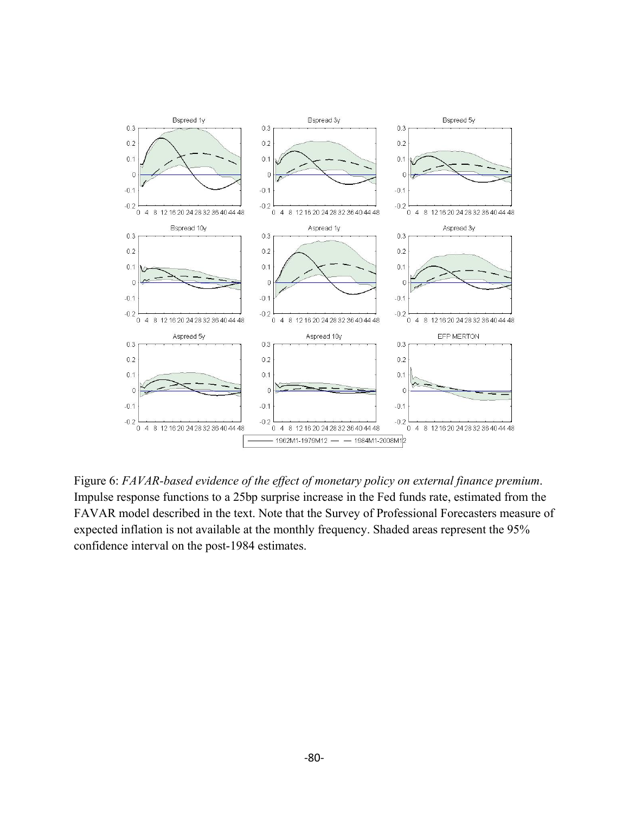

Figure 6: *FAVAR-based evidence of the effect of monetary policy on external finance premium*. Impulse response functions to a 25bp surprise increase in the Fed funds rate, estimated from the FAVAR model described in the text. Note that the Survey of Professional Forecasters measure of expected inflation is not available at the monthly frequency. Shaded areas represent the 95% confidence interval on the post-1984 estimates.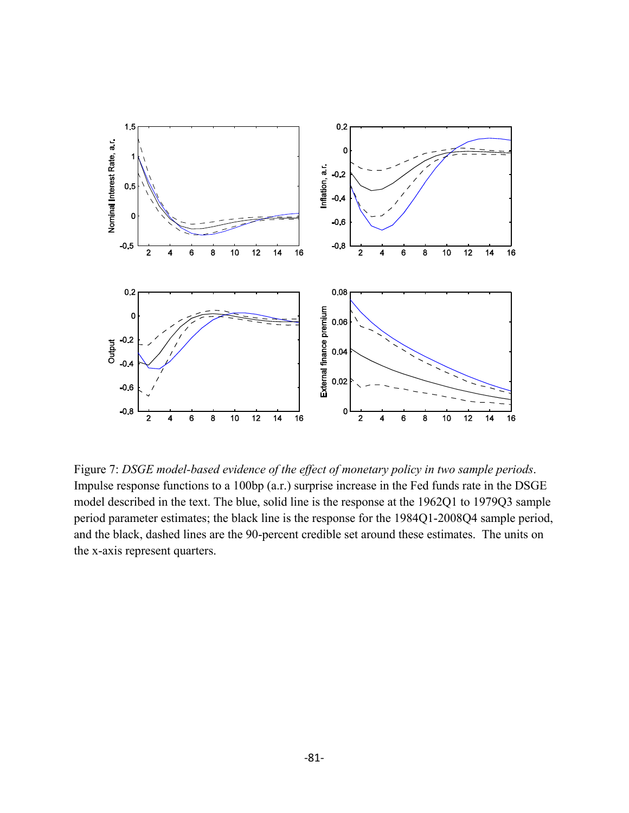

Figure 7: *DSGE model-based evidence of the effect of monetary policy in two sample periods*. Impulse response functions to a 100bp (a.r.) surprise increase in the Fed funds rate in the DSGE model described in the text. The blue, solid line is the response at the 1962Q1 to 1979Q3 sample period parameter estimates; the black line is the response for the 1984Q1-2008Q4 sample period, and the black, dashed lines are the 90-percent credible set around these estimates. The units on the x-axis represent quarters.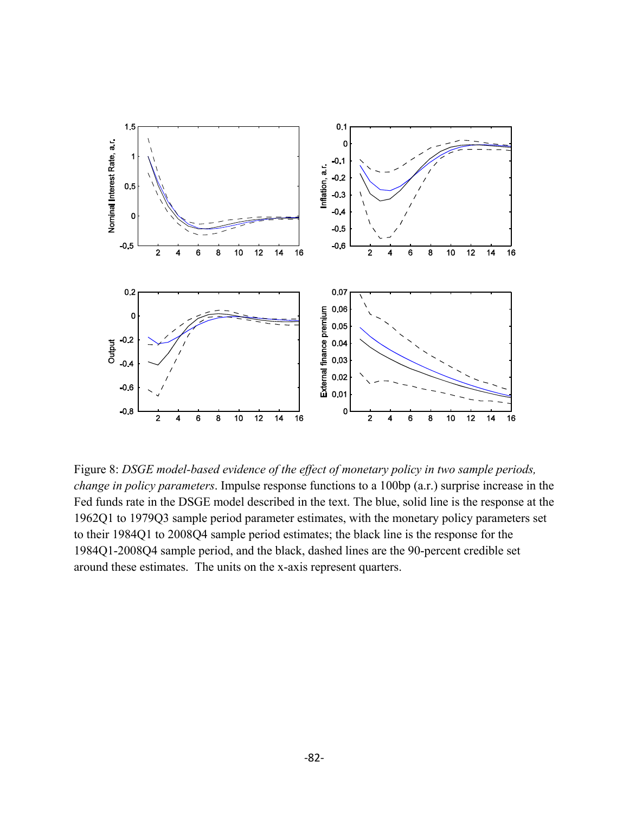

Figure 8: *DSGE model-based evidence of the effect of monetary policy in two sample periods, change in policy parameters*. Impulse response functions to a 100bp (a.r.) surprise increase in the Fed funds rate in the DSGE model described in the text. The blue, solid line is the response at the 1962Q1 to 1979Q3 sample period parameter estimates, with the monetary policy parameters set to their 1984Q1 to 2008Q4 sample period estimates; the black line is the response for the 1984Q1-2008Q4 sample period, and the black, dashed lines are the 90-percent credible set around these estimates. The units on the x-axis represent quarters.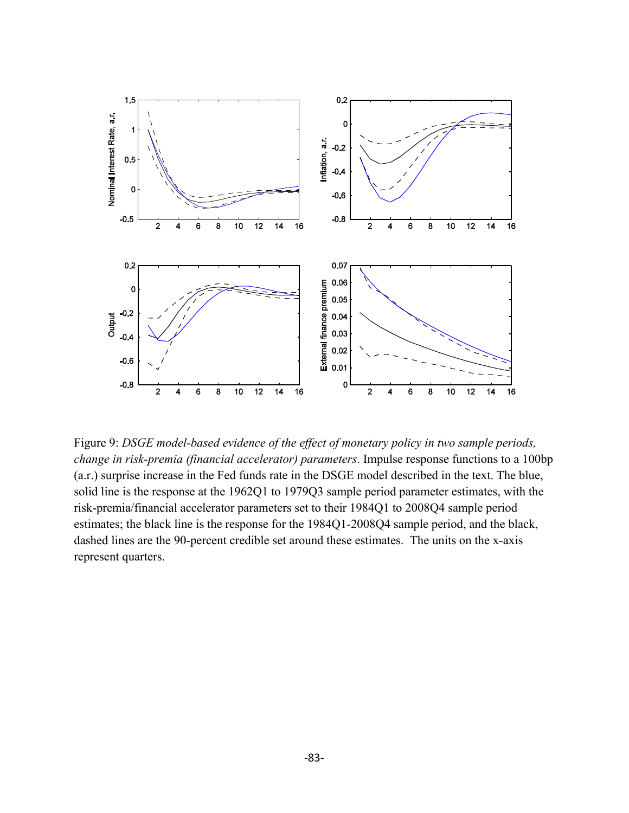

Figure 9: *DSGE model-based evidence of the effect of monetary policy in two sample periods, change in risk-premia (financial accelerator) parameters*. Impulse response functions to a 100bp (a.r.) surprise increase in the Fed funds rate in the DSGE model described in the text. The blue, solid line is the response at the 1962Q1 to 1979Q3 sample period parameter estimates, with the risk-premia/financial accelerator parameters set to their 1984Q1 to 2008Q4 sample period estimates; the black line is the response for the 1984Q1-2008Q4 sample period, and the black, dashed lines are the 90-percent credible set around these estimates. The units on the x-axis represent quarters.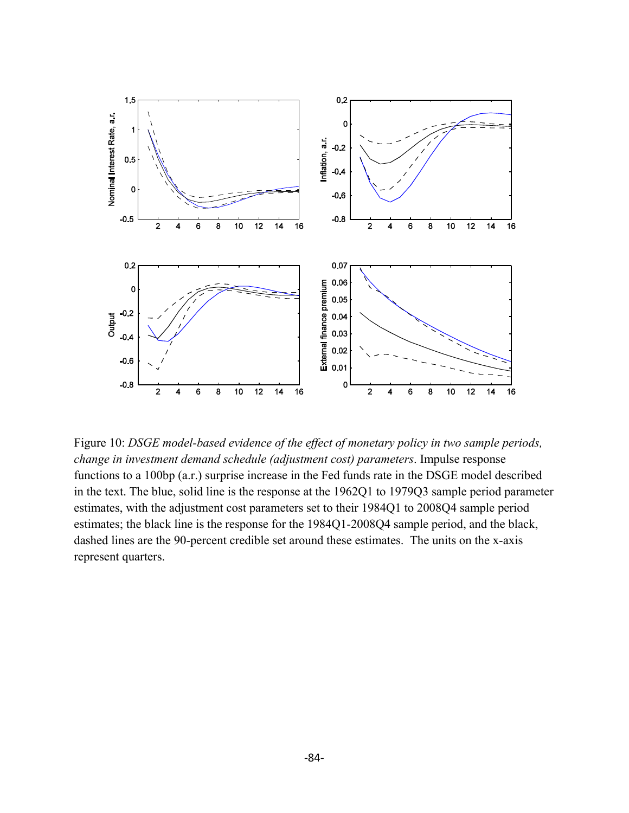

Figure 10: *DSGE model-based evidence of the effect of monetary policy in two sample periods, change in investment demand schedule (adjustment cost) parameters*. Impulse response functions to a 100bp (a.r.) surprise increase in the Fed funds rate in the DSGE model described in the text. The blue, solid line is the response at the 1962Q1 to 1979Q3 sample period parameter estimates, with the adjustment cost parameters set to their 1984Q1 to 2008Q4 sample period estimates; the black line is the response for the 1984Q1-2008Q4 sample period, and the black, dashed lines are the 90-percent credible set around these estimates. The units on the x-axis represent quarters.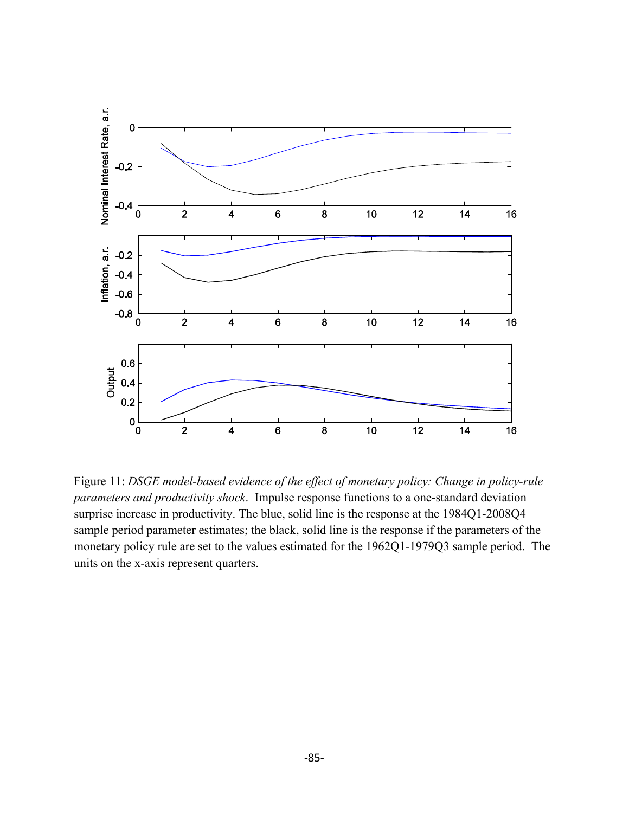

Figure 11: *DSGE model-based evidence of the effect of monetary policy: Change in policy-rule parameters and productivity shock*. Impulse response functions to a one-standard deviation surprise increase in productivity. The blue, solid line is the response at the 1984Q1-2008Q4 sample period parameter estimates; the black, solid line is the response if the parameters of the monetary policy rule are set to the values estimated for the 1962Q1-1979Q3 sample period. The units on the x-axis represent quarters.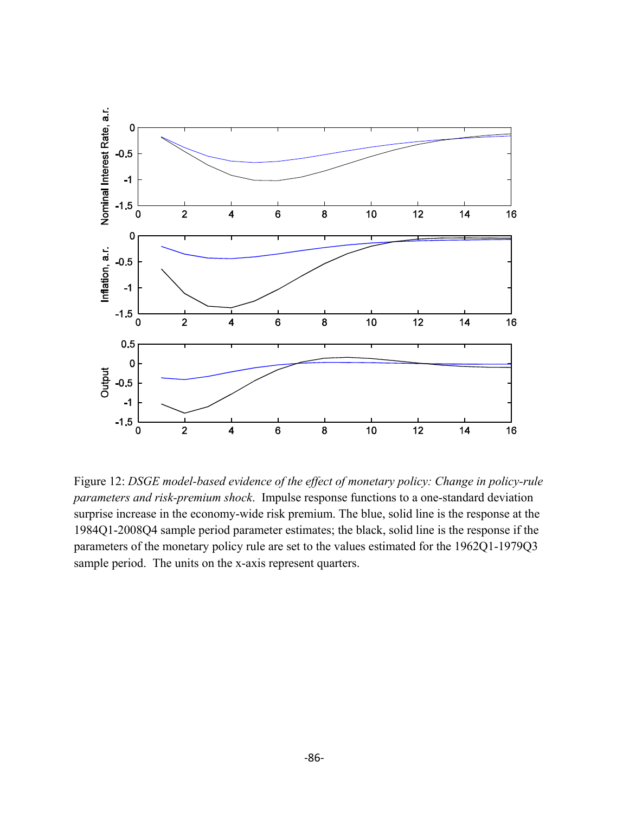

Figure 12: *DSGE model-based evidence of the effect of monetary policy: Change in policy-rule parameters and risk-premium shock*. Impulse response functions to a one-standard deviation surprise increase in the economy-wide risk premium. The blue, solid line is the response at the 1984Q1-2008Q4 sample period parameter estimates; the black, solid line is the response if the parameters of the monetary policy rule are set to the values estimated for the 1962Q1-1979Q3 sample period. The units on the x-axis represent quarters.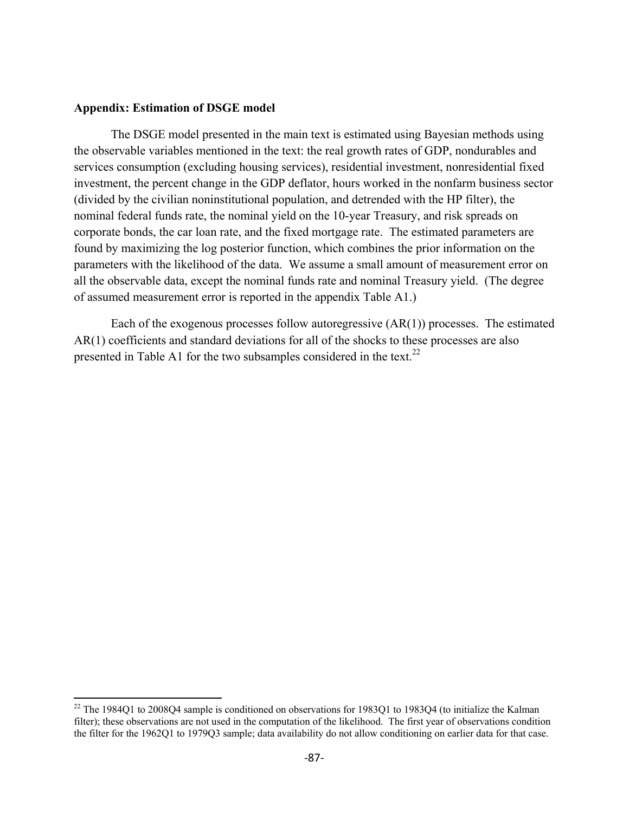## **Appendix: Estimation of DSGE model**

 The DSGE model presented in the main text is estimated using Bayesian methods using the observable variables mentioned in the text: the real growth rates of GDP, nondurables and services consumption (excluding housing services), residential investment, nonresidential fixed investment, the percent change in the GDP deflator, hours worked in the nonfarm business sector (divided by the civilian noninstitutional population, and detrended with the HP filter), the nominal federal funds rate, the nominal yield on the 10-year Treasury, and risk spreads on corporate bonds, the car loan rate, and the fixed mortgage rate. The estimated parameters are found by maximizing the log posterior function, which combines the prior information on the parameters with the likelihood of the data. We assume a small amount of measurement error on all the observable data, except the nominal funds rate and nominal Treasury yield. (The degree of assumed measurement error is reported in the appendix Table A1.)

Each of the exogenous processes follow autoregressive  $(AR(1))$  processes. The estimated AR(1) coefficients and standard deviations for all of the shocks to these processes are also presented in Table A1 for the two subsamples considered in the text.<sup>22</sup>

<sup>&</sup>lt;sup>22</sup> The 1984Q1 to 2008Q4 sample is conditioned on observations for 1983Q1 to 1983Q4 (to initialize the Kalman filter); these observations are not used in the computation of the likelihood. The first year of observations condition the filter for the 1962Q1 to 1979Q3 sample; data availability do not allow conditioning on earlier data for that case.